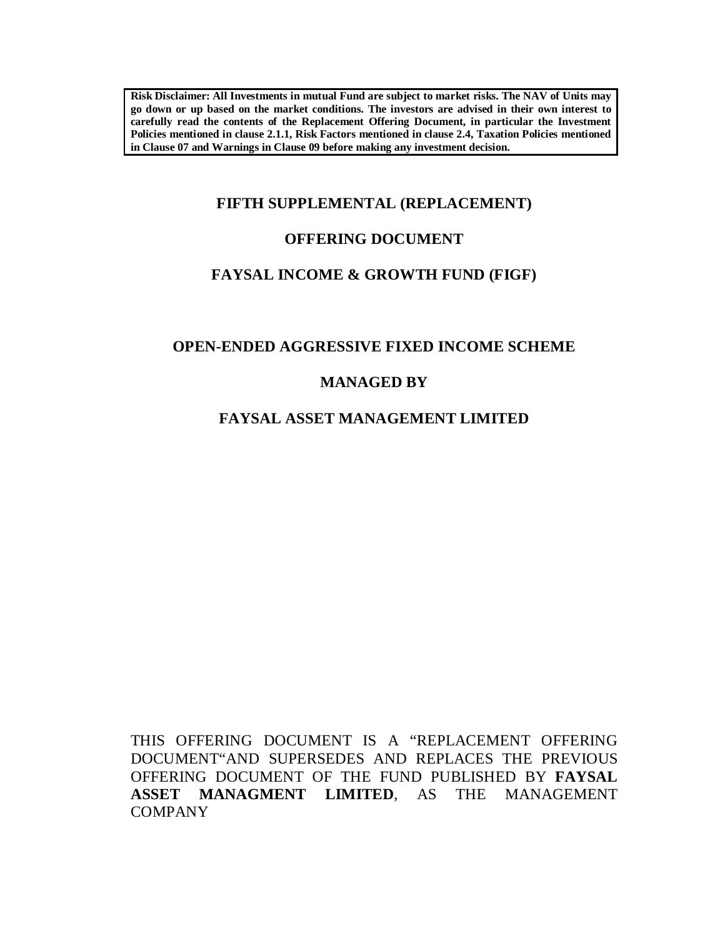**Risk Disclaimer: All Investments in mutual Fund are subject to market risks. The NAV of Units may go down or up based on the market conditions. The investors are advised in their own interest to carefully read the contents of the Replacement Offering Document, in particular the Investment Policies mentioned in clause 2.1.1, Risk Factors mentioned in clause 2.4, Taxation Policies mentioned in Clause 07 and Warnings in Clause 09 before making any investment decision.** 

# **FIFTH SUPPLEMENTAL (REPLACEMENT)**

# **OFFERING DOCUMENT**

# **FAYSAL INCOME & GROWTH FUND (FIGF)**

# **OPEN-ENDED AGGRESSIVE FIXED INCOME SCHEME**

# **MANAGED BY**

# **FAYSAL ASSET MANAGEMENT LIMITED**

THIS OFFERING DOCUMENT IS A "REPLACEMENT OFFERING DOCUMENT"AND SUPERSEDES AND REPLACES THE PREVIOUS OFFERING DOCUMENT OF THE FUND PUBLISHED BY **FAYSAL ASSET MANAGMENT LIMITED**, AS THE MANAGEMENT COMPANY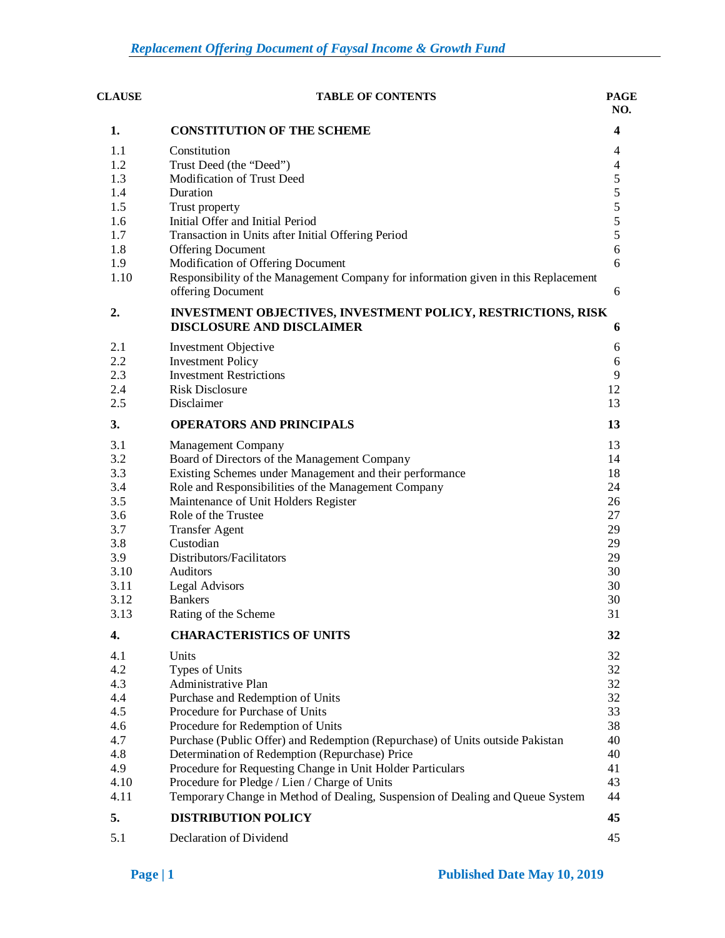| <b>CLAUSE</b><br><b>TABLE OF CONTENTS</b> |                                                                                                         |                         |
|-------------------------------------------|---------------------------------------------------------------------------------------------------------|-------------------------|
| 1.                                        | <b>CONSTITUTION OF THE SCHEME</b>                                                                       | $\overline{\mathbf{4}}$ |
| 1.1                                       | Constitution                                                                                            | $\overline{4}$          |
| 1.2                                       | Trust Deed (the "Deed")                                                                                 | $\overline{4}$          |
| 1.3                                       | Modification of Trust Deed                                                                              | $\mathfrak s$           |
| 1.4                                       | Duration                                                                                                | 5                       |
| 1.5                                       | Trust property                                                                                          | 5                       |
| 1.6                                       | Initial Offer and Initial Period                                                                        | 5                       |
| 1.7                                       | Transaction in Units after Initial Offering Period                                                      | 5                       |
| 1.8                                       | <b>Offering Document</b>                                                                                | 6                       |
| 1.9                                       | Modification of Offering Document                                                                       | 6                       |
| 1.10                                      | Responsibility of the Management Company for information given in this Replacement<br>offering Document | 6                       |
| 2.                                        | INVESTMENT OBJECTIVES, INVESTMENT POLICY, RESTRICTIONS, RISK                                            |                         |
|                                           | <b>DISCLOSURE AND DISCLAIMER</b>                                                                        | 6                       |
| 2.1                                       | Investment Objective                                                                                    | 6                       |
| 2.2                                       | <b>Investment Policy</b>                                                                                | $\boldsymbol{6}$        |
| 2.3                                       | <b>Investment Restrictions</b>                                                                          | 9                       |
| 2.4                                       | <b>Risk Disclosure</b>                                                                                  | 12                      |
| 2.5                                       | Disclaimer                                                                                              | 13                      |
| 3.                                        | <b>OPERATORS AND PRINCIPALS</b>                                                                         | 13                      |
| 3.1                                       | <b>Management Company</b>                                                                               | 13                      |
| 3.2                                       | Board of Directors of the Management Company                                                            | 14                      |
| 3.3                                       | Existing Schemes under Management and their performance                                                 | 18                      |
| 3.4                                       | Role and Responsibilities of the Management Company                                                     | 24                      |
| 3.5                                       | Maintenance of Unit Holders Register                                                                    | 26                      |
| 3.6                                       | Role of the Trustee                                                                                     | 27                      |
| 3.7                                       | <b>Transfer Agent</b>                                                                                   | 29                      |
| 3.8                                       | Custodian                                                                                               | 29                      |
| 3.9                                       | Distributors/Facilitators                                                                               | 29                      |
| 3.10                                      | <b>Auditors</b>                                                                                         | 30                      |
| 3.11                                      | <b>Legal Advisors</b>                                                                                   | 30                      |
| 3.12                                      | <b>Bankers</b>                                                                                          | 30                      |
| 3.13                                      | Rating of the Scheme                                                                                    | 31                      |
| 4.                                        | <b>CHARACTERISTICS OF UNITS</b>                                                                         | 32                      |
| 4.1                                       | Units                                                                                                   | 32                      |
| 4.2                                       | Types of Units                                                                                          | 32                      |
| 4.3                                       | Administrative Plan                                                                                     | 32                      |
| 4.4                                       | Purchase and Redemption of Units                                                                        | 32                      |
| 4.5                                       | Procedure for Purchase of Units                                                                         | 33                      |
| 4.6                                       | Procedure for Redemption of Units                                                                       | 38                      |
| 4.7                                       | Purchase (Public Offer) and Redemption (Repurchase) of Units outside Pakistan                           | 40                      |
| 4.8                                       | Determination of Redemption (Repurchase) Price                                                          | 40                      |
| 4.9                                       | Procedure for Requesting Change in Unit Holder Particulars                                              | 41                      |
| 4.10                                      | Procedure for Pledge / Lien / Charge of Units                                                           | 43                      |
| 4.11                                      | Temporary Change in Method of Dealing, Suspension of Dealing and Queue System                           | 44                      |
| 5.                                        | <b>DISTRIBUTION POLICY</b>                                                                              | 45                      |
| 5.1                                       | Declaration of Dividend                                                                                 | 45                      |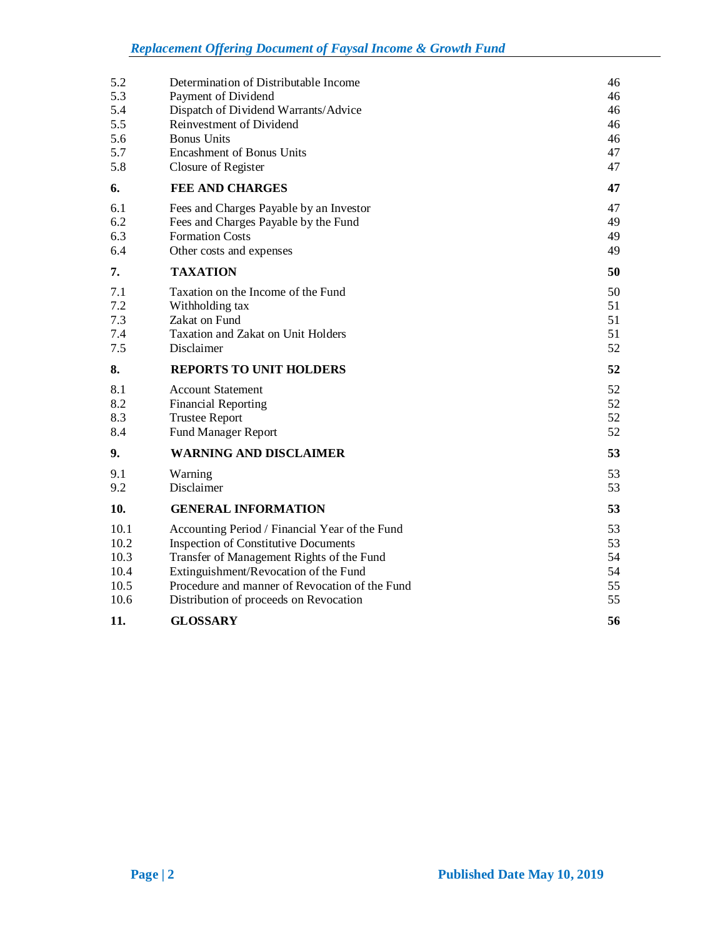| 5.2          | Determination of Distributable Income                                                   | 46       |
|--------------|-----------------------------------------------------------------------------------------|----------|
| 5.3<br>5.4   | Payment of Dividend<br>Dispatch of Dividend Warrants/Advice                             | 46<br>46 |
| 5.5          | Reinvestment of Dividend                                                                | 46       |
| 5.6          | <b>Bonus Units</b>                                                                      | 46       |
| 5.7          | <b>Encashment of Bonus Units</b>                                                        | 47       |
| 5.8          | Closure of Register                                                                     | 47       |
| 6.           | <b>FEE AND CHARGES</b>                                                                  | 47       |
| 6.1          | Fees and Charges Payable by an Investor                                                 | 47       |
| 6.2          | Fees and Charges Payable by the Fund                                                    | 49       |
| 6.3<br>6.4   | <b>Formation Costs</b>                                                                  | 49<br>49 |
|              | Other costs and expenses                                                                |          |
| 7.           | <b>TAXATION</b>                                                                         | 50       |
| 7.1          | Taxation on the Income of the Fund                                                      | 50       |
| 7.2<br>7.3   | Withholding tax<br>Zakat on Fund                                                        | 51<br>51 |
| 7.4          | Taxation and Zakat on Unit Holders                                                      | 51       |
| 7.5          | Disclaimer                                                                              | 52       |
| 8.           | <b>REPORTS TO UNIT HOLDERS</b>                                                          | 52       |
| 8.1          | <b>Account Statement</b>                                                                | 52       |
| 8.2          | <b>Financial Reporting</b>                                                              | 52       |
| 8.3          | <b>Trustee Report</b>                                                                   | 52       |
| 8.4          | <b>Fund Manager Report</b>                                                              | 52       |
| 9.           | <b>WARNING AND DISCLAIMER</b>                                                           | 53       |
| 9.1          | Warning                                                                                 | 53       |
| 9.2          | Disclaimer                                                                              | 53       |
| 10.          | <b>GENERAL INFORMATION</b>                                                              | 53       |
| 10.1         | Accounting Period / Financial Year of the Fund                                          | 53       |
| 10.2         | <b>Inspection of Constitutive Documents</b>                                             | 53       |
| 10.3         | Transfer of Management Rights of the Fund                                               | 54       |
| 10.4<br>10.5 | Extinguishment/Revocation of the Fund<br>Procedure and manner of Revocation of the Fund | 54<br>55 |
| 10.6         | Distribution of proceeds on Revocation                                                  | 55       |
| 11.          | <b>GLOSSARY</b>                                                                         | 56       |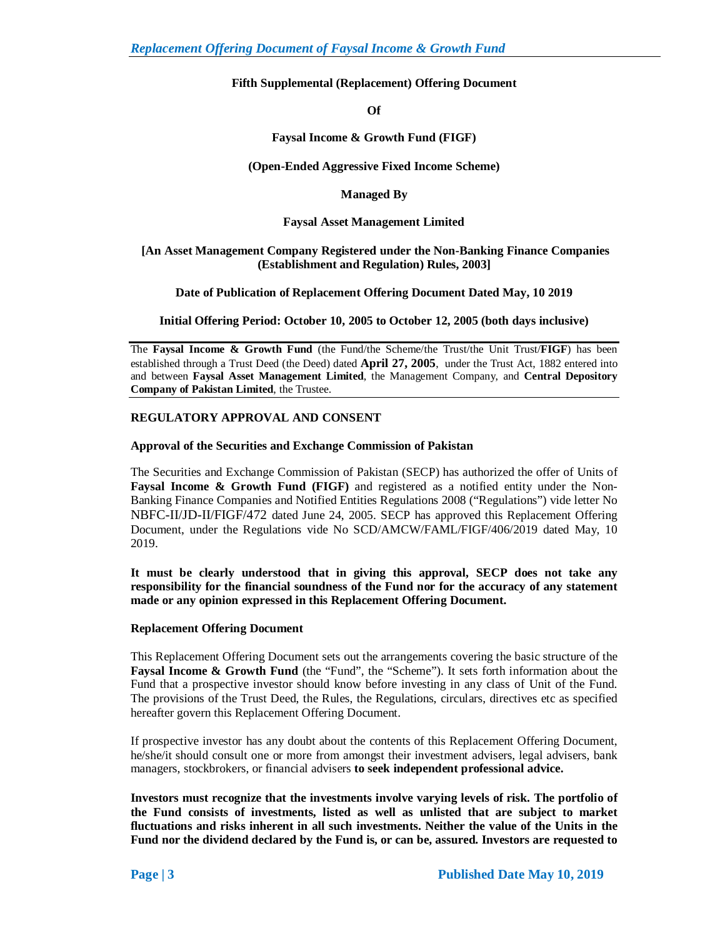## **Fifth Supplemental (Replacement) Offering Document**

**Of**

## **Faysal Income & Growth Fund (FIGF)**

## **(Open-Ended Aggressive Fixed Income Scheme)**

#### **Managed By**

#### **Faysal Asset Management Limited**

#### **[An Asset Management Company Registered under the Non-Banking Finance Companies (Establishment and Regulation) Rules, 2003]**

## **Date of Publication of Replacement Offering Document Dated May, 10 2019**

## **Initial Offering Period: October 10, 2005 to October 12, 2005 (both days inclusive)**

The **Faysal Income & Growth Fund** (the Fund/the Scheme/the Trust/the Unit Trust/**FIGF**) has been established through a Trust Deed (the Deed) dated **April 27, 2005**, under the Trust Act, 1882 entered into and between **Faysal Asset Management Limited**, the Management Company, and **Central Depository Company of Pakistan Limited**, the Trustee.

## **REGULATORY APPROVAL AND CONSENT**

#### **Approval of the Securities and Exchange Commission of Pakistan**

The Securities and Exchange Commission of Pakistan (SECP) has authorized the offer of Units of **Faysal Income & Growth Fund (FIGF)** and registered as a notified entity under the Non-Banking Finance Companies and Notified Entities Regulations 2008 ("Regulations") vide letter No NBFC-II/JD-II/FIGF/472 dated June 24, 2005. SECP has approved this Replacement Offering Document, under the Regulations vide No SCD/AMCW/FAML/FIGF/406/2019 dated May, 10 2019.

**It must be clearly understood that in giving this approval, SECP does not take any responsibility for the financial soundness of the Fund nor for the accuracy of any statement made or any opinion expressed in this Replacement Offering Document.**

#### **Replacement Offering Document**

This Replacement Offering Document sets out the arrangements covering the basic structure of the **Faysal Income & Growth Fund** (the "Fund", the "Scheme"). It sets forth information about the Fund that a prospective investor should know before investing in any class of Unit of the Fund. The provisions of the Trust Deed, the Rules, the Regulations, circulars, directives etc as specified hereafter govern this Replacement Offering Document.

If prospective investor has any doubt about the contents of this Replacement Offering Document, he/she/it should consult one or more from amongst their investment advisers, legal advisers, bank managers, stockbrokers, or financial advisers **to seek independent professional advice.**

**Investors must recognize that the investments involve varying levels of risk. The portfolio of the Fund consists of investments, listed as well as unlisted that are subject to market fluctuations and risks inherent in all such investments. Neither the value of the Units in the Fund nor the dividend declared by the Fund is, or can be, assured. Investors are requested to**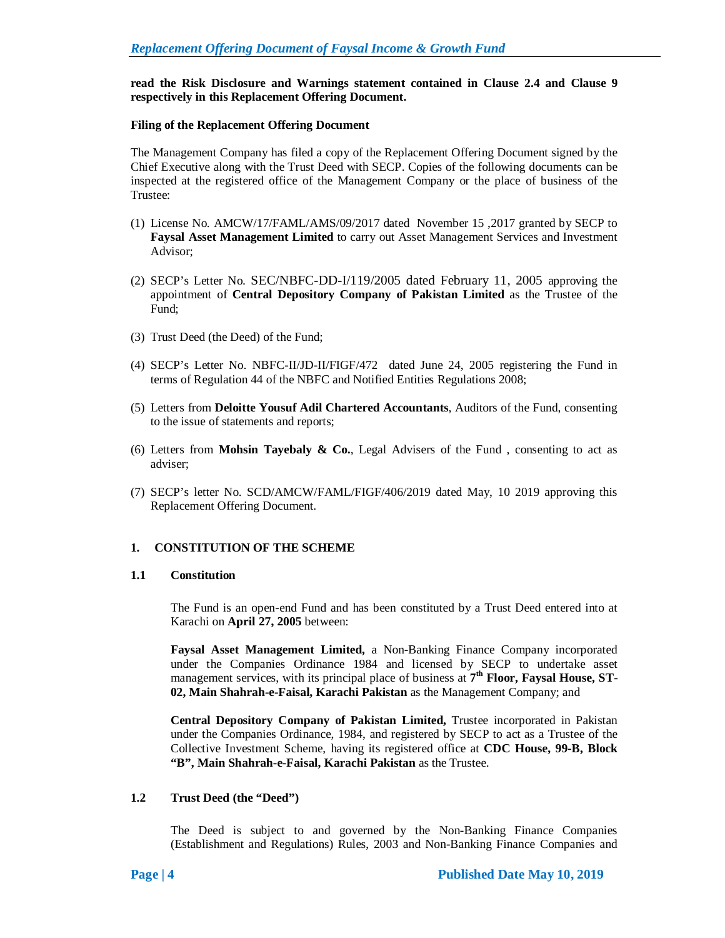**read the Risk Disclosure and Warnings statement contained in Clause 2.4 and Clause 9 respectively in this Replacement Offering Document.**

#### **Filing of the Replacement Offering Document**

The Management Company has filed a copy of the Replacement Offering Document signed by the Chief Executive along with the Trust Deed with SECP. Copies of the following documents can be inspected at the registered office of the Management Company or the place of business of the Trustee:

- (1) License No. AMCW/17/FAML/AMS/09/2017 dated November 15 ,2017 granted by SECP to **Faysal Asset Management Limited** to carry out Asset Management Services and Investment Advisor;
- (2) SECP's Letter No. SEC/NBFC-DD-I/119/2005 dated February 11, 2005 approving the appointment of **Central Depository Company of Pakistan Limited** as the Trustee of the Fund;
- (3) Trust Deed (the Deed) of the Fund;
- (4) SECP's Letter No. NBFC-II/JD-II/FIGF/472 dated June 24, 2005 registering the Fund in terms of Regulation 44 of the NBFC and Notified Entities Regulations 2008;
- (5) Letters from **Deloitte Yousuf Adil Chartered Accountants**, Auditors of the Fund, consenting to the issue of statements and reports;
- (6) Letters from **Mohsin Tayebaly & Co.**, Legal Advisers of the Fund , consenting to act as adviser;
- (7) SECP's letter No. SCD/AMCW/FAML/FIGF/406/2019 dated May, 10 2019 approving this Replacement Offering Document.

#### **1. CONSTITUTION OF THE SCHEME**

#### **1.1 Constitution**

The Fund is an open-end Fund and has been constituted by a Trust Deed entered into at Karachi on **April 27, 2005** between:

**Faysal Asset Management Limited,** a Non-Banking Finance Company incorporated under the Companies Ordinance 1984 and licensed by SECP to undertake asset management services, with its principal place of business at 7<sup>th</sup> Floor, Faysal House, ST-**02, Main Shahrah-e-Faisal, Karachi Pakistan** as the Management Company; and

**Central Depository Company of Pakistan Limited,** Trustee incorporated in Pakistan under the Companies Ordinance, 1984, and registered by SECP to act as a Trustee of the Collective Investment Scheme, having its registered office at **CDC House, 99-B, Block "B", Main Shahrah-e-Faisal, Karachi Pakistan** as the Trustee.

#### **1.2 Trust Deed (the "Deed")**

The Deed is subject to and governed by the Non-Banking Finance Companies (Establishment and Regulations) Rules, 2003 and Non-Banking Finance Companies and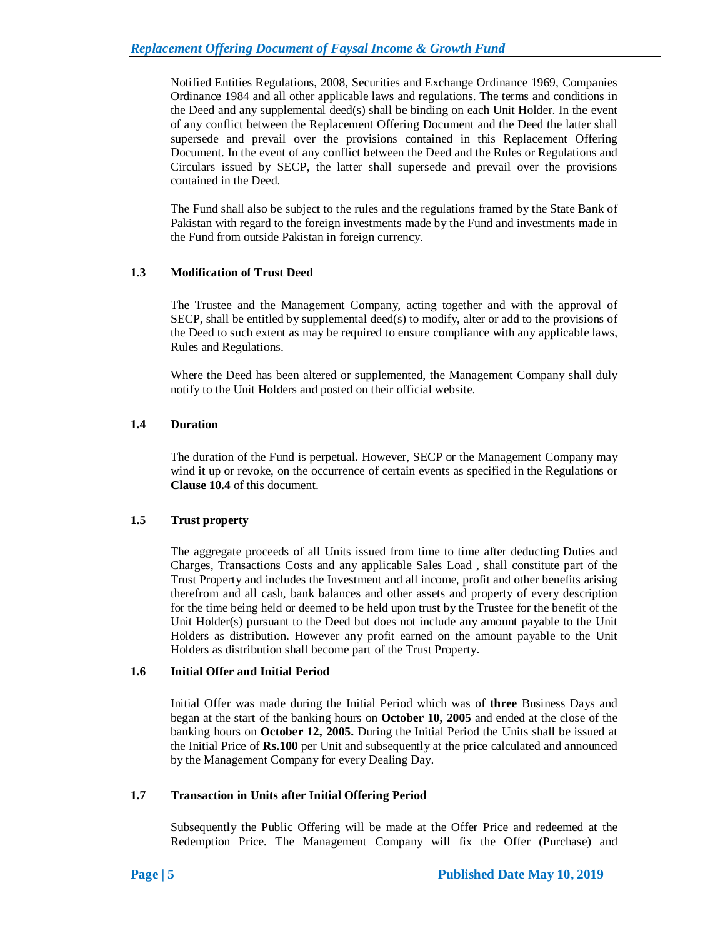Notified Entities Regulations, 2008, Securities and Exchange Ordinance 1969, Companies Ordinance 1984 and all other applicable laws and regulations. The terms and conditions in the Deed and any supplemental deed(s) shall be binding on each Unit Holder. In the event of any conflict between the Replacement Offering Document and the Deed the latter shall supersede and prevail over the provisions contained in this Replacement Offering Document. In the event of any conflict between the Deed and the Rules or Regulations and Circulars issued by SECP, the latter shall supersede and prevail over the provisions contained in the Deed.

The Fund shall also be subject to the rules and the regulations framed by the State Bank of Pakistan with regard to the foreign investments made by the Fund and investments made in the Fund from outside Pakistan in foreign currency.

## **1.3 Modification of Trust Deed**

The Trustee and the Management Company, acting together and with the approval of SECP, shall be entitled by supplemental deed(s) to modify, alter or add to the provisions of the Deed to such extent as may be required to ensure compliance with any applicable laws, Rules and Regulations.

Where the Deed has been altered or supplemented, the Management Company shall duly notify to the Unit Holders and posted on their official website.

## **1.4 Duration**

The duration of the Fund is perpetual**.** However, SECP or the Management Company may wind it up or revoke, on the occurrence of certain events as specified in the Regulations or **Clause 10.4** of this document.

## **1.5 Trust property**

The aggregate proceeds of all Units issued from time to time after deducting Duties and Charges, Transactions Costs and any applicable Sales Load , shall constitute part of the Trust Property and includes the Investment and all income, profit and other benefits arising therefrom and all cash, bank balances and other assets and property of every description for the time being held or deemed to be held upon trust by the Trustee for the benefit of the Unit Holder(s) pursuant to the Deed but does not include any amount payable to the Unit Holders as distribution. However any profit earned on the amount payable to the Unit Holders as distribution shall become part of the Trust Property.

## **1.6 Initial Offer and Initial Period**

Initial Offer was made during the Initial Period which was of **three** Business Days and began at the start of the banking hours on **October 10, 2005** and ended at the close of the banking hours on **October 12, 2005.** During the Initial Period the Units shall be issued at the Initial Price of **Rs.100** per Unit and subsequently at the price calculated and announced by the Management Company for every Dealing Day.

## **1.7 Transaction in Units after Initial Offering Period**

Subsequently the Public Offering will be made at the Offer Price and redeemed at the Redemption Price. The Management Company will fix the Offer (Purchase) and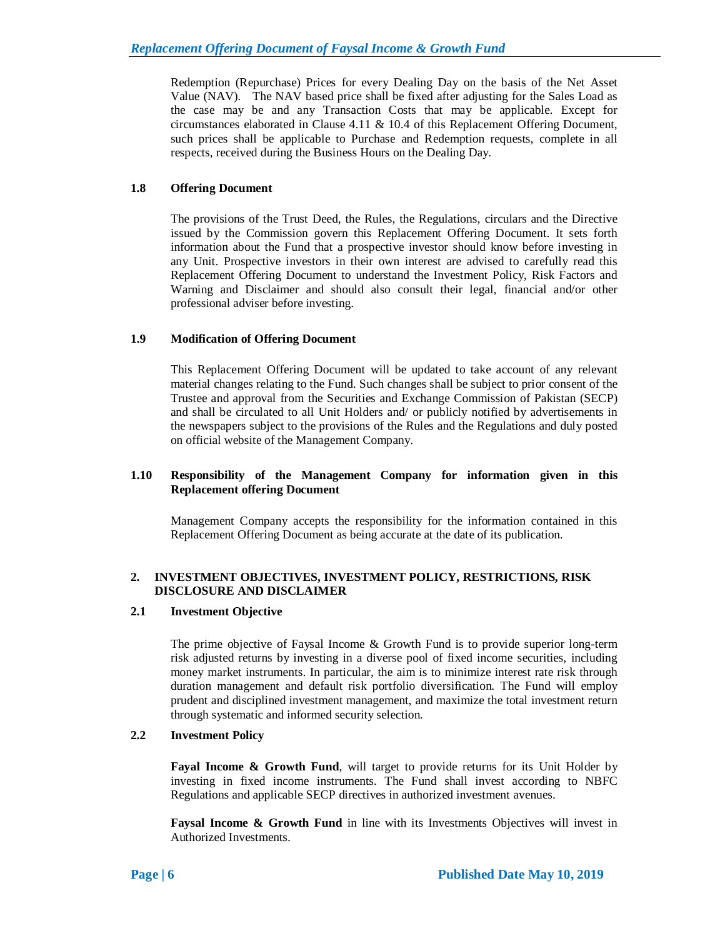Redemption (Repurchase) Prices for every Dealing Day on the basis of the Net Asset Value (NAV). The NAV based price shall be fixed after adjusting for the Sales Load as the case may be and any Transaction Costs that may be applicable. Except for circumstances elaborated in Clause 4.11 & 10.4 of this Replacement Offering Document, such prices shall be applicable to Purchase and Redemption requests, complete in all respects, received during the Business Hours on the Dealing Day.

## **1.8 Offering Document**

The provisions of the Trust Deed, the Rules, the Regulations, circulars and the Directive issued by the Commission govern this Replacement Offering Document. It sets forth information about the Fund that a prospective investor should know before investing in any Unit. Prospective investors in their own interest are advised to carefully read this Replacement Offering Document to understand the Investment Policy, Risk Factors and Warning and Disclaimer and should also consult their legal, financial and/or other professional adviser before investing.

## **1.9 Modification of Offering Document**

This Replacement Offering Document will be updated to take account of any relevant material changes relating to the Fund. Such changes shall be subject to prior consent of the Trustee and approval from the Securities and Exchange Commission of Pakistan (SECP) and shall be circulated to all Unit Holders and/ or publicly notified by advertisements in the newspapers subject to the provisions of the Rules and the Regulations and duly posted on official website of the Management Company.

## **1.10 Responsibility of the Management Company for information given in this Replacement offering Document**

Management Company accepts the responsibility for the information contained in this Replacement Offering Document as being accurate at the date of its publication.

## **2. INVESTMENT OBJECTIVES, INVESTMENT POLICY, RESTRICTIONS, RISK DISCLOSURE AND DISCLAIMER**

## **2.1 Investment Objective**

The prime objective of Faysal Income & Growth Fund is to provide superior long-term risk adjusted returns by investing in a diverse pool of fixed income securities, including money market instruments. In particular, the aim is to minimize interest rate risk through duration management and default risk portfolio diversification. The Fund will employ prudent and disciplined investment management, and maximize the total investment return through systematic and informed security selection.

## **2.2 Investment Policy**

**Fayal Income & Growth Fund**, will target to provide returns for its Unit Holder by investing in fixed income instruments. The Fund shall invest according to NBFC Regulations and applicable SECP directives in authorized investment avenues.

**Faysal Income & Growth Fund** in line with its Investments Objectives will invest in Authorized Investments.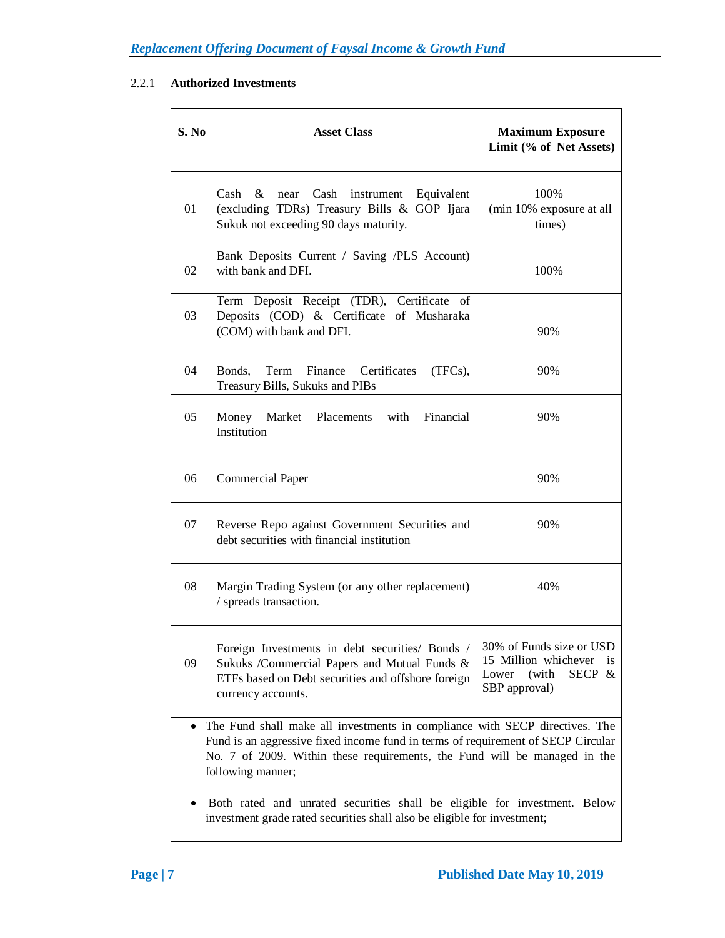# 2.2.1 **Authorized Investments**

| S. No     | <b>Asset Class</b>                                                                                                                                                                                                                                                | <b>Maximum Exposure</b><br>Limit (% of Net Assets)                                                           |  |  |  |
|-----------|-------------------------------------------------------------------------------------------------------------------------------------------------------------------------------------------------------------------------------------------------------------------|--------------------------------------------------------------------------------------------------------------|--|--|--|
| 01        | Cash & near Cash<br>instrument<br>Equivalent<br>(excluding TDRs) Treasury Bills & GOP Ijara<br>Sukuk not exceeding 90 days maturity.                                                                                                                              | 100%<br>(min 10% exposure at all<br>times)                                                                   |  |  |  |
| 02        | Bank Deposits Current / Saving /PLS Account)<br>with bank and DFI.                                                                                                                                                                                                | 100%                                                                                                         |  |  |  |
| 03        | Term Deposit Receipt (TDR), Certificate of<br>Deposits (COD) & Certificate of Musharaka<br>(COM) with bank and DFI.                                                                                                                                               | 90%                                                                                                          |  |  |  |
| 04        | Bonds,<br>Term Finance<br>Certificates<br>$(TFCs)$ ,<br>Treasury Bills, Sukuks and PIBs                                                                                                                                                                           | 90%                                                                                                          |  |  |  |
| 05        | Money Market Placements<br>with<br>Financial<br>Institution                                                                                                                                                                                                       | 90%                                                                                                          |  |  |  |
| 06        | Commercial Paper                                                                                                                                                                                                                                                  | 90%                                                                                                          |  |  |  |
| 07        | Reverse Repo against Government Securities and<br>debt securities with financial institution                                                                                                                                                                      | 90%                                                                                                          |  |  |  |
| 08        | Margin Trading System (or any other replacement)<br>/ spreads transaction.                                                                                                                                                                                        | 40%                                                                                                          |  |  |  |
| 09        | Foreign Investments in debt securities/ Bonds /<br>Sukuks /Commercial Papers and Mutual Funds &<br>ETFs based on Debt securities and offshore foreign<br>currency accounts.                                                                                       | 30% of Funds size or USD<br>15 Million whichever<br><i>is</i><br>(with<br>SECP $&$<br>Lower<br>SBP approval) |  |  |  |
| $\bullet$ | The Fund shall make all investments in compliance with SECP directives. The<br>Fund is an aggressive fixed income fund in terms of requirement of SECP Circular<br>No. 7 of 2009. Within these requirements, the Fund will be managed in the<br>following manner; |                                                                                                              |  |  |  |
|           | Both rated and unrated securities shall be eligible for investment. Below<br>investment grade rated securities shall also be eligible for investment;                                                                                                             |                                                                                                              |  |  |  |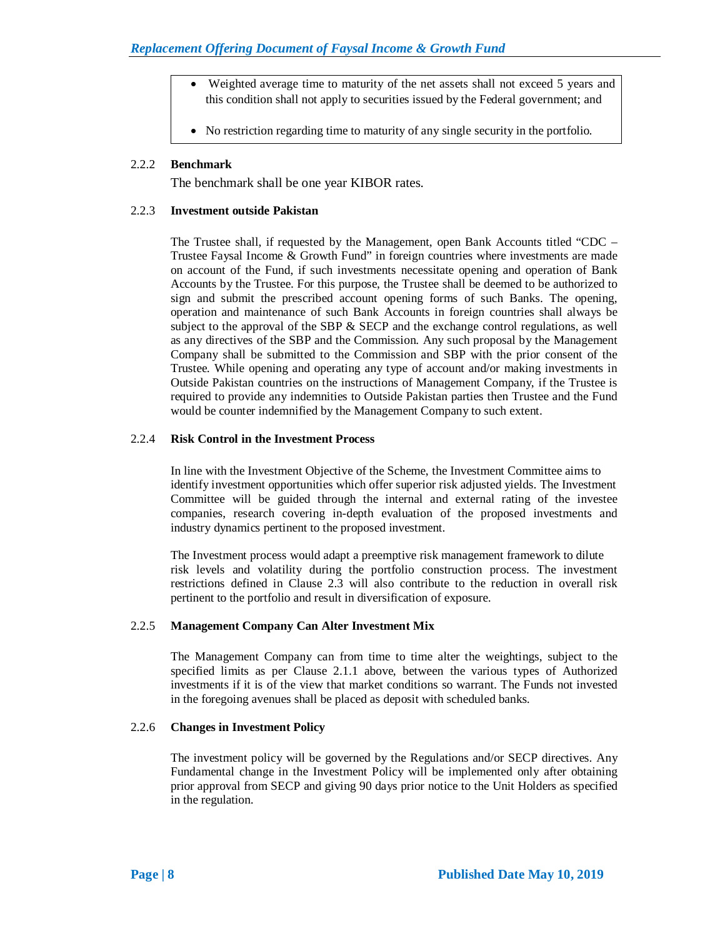- Weighted average time to maturity of the net assets shall not exceed 5 years and this condition shall not apply to securities issued by the Federal government; and
- No restriction regarding time to maturity of any single security in the portfolio.

## 2.2.2 **Benchmark**

The benchmark shall be one year KIBOR rates.

#### 2.2.3 **Investment outside Pakistan**

The Trustee shall, if requested by the Management, open Bank Accounts titled "CDC – Trustee Faysal Income & Growth Fund" in foreign countries where investments are made on account of the Fund, if such investments necessitate opening and operation of Bank Accounts by the Trustee. For this purpose, the Trustee shall be deemed to be authorized to sign and submit the prescribed account opening forms of such Banks. The opening, operation and maintenance of such Bank Accounts in foreign countries shall always be subject to the approval of the SBP & SECP and the exchange control regulations, as well as any directives of the SBP and the Commission. Any such proposal by the Management Company shall be submitted to the Commission and SBP with the prior consent of the Trustee. While opening and operating any type of account and/or making investments in Outside Pakistan countries on the instructions of Management Company, if the Trustee is required to provide any indemnities to Outside Pakistan parties then Trustee and the Fund would be counter indemnified by the Management Company to such extent.

## 2.2.4 **Risk Control in the Investment Process**

In line with the Investment Objective of the Scheme, the Investment Committee aims to identify investment opportunities which offer superior risk adjusted yields. The Investment Committee will be guided through the internal and external rating of the investee companies, research covering in-depth evaluation of the proposed investments and industry dynamics pertinent to the proposed investment.

The Investment process would adapt a preemptive risk management framework to dilute risk levels and volatility during the portfolio construction process. The investment restrictions defined in Clause 2.3 will also contribute to the reduction in overall risk pertinent to the portfolio and result in diversification of exposure.

#### 2.2.5 **Management Company Can Alter Investment Mix**

The Management Company can from time to time alter the weightings, subject to the specified limits as per Clause 2.1.1 above, between the various types of Authorized investments if it is of the view that market conditions so warrant. The Funds not invested in the foregoing avenues shall be placed as deposit with scheduled banks.

#### 2.2.6 **Changes in Investment Policy**

The investment policy will be governed by the Regulations and/or SECP directives. Any Fundamental change in the Investment Policy will be implemented only after obtaining prior approval from SECP and giving 90 days prior notice to the Unit Holders as specified in the regulation.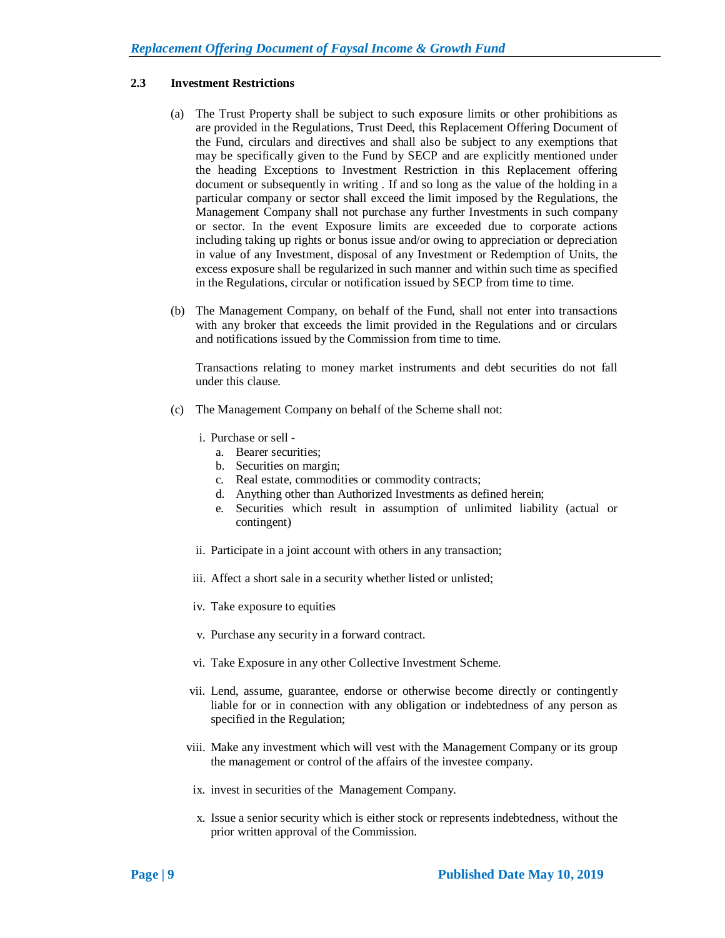## **2.3 Investment Restrictions**

- (a) The Trust Property shall be subject to such exposure limits or other prohibitions as are provided in the Regulations, Trust Deed, this Replacement Offering Document of the Fund, circulars and directives and shall also be subject to any exemptions that may be specifically given to the Fund by SECP and are explicitly mentioned under the heading Exceptions to Investment Restriction in this Replacement offering document or subsequently in writing . If and so long as the value of the holding in a particular company or sector shall exceed the limit imposed by the Regulations, the Management Company shall not purchase any further Investments in such company or sector. In the event Exposure limits are exceeded due to corporate actions including taking up rights or bonus issue and/or owing to appreciation or depreciation in value of any Investment, disposal of any Investment or Redemption of Units, the excess exposure shall be regularized in such manner and within such time as specified in the Regulations, circular or notification issued by SECP from time to time.
- (b) The Management Company, on behalf of the Fund, shall not enter into transactions with any broker that exceeds the limit provided in the Regulations and or circulars and notifications issued by the Commission from time to time.

Transactions relating to money market instruments and debt securities do not fall under this clause.

- (c) The Management Company on behalf of the Scheme shall not:
	- i. Purchase or sell
		- a. Bearer securities;
		- b. Securities on margin;
		- c. Real estate, commodities or commodity contracts;
		- d. Anything other than Authorized Investments as defined herein;
		- e. Securities which result in assumption of unlimited liability (actual or contingent)
	- ii. Participate in a joint account with others in any transaction;
	- iii. Affect a short sale in a security whether listed or unlisted;
	- iv. Take exposure to equities
	- v. Purchase any security in a forward contract.
	- vi. Take Exposure in any other Collective Investment Scheme.
	- vii. Lend, assume, guarantee, endorse or otherwise become directly or contingently liable for or in connection with any obligation or indebtedness of any person as specified in the Regulation;
	- viii. Make any investment which will vest with the Management Company or its group the management or control of the affairs of the investee company.
	- ix. invest in securities of the Management Company.
	- x. Issue a senior security which is either stock or represents indebtedness, without the prior written approval of the Commission.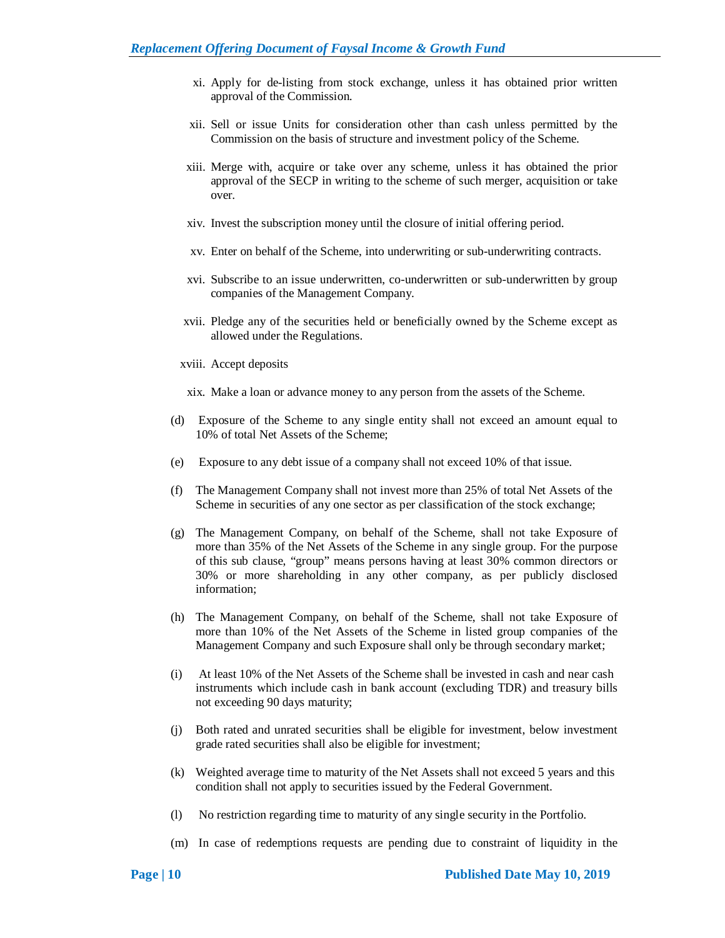- xi. Apply for de-listing from stock exchange, unless it has obtained prior written approval of the Commission.
- xii. Sell or issue Units for consideration other than cash unless permitted by the Commission on the basis of structure and investment policy of the Scheme.
- xiii. Merge with, acquire or take over any scheme, unless it has obtained the prior approval of the SECP in writing to the scheme of such merger, acquisition or take over.
- xiv. Invest the subscription money until the closure of initial offering period.
- xv. Enter on behalf of the Scheme, into underwriting or sub-underwriting contracts.
- xvi. Subscribe to an issue underwritten, co-underwritten or sub-underwritten by group companies of the Management Company.
- xvii. Pledge any of the securities held or beneficially owned by the Scheme except as allowed under the Regulations.
- xviii. Accept deposits

xix. Make a loan or advance money to any person from the assets of the Scheme.

- (d) Exposure of the Scheme to any single entity shall not exceed an amount equal to 10% of total Net Assets of the Scheme;
- (e) Exposure to any debt issue of a company shall not exceed 10% of that issue.
- (f) The Management Company shall not invest more than 25% of total Net Assets of the Scheme in securities of any one sector as per classification of the stock exchange;
- (g) The Management Company, on behalf of the Scheme, shall not take Exposure of more than 35% of the Net Assets of the Scheme in any single group. For the purpose of this sub clause, "group" means persons having at least 30% common directors or 30% or more shareholding in any other company, as per publicly disclosed information;
- (h) The Management Company, on behalf of the Scheme, shall not take Exposure of more than 10% of the Net Assets of the Scheme in listed group companies of the Management Company and such Exposure shall only be through secondary market;
- (i) At least 10% of the Net Assets of the Scheme shall be invested in cash and near cash instruments which include cash in bank account (excluding TDR) and treasury bills not exceeding 90 days maturity;
- (j) Both rated and unrated securities shall be eligible for investment, below investment grade rated securities shall also be eligible for investment;
- (k) Weighted average time to maturity of the Net Assets shall not exceed 5 years and this condition shall not apply to securities issued by the Federal Government.
- (l) No restriction regarding time to maturity of any single security in the Portfolio.
- (m) In case of redemptions requests are pending due to constraint of liquidity in the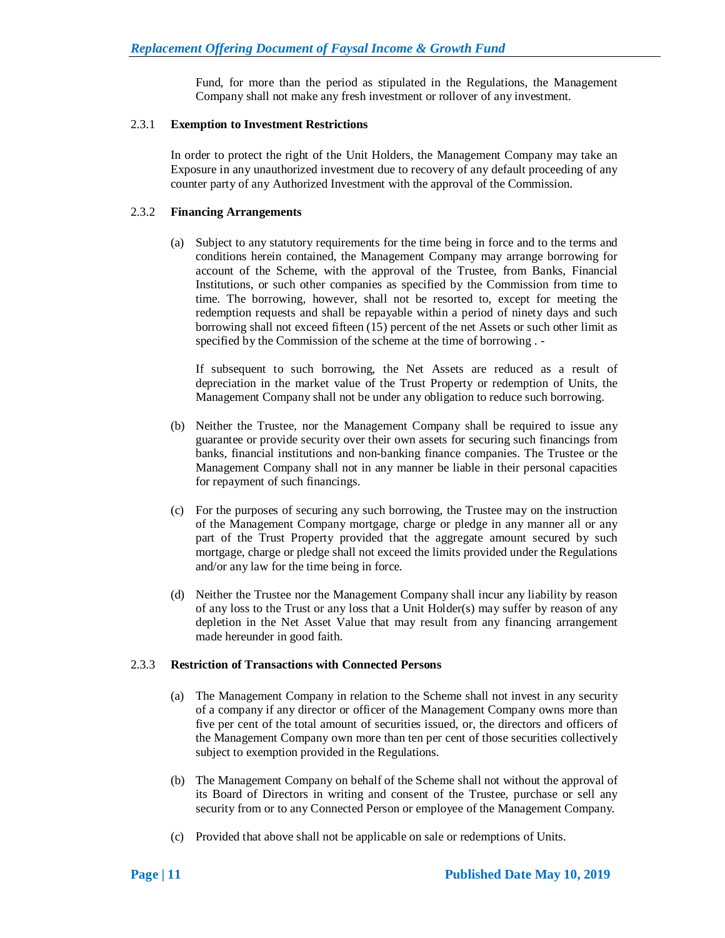Fund, for more than the period as stipulated in the Regulations, the Management Company shall not make any fresh investment or rollover of any investment.

#### 2.3.1 **Exemption to Investment Restrictions**

In order to protect the right of the Unit Holders, the Management Company may take an Exposure in any unauthorized investment due to recovery of any default proceeding of any counter party of any Authorized Investment with the approval of the Commission.

## 2.3.2 **Financing Arrangements**

(a) Subject to any statutory requirements for the time being in force and to the terms and conditions herein contained, the Management Company may arrange borrowing for account of the Scheme, with the approval of the Trustee, from Banks, Financial Institutions, or such other companies as specified by the Commission from time to time. The borrowing, however, shall not be resorted to, except for meeting the redemption requests and shall be repayable within a period of ninety days and such borrowing shall not exceed fifteen (15) percent of the net Assets or such other limit as specified by the Commission of the scheme at the time of borrowing . -

If subsequent to such borrowing, the Net Assets are reduced as a result of depreciation in the market value of the Trust Property or redemption of Units, the Management Company shall not be under any obligation to reduce such borrowing.

- (b) Neither the Trustee, nor the Management Company shall be required to issue any guarantee or provide security over their own assets for securing such financings from banks, financial institutions and non-banking finance companies. The Trustee or the Management Company shall not in any manner be liable in their personal capacities for repayment of such financings.
- (c) For the purposes of securing any such borrowing, the Trustee may on the instruction of the Management Company mortgage, charge or pledge in any manner all or any part of the Trust Property provided that the aggregate amount secured by such mortgage, charge or pledge shall not exceed the limits provided under the Regulations and/or any law for the time being in force.
- (d) Neither the Trustee nor the Management Company shall incur any liability by reason of any loss to the Trust or any loss that a Unit Holder(s) may suffer by reason of any depletion in the Net Asset Value that may result from any financing arrangement made hereunder in good faith.

#### 2.3.3 **Restriction of Transactions with Connected Persons**

- (a) The Management Company in relation to the Scheme shall not invest in any security of a company if any director or officer of the Management Company owns more than five per cent of the total amount of securities issued, or, the directors and officers of the Management Company own more than ten per cent of those securities collectively subject to exemption provided in the Regulations.
- (b) The Management Company on behalf of the Scheme shall not without the approval of its Board of Directors in writing and consent of the Trustee, purchase or sell any security from or to any Connected Person or employee of the Management Company.
- (c) Provided that above shall not be applicable on sale or redemptions of Units.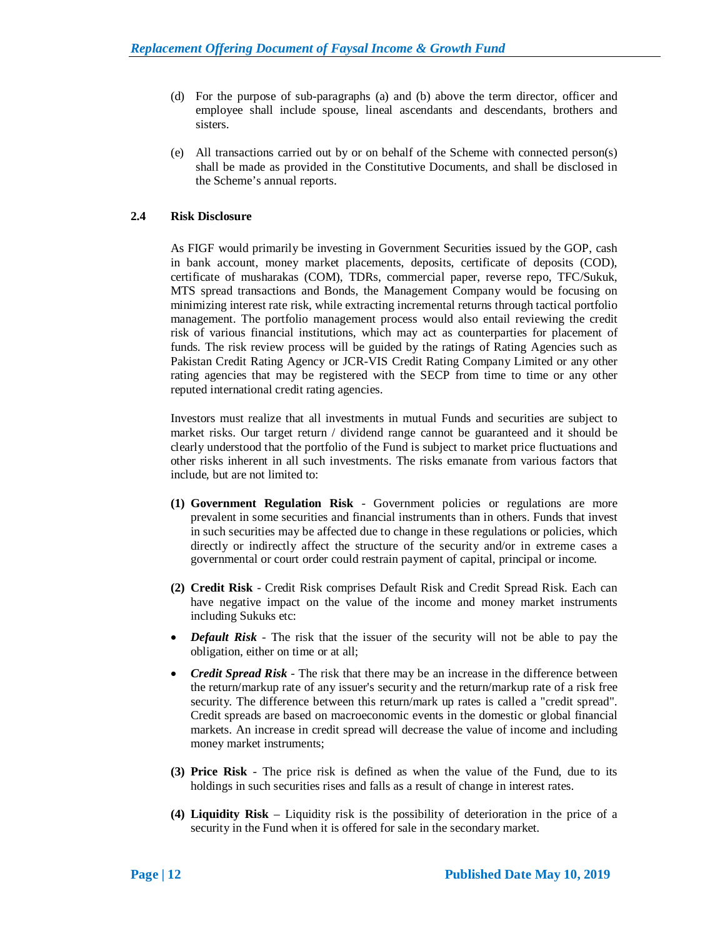- (d) For the purpose of sub-paragraphs (a) and (b) above the term director, officer and employee shall include spouse, lineal ascendants and descendants, brothers and sisters.
- (e) All transactions carried out by or on behalf of the Scheme with connected person(s) shall be made as provided in the Constitutive Documents, and shall be disclosed in the Scheme's annual reports.

#### **2.4 Risk Disclosure**

 As FIGF would primarily be investing in Government Securities issued by the GOP, cash in bank account, money market placements, deposits, certificate of deposits (COD), certificate of musharakas (COM), TDRs, commercial paper, reverse repo, TFC/Sukuk, MTS spread transactions and Bonds, the Management Company would be focusing on minimizing interest rate risk, while extracting incremental returns through tactical portfolio management. The portfolio management process would also entail reviewing the credit risk of various financial institutions, which may act as counterparties for placement of funds. The risk review process will be guided by the ratings of Rating Agencies such as Pakistan Credit Rating Agency or JCR-VIS Credit Rating Company Limited or any other rating agencies that may be registered with the SECP from time to time or any other reputed international credit rating agencies.

Investors must realize that all investments in mutual Funds and securities are subject to market risks. Our target return / dividend range cannot be guaranteed and it should be clearly understood that the portfolio of the Fund is subject to market price fluctuations and other risks inherent in all such investments. The risks emanate from various factors that include, but are not limited to:

- **(1) Government Regulation Risk**  Government policies or regulations are more prevalent in some securities and financial instruments than in others. Funds that invest in such securities may be affected due to change in these regulations or policies, which directly or indirectly affect the structure of the security and/or in extreme cases a governmental or court order could restrain payment of capital, principal or income.
- **(2) Credit Risk**  Credit Risk comprises Default Risk and Credit Spread Risk. Each can have negative impact on the value of the income and money market instruments including Sukuks etc:
- *Default Risk* The risk that the issuer of the security will not be able to pay the obligation, either on time or at all;
- *Credit Spread Risk* The risk that there may be an increase in the difference between the return/markup rate of any issuer's security and the return/markup rate of a risk free security. The difference between this return/mark up rates is called a "credit spread". Credit spreads are based on macroeconomic events in the domestic or global financial markets. An increase in credit spread will decrease the value of income and including money market instruments;
- **(3) Price Risk**  The price risk is defined as when the value of the Fund, due to its holdings in such securities rises and falls as a result of change in interest rates.
- **(4) Liquidity Risk**  Liquidity risk is the possibility of deterioration in the price of a security in the Fund when it is offered for sale in the secondary market.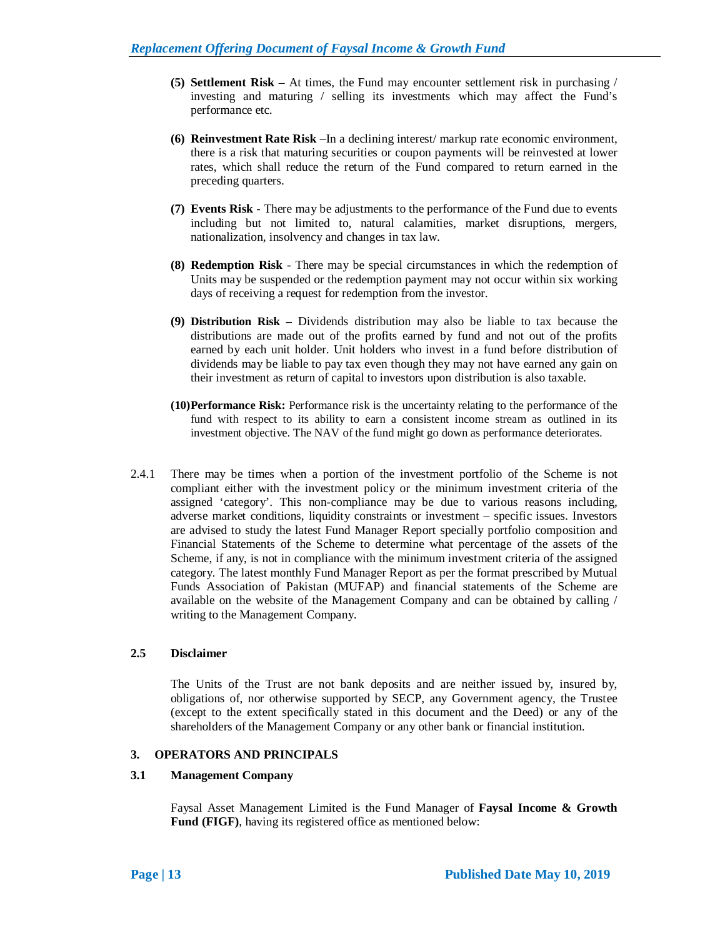- **(5) Settlement Risk**  At times, the Fund may encounter settlement risk in purchasing / investing and maturing / selling its investments which may affect the Fund's performance etc.
- **(6) Reinvestment Rate Risk** –In a declining interest/ markup rate economic environment, there is a risk that maturing securities or coupon payments will be reinvested at lower rates, which shall reduce the return of the Fund compared to return earned in the preceding quarters.
- **(7) Events Risk -** There may be adjustments to the performance of the Fund due to events including but not limited to, natural calamities, market disruptions, mergers, nationalization, insolvency and changes in tax law.
- **(8) Redemption Risk** There may be special circumstances in which the redemption of Units may be suspended or the redemption payment may not occur within six working days of receiving a request for redemption from the investor.
- **(9) Distribution Risk –** Dividends distribution may also be liable to tax because the distributions are made out of the profits earned by fund and not out of the profits earned by each unit holder. Unit holders who invest in a fund before distribution of dividends may be liable to pay tax even though they may not have earned any gain on their investment as return of capital to investors upon distribution is also taxable.
- **(10)Performance Risk:** Performance risk is the uncertainty relating to the performance of the fund with respect to its ability to earn a consistent income stream as outlined in its investment objective. The NAV of the fund might go down as performance deteriorates.
- 2.4.1 There may be times when a portion of the investment portfolio of the Scheme is not compliant either with the investment policy or the minimum investment criteria of the assigned 'category'. This non-compliance may be due to various reasons including, adverse market conditions, liquidity constraints or investment – specific issues. Investors are advised to study the latest Fund Manager Report specially portfolio composition and Financial Statements of the Scheme to determine what percentage of the assets of the Scheme, if any, is not in compliance with the minimum investment criteria of the assigned category. The latest monthly Fund Manager Report as per the format prescribed by Mutual Funds Association of Pakistan (MUFAP) and financial statements of the Scheme are available on the website of the Management Company and can be obtained by calling / writing to the Management Company.

## **2.5 Disclaimer**

The Units of the Trust are not bank deposits and are neither issued by, insured by, obligations of, nor otherwise supported by SECP, any Government agency, the Trustee (except to the extent specifically stated in this document and the Deed) or any of the shareholders of the Management Company or any other bank or financial institution.

## **3. OPERATORS AND PRINCIPALS**

## **3.1 Management Company**

Faysal Asset Management Limited is the Fund Manager of **Faysal Income & Growth Fund (FIGF)**, having its registered office as mentioned below: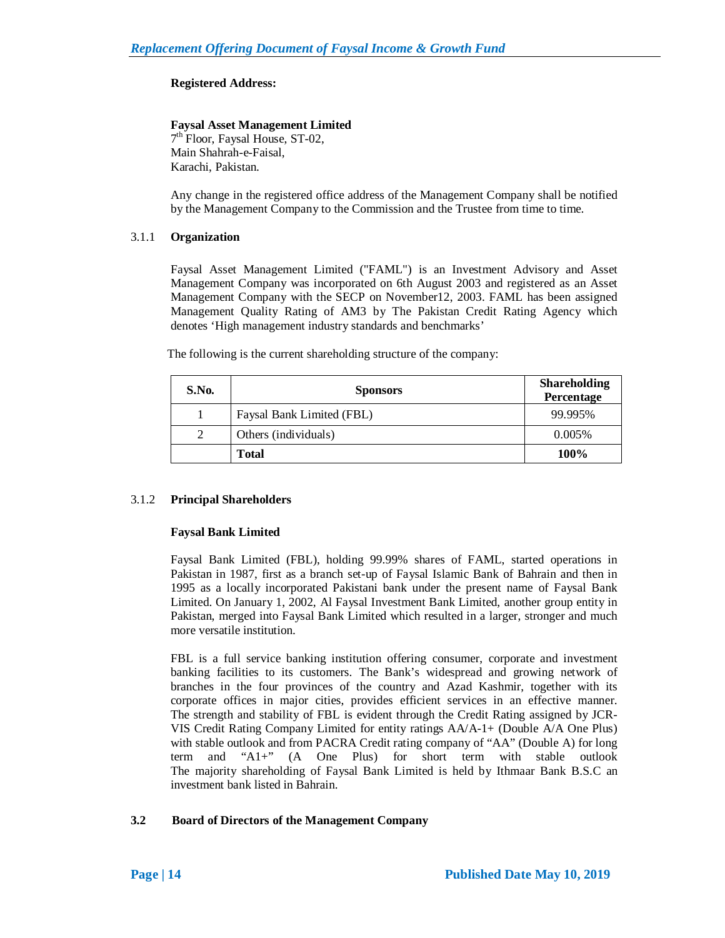## **Registered Address:**

# **Faysal Asset Management Limited**

 7 th Floor, Faysal House, ST-02, Main Shahrah-e-Faisal, Karachi, Pakistan.

> Any change in the registered office address of the Management Company shall be notified by the Management Company to the Commission and the Trustee from time to time.

## 3.1.1 **Organization**

Faysal Asset Management Limited ("FAML") is an Investment Advisory and Asset Management Company was incorporated on 6th August 2003 and registered as an Asset Management Company with the SECP on November12, 2003. FAML has been assigned Management Quality Rating of AM3 by The Pakistan Credit Rating Agency which denotes 'High management industry standards and benchmarks'

The following is the current shareholding structure of the company:

| S.No. | <b>Sponsors</b>           | <b>Shareholding</b><br>Percentage |
|-------|---------------------------|-----------------------------------|
|       | Faysal Bank Limited (FBL) | 99.995%                           |
| 2     | Others (individuals)      | 0.005%                            |
|       | <b>Total</b>              | 100%                              |

## 3.1.2 **Principal Shareholders**

## **Faysal Bank Limited**

Faysal Bank Limited (FBL), holding 99.99% shares of FAML, started operations in Pakistan in 1987, first as a branch set-up of Faysal Islamic Bank of Bahrain and then in 1995 as a locally incorporated Pakistani bank under the present name of Faysal Bank Limited. On January 1, 2002, Al Faysal Investment Bank Limited, another group entity in Pakistan, merged into Faysal Bank Limited which resulted in a larger, stronger and much more versatile institution.

FBL is a full service banking institution offering consumer, corporate and investment banking facilities to its customers. The Bank's widespread and growing network of branches in the four provinces of the country and Azad Kashmir, together with its corporate offices in major cities, provides efficient services in an effective manner. The strength and stability of FBL is evident through the Credit Rating assigned by JCR-VIS Credit Rating Company Limited for entity ratings AA/A-1+ (Double A/A One Plus) with stable outlook and from PACRA Credit rating company of "AA" (Double A) for long term and "A1+" (A One Plus) for short term with stable outlook The majority shareholding of Faysal Bank Limited is held by Ithmaar Bank B.S.C an investment bank listed in Bahrain.

## **3.2 Board of Directors of the Management Company**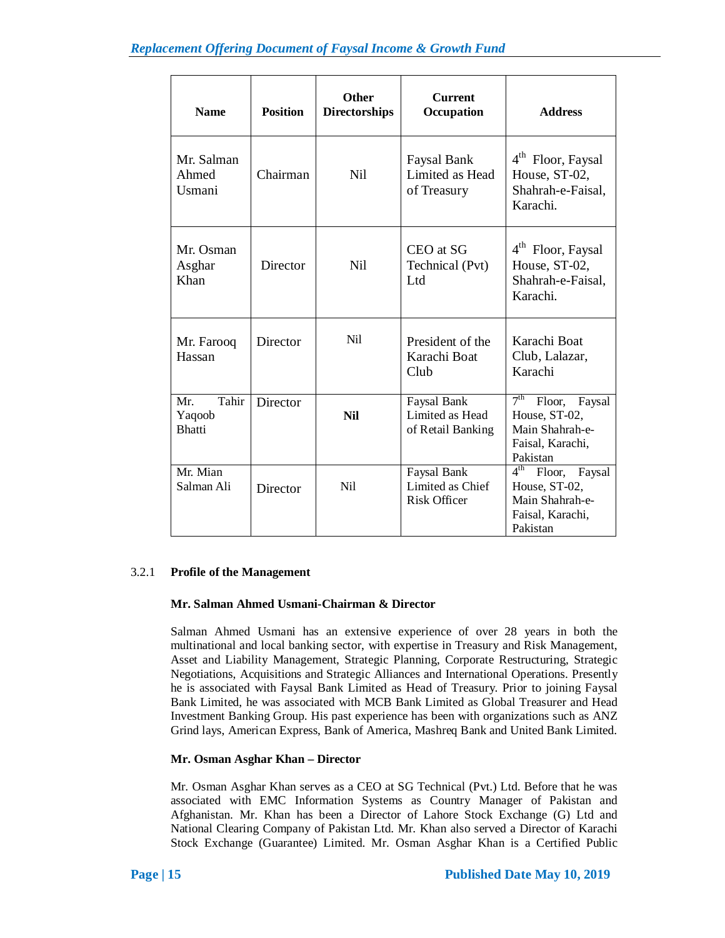| <b>Name</b>                             | <b>Position</b> | <b>Other</b><br><b>Directorships</b> | <b>Current</b><br>Occupation                           | <b>Address</b>                                                                                          |
|-----------------------------------------|-----------------|--------------------------------------|--------------------------------------------------------|---------------------------------------------------------------------------------------------------------|
| Mr. Salman<br>Ahmed<br>Usmani           | Chairman        | Nil                                  | Faysal Bank<br>Limited as Head<br>of Treasury          | 4 <sup>th</sup> Floor, Faysal<br>House, ST-02,<br>Shahrah-e-Faisal,<br>Karachi.                         |
| Mr. Osman<br>Asghar<br>Khan             | Director        | Nil                                  | CEO at SG<br>Technical (Pvt)<br>Ltd                    | 4 <sup>th</sup> Floor, Faysal<br>House, ST-02,<br>Shahrah-e-Faisal,<br>Karachi.                         |
| Mr. Farooq<br>Hassan                    | Director        | Ni1                                  | President of the<br>Karachi Boat<br>Club               | Karachi Boat<br>Club, Lalazar,<br>Karachi                                                               |
| Tahir<br>Mr.<br>Yaqoob<br><b>Bhatti</b> | <b>Director</b> | <b>Nil</b>                           | Faysal Bank<br>Limited as Head<br>of Retail Banking    | 7 <sup>th</sup><br>Floor,<br>Faysal<br>House, ST-02,<br>Main Shahrah-e-<br>Faisal, Karachi,<br>Pakistan |
| Mr. Mian<br>Salman Ali                  | Director        | Ni1                                  | Faysal Bank<br>Limited as Chief<br><b>Risk Officer</b> | $4^{\text{th}}$<br>Floor,<br>Faysal<br>House, ST-02,<br>Main Shahrah-e-<br>Faisal, Karachi,<br>Pakistan |

## 3.2.1 **Profile of the Management**

## **Mr. Salman Ahmed Usmani-Chairman & Director**

Salman Ahmed Usmani has an extensive experience of over 28 years in both the multinational and local banking sector, with expertise in Treasury and Risk Management, Asset and Liability Management, Strategic Planning, Corporate Restructuring, Strategic Negotiations, Acquisitions and Strategic Alliances and International Operations. Presently he is associated with Faysal Bank Limited as Head of Treasury. Prior to joining Faysal Bank Limited, he was associated with MCB Bank Limited as Global Treasurer and Head Investment Banking Group. His past experience has been with organizations such as ANZ Grind lays, American Express, Bank of America, Mashreq Bank and United Bank Limited.

# **Mr. Osman Asghar Khan – Director**

Mr. Osman Asghar Khan serves as a CEO at SG Technical (Pvt.) Ltd. Before that he was associated with EMC Information Systems as Country Manager of Pakistan and Afghanistan. Mr. Khan has been a Director of Lahore Stock Exchange (G) Ltd and National Clearing Company of Pakistan Ltd. Mr. Khan also served a Director of Karachi Stock Exchange (Guarantee) Limited. Mr. Osman Asghar Khan is a Certified Public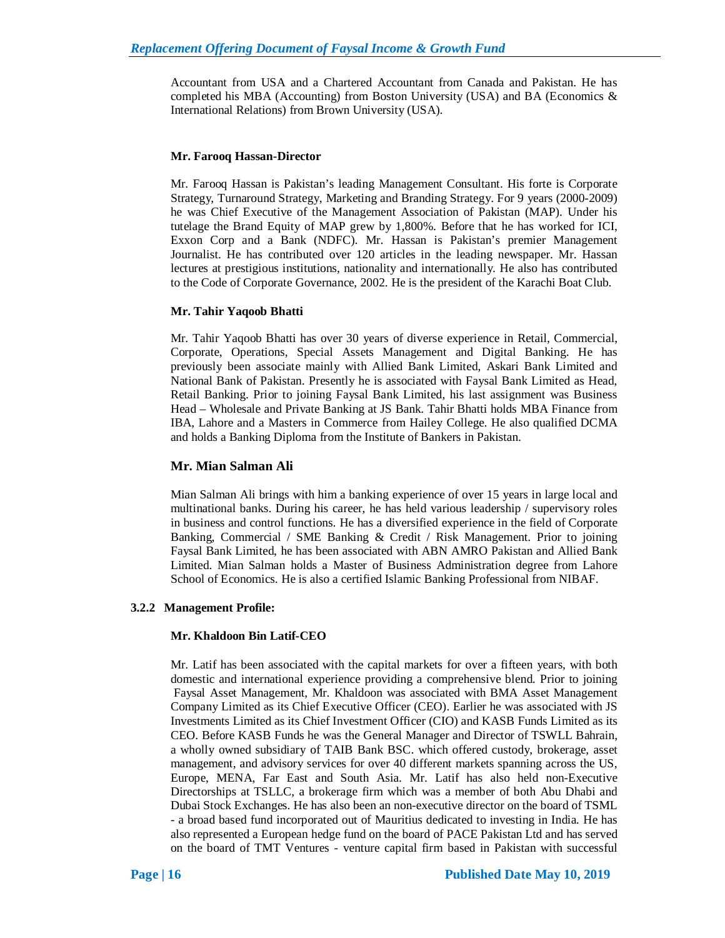Accountant from USA and a Chartered Accountant from Canada and Pakistan. He has completed his MBA (Accounting) from Boston University (USA) and BA (Economics  $\&$ International Relations) from Brown University (USA).

#### **Mr. Farooq Hassan-Director**

Mr. Farooq Hassan is Pakistan's leading Management Consultant. His forte is Corporate Strategy, Turnaround Strategy, Marketing and Branding Strategy. For 9 years (2000-2009) he was Chief Executive of the Management Association of Pakistan (MAP). Under his tutelage the Brand Equity of MAP grew by 1,800%. Before that he has worked for ICI, Exxon Corp and a Bank (NDFC). Mr. Hassan is Pakistan's premier Management Journalist. He has contributed over 120 articles in the leading newspaper. Mr. Hassan lectures at prestigious institutions, nationality and internationally. He also has contributed to the Code of Corporate Governance, 2002. He is the president of the Karachi Boat Club.

#### **Mr. Tahir Yaqoob Bhatti**

Mr. Tahir Yaqoob Bhatti has over 30 years of diverse experience in Retail, Commercial, Corporate, Operations, Special Assets Management and Digital Banking. He has previously been associate mainly with Allied Bank Limited, Askari Bank Limited and National Bank of Pakistan. Presently he is associated with Faysal Bank Limited as Head, Retail Banking. Prior to joining Faysal Bank Limited, his last assignment was Business Head – Wholesale and Private Banking at JS Bank. Tahir Bhatti holds MBA Finance from IBA, Lahore and a Masters in Commerce from Hailey College. He also qualified DCMA and holds a Banking Diploma from the Institute of Bankers in Pakistan.

#### **Mr. Mian Salman Ali**

Mian Salman Ali brings with him a banking experience of over 15 years in large local and multinational banks. During his career, he has held various leadership / supervisory roles in business and control functions. He has a diversified experience in the field of Corporate Banking, Commercial / SME Banking & Credit / Risk Management. Prior to joining Faysal Bank Limited, he has been associated with ABN AMRO Pakistan and Allied Bank Limited. Mian Salman holds a Master of Business Administration degree from Lahore School of Economics. He is also a certified Islamic Banking Professional from NIBAF.

#### **3.2.2 Management Profile:**

#### **Mr. Khaldoon Bin Latif-CEO**

Mr. Latif has been associated with the capital markets for over a fifteen years, with both domestic and international experience providing a comprehensive blend. Prior to joining Faysal Asset Management, Mr. Khaldoon was associated with BMA Asset Management Company Limited as its Chief Executive Officer (CEO). Earlier he was associated with JS Investments Limited as its Chief Investment Officer (CIO) and KASB Funds Limited as its CEO. Before KASB Funds he was the General Manager and Director of TSWLL Bahrain, a wholly owned subsidiary of TAIB Bank BSC. which offered custody, brokerage, asset management, and advisory services for over 40 different markets spanning across the US, Europe, MENA, Far East and South Asia. Mr. Latif has also held non-Executive Directorships at TSLLC, a brokerage firm which was a member of both Abu Dhabi and Dubai Stock Exchanges. He has also been an non-executive director on the board of TSML - a broad based fund incorporated out of Mauritius dedicated to investing in India. He has also represented a European hedge fund on the board of PACE Pakistan Ltd and has served on the board of TMT Ventures - venture capital firm based in Pakistan with successful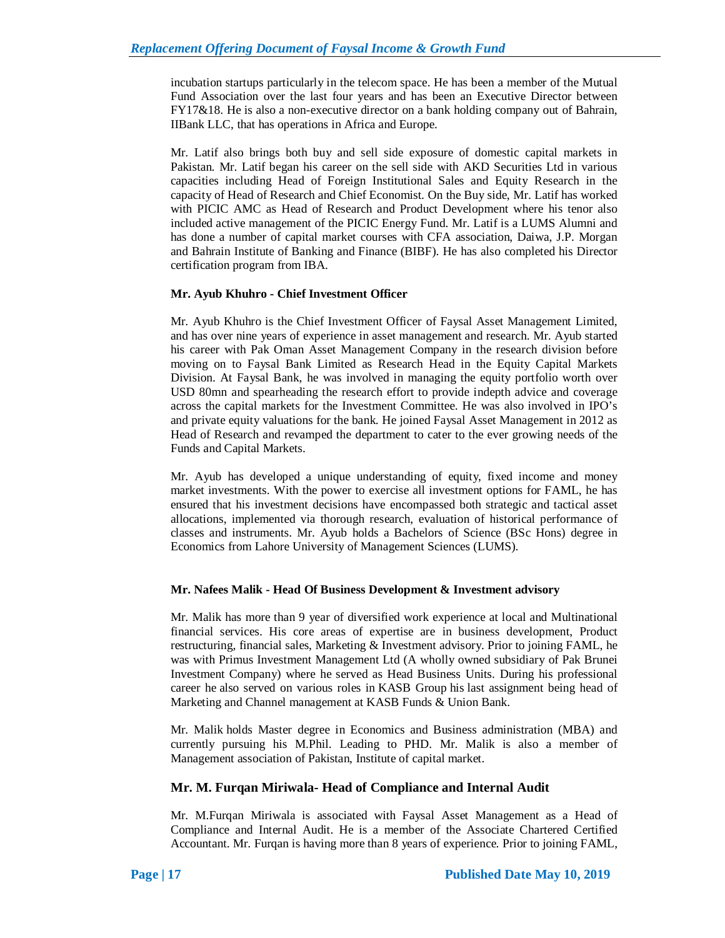incubation startups particularly in the telecom space. He has been a member of the Mutual Fund Association over the last four years and has been an Executive Director between FY17&18. He is also a non-executive director on a bank holding company out of Bahrain, IIBank LLC, that has operations in Africa and Europe.

Mr. Latif also brings both buy and sell side exposure of domestic capital markets in Pakistan. Mr. Latif began his career on the sell side with AKD Securities Ltd in various capacities including Head of Foreign Institutional Sales and Equity Research in the capacity of Head of Research and Chief Economist. On the Buy side, Mr. Latif has worked with PICIC AMC as Head of Research and Product Development where his tenor also included active management of the PICIC Energy Fund. Mr. Latif is a LUMS Alumni and has done a number of capital market courses with CFA association, Daiwa, J.P. Morgan and Bahrain Institute of Banking and Finance (BIBF). He has also completed his Director certification program from IBA.

## **Mr. Ayub Khuhro - Chief Investment Officer**

Mr. Ayub Khuhro is the Chief Investment Officer of Faysal Asset Management Limited, and has over nine years of experience in asset management and research. Mr. Ayub started his career with Pak Oman Asset Management Company in the research division before moving on to Faysal Bank Limited as Research Head in the Equity Capital Markets Division. At Faysal Bank, he was involved in managing the equity portfolio worth over USD 80mn and spearheading the research effort to provide indepth advice and coverage across the capital markets for the Investment Committee. He was also involved in IPO's and private equity valuations for the bank. He joined Faysal Asset Management in 2012 as Head of Research and revamped the department to cater to the ever growing needs of the Funds and Capital Markets.

Mr. Ayub has developed a unique understanding of equity, fixed income and money market investments. With the power to exercise all investment options for FAML, he has ensured that his investment decisions have encompassed both strategic and tactical asset allocations, implemented via thorough research, evaluation of historical performance of classes and instruments. Mr. Ayub holds a Bachelors of Science (BSc Hons) degree in Economics from Lahore University of Management Sciences (LUMS).

#### **Mr. Nafees Malik - Head Of Business Development & Investment advisory**

Mr. Malik has more than 9 year of diversified work experience at local and Multinational financial services. His core areas of expertise are in business development, Product restructuring, financial sales, Marketing & Investment advisory. Prior to joining FAML, he was with Primus Investment Management Ltd (A wholly owned subsidiary of Pak Brunei Investment Company) where he served as Head Business Units. During his professional career he also served on various roles in KASB Group his last assignment being head of Marketing and Channel management at KASB Funds & Union Bank.

Mr. Malik holds Master degree in Economics and Business administration (MBA) and currently pursuing his M.Phil. Leading to PHD. Mr. Malik is also a member of Management association of Pakistan, Institute of capital market.

## **Mr. M. Furqan Miriwala- Head of Compliance and Internal Audit**

Mr. M.Furqan Miriwala is associated with Faysal Asset Management as a Head of Compliance and Internal Audit. He is a member of the Associate Chartered Certified Accountant. Mr. Furqan is having more than 8 years of experience. Prior to joining FAML,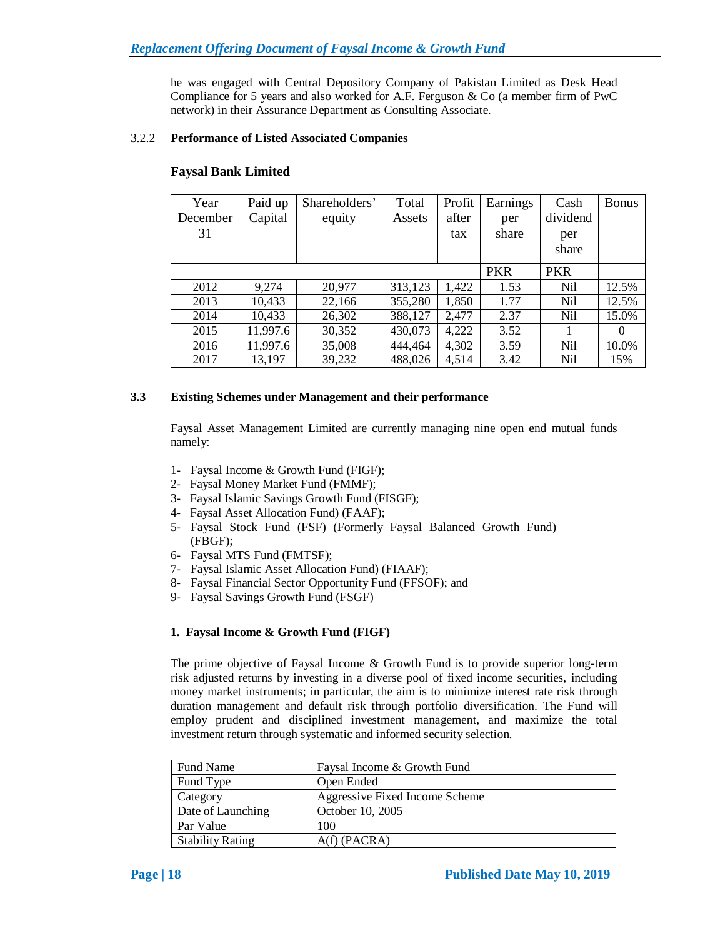he was engaged with Central Depository Company of Pakistan Limited as Desk Head Compliance for 5 years and also worked for A.F. Ferguson  $& Co$  (a member firm of PwC network) in their Assurance Department as Consulting Associate.

#### 3.2.2 **Performance of Listed Associated Companies**

| Year     | Paid up  | Shareholders' | Total   | Profit | Earnings   | Cash       | <b>Bonus</b> |
|----------|----------|---------------|---------|--------|------------|------------|--------------|
| December | Capital  | equity        | Assets  | after  | per        | dividend   |              |
| 31       |          |               |         | tax    | share      | per        |              |
|          |          |               |         |        |            | share      |              |
|          |          |               |         |        | <b>PKR</b> | <b>PKR</b> |              |
| 2012     | 9,274    | 20,977        | 313,123 | 1,422  | 1.53       | <b>Nil</b> | 12.5%        |
| 2013     | 10,433   | 22,166        | 355,280 | 1,850  | 1.77       | Nil        | 12.5%        |
| 2014     | 10,433   | 26,302        | 388,127 | 2,477  | 2.37       | <b>Nil</b> | 15.0%        |
| 2015     | 11,997.6 | 30,352        | 430,073 | 4,222  | 3.52       |            | $\Omega$     |
| 2016     | 11,997.6 | 35,008        | 444,464 | 4,302  | 3.59       | <b>Nil</b> | 10.0%        |
| 2017     | 13,197   | 39,232        | 488,026 | 4,514  | 3.42       | <b>Nil</b> | 15%          |

## **Faysal Bank Limited**

## **3.3 Existing Schemes under Management and their performance**

Faysal Asset Management Limited are currently managing nine open end mutual funds namely:

- 1- Faysal Income & Growth Fund (FIGF);
- 2- Faysal Money Market Fund (FMMF);
- 3- Faysal Islamic Savings Growth Fund (FISGF);
- 4- Faysal Asset Allocation Fund) (FAAF);
- 5- Faysal Stock Fund (FSF) (Formerly Faysal Balanced Growth Fund) (FBGF);
- 6- Faysal MTS Fund (FMTSF);
- 7- Faysal Islamic Asset Allocation Fund) (FIAAF);
- 8- Faysal Financial Sector Opportunity Fund (FFSOF); and
- 9- Faysal Savings Growth Fund (FSGF)

# **1. Faysal Income & Growth Fund (FIGF)**

The prime objective of Faysal Income & Growth Fund is to provide superior long-term risk adjusted returns by investing in a diverse pool of fixed income securities, including money market instruments; in particular, the aim is to minimize interest rate risk through duration management and default risk through portfolio diversification. The Fund will employ prudent and disciplined investment management, and maximize the total investment return through systematic and informed security selection.

| <b>Fund Name</b>        | Faysal Income & Growth Fund    |
|-------------------------|--------------------------------|
| Fund Type               | Open Ended                     |
| Category                | Aggressive Fixed Income Scheme |
| Date of Launching       | October 10, 2005               |
| Par Value               | 100                            |
| <b>Stability Rating</b> | $A(f)$ (PACRA)                 |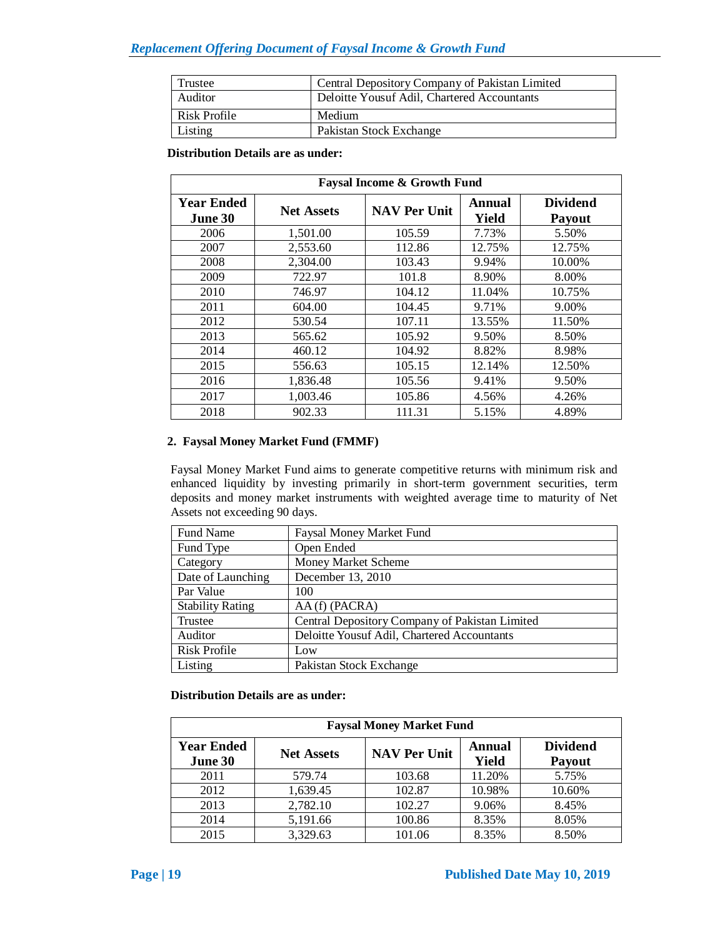# *Replacement Offering Document of Faysal Income & Growth Fund*

| Trustee      | Central Depository Company of Pakistan Limited |
|--------------|------------------------------------------------|
| Auditor      | Deloitte Yousuf Adil, Chartered Accountants    |
| Risk Profile | Medium                                         |
| Listing      | Pakistan Stock Exchange                        |

#### **Distribution Details are as under:**

| <b>Faysal Income &amp; Growth Fund</b> |                   |                     |                 |                                  |  |  |
|----------------------------------------|-------------------|---------------------|-----------------|----------------------------------|--|--|
| <b>Year Ended</b><br>June 30           | <b>Net Assets</b> | <b>NAV Per Unit</b> | Annual<br>Yield | <b>Dividend</b><br><b>Payout</b> |  |  |
| 2006                                   | 1,501.00          | 105.59              | 7.73%           | 5.50%                            |  |  |
| 2007                                   | 2,553.60          | 112.86              | 12.75%          | 12.75%                           |  |  |
| 2008                                   | 2,304.00          | 103.43              | 9.94%           | 10.00%                           |  |  |
| 2009                                   | 722.97            | 101.8               | 8.90%           | 8.00%                            |  |  |
| 2010                                   | 746.97            | 104.12              | 11.04%          | 10.75%                           |  |  |
| 2011                                   | 604.00            | 104.45              | 9.71%           | 9.00%                            |  |  |
| 2012                                   | 530.54            | 107.11              | 13.55%          | 11.50%                           |  |  |
| 2013                                   | 565.62            | 105.92              | 9.50%           | 8.50%                            |  |  |
| 2014                                   | 460.12            | 104.92              | 8.82%           | 8.98%                            |  |  |
| 2015                                   | 556.63            | 105.15              | 12.14%          | 12.50%                           |  |  |
| 2016                                   | 1,836.48          | 105.56              | 9.41%           | 9.50%                            |  |  |
| 2017                                   | 1,003.46          | 105.86              | 4.56%           | 4.26%                            |  |  |
| 2018                                   | 902.33            | 111.31              | 5.15%           | 4.89%                            |  |  |

## **2. Faysal Money Market Fund (FMMF)**

Faysal Money Market Fund aims to generate competitive returns with minimum risk and enhanced liquidity by investing primarily in short-term government securities, term deposits and money market instruments with weighted average time to maturity of Net Assets not exceeding 90 days.

| Fund Name               | Faysal Money Market Fund                       |
|-------------------------|------------------------------------------------|
| Fund Type               | Open Ended                                     |
| Category                | Money Market Scheme                            |
| Date of Launching       | December 13, 2010                              |
| Par Value               | 100                                            |
| <b>Stability Rating</b> | AA(f) (PACRA)                                  |
| Trustee                 | Central Depository Company of Pakistan Limited |
| Auditor                 | Deloitte Yousuf Adil, Chartered Accountants    |
| Risk Profile            | Low                                            |
| Listing                 | Pakistan Stock Exchange                        |

## **Distribution Details are as under:**

| <b>Faysal Money Market Fund</b> |                   |                     |                 |                           |  |
|---------------------------------|-------------------|---------------------|-----------------|---------------------------|--|
| <b>Year Ended</b><br>June 30    | <b>Net Assets</b> | <b>NAV Per Unit</b> | Annual<br>Yield | <b>Dividend</b><br>Payout |  |
| 2011                            | 579.74            | 103.68              | 11.20%          | 5.75%                     |  |
| 2012                            | 1,639.45          | 102.87              | 10.98%          | 10.60%                    |  |
| 2013                            | 2,782.10          | 102.27              | 9.06%           | 8.45%                     |  |
| 2014                            | 5,191.66          | 100.86              | 8.35%           | 8.05%                     |  |
| 2015                            | 3,329.63          | 101.06              | 8.35%           | 8.50%                     |  |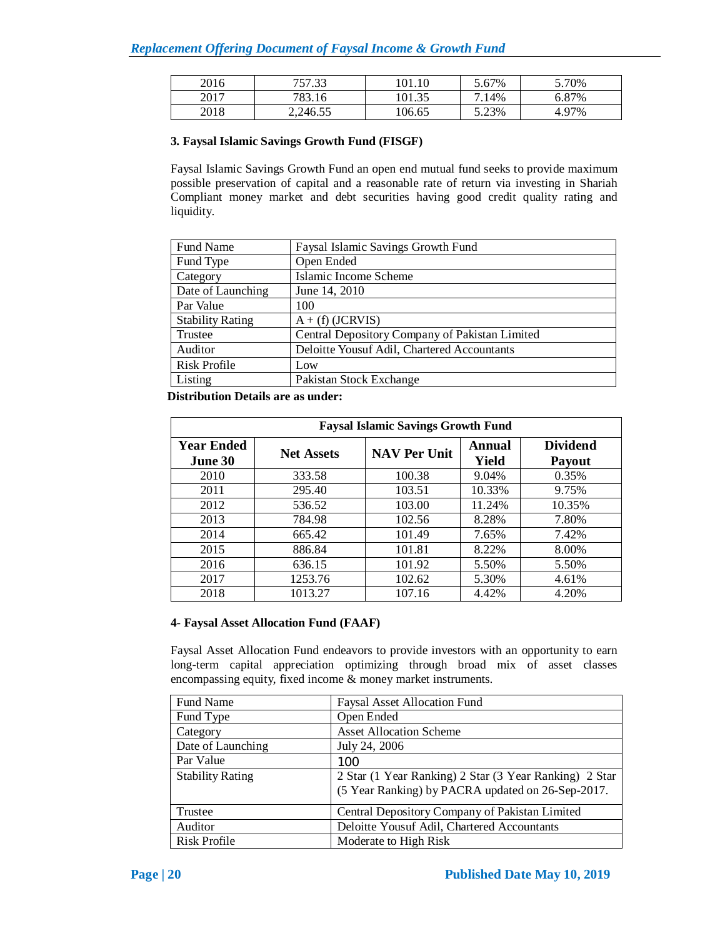| 2016 | 757.33   | 101.10 | 5.67% | 5.70% |
|------|----------|--------|-------|-------|
| 2017 | 783.16   | 101.35 | 7.14% | 6.87% |
| 2018 | 2,246.55 | 106.65 | 5.23% | 4.97% |

## **3. Faysal Islamic Savings Growth Fund (FISGF)**

Faysal Islamic Savings Growth Fund an open end mutual fund seeks to provide maximum possible preservation of capital and a reasonable rate of return via investing in Shariah Compliant money market and debt securities having good credit quality rating and liquidity.

| Fund Name               | Faysal Islamic Savings Growth Fund             |
|-------------------------|------------------------------------------------|
| Fund Type               | Open Ended                                     |
| Category                | Islamic Income Scheme                          |
| Date of Launching       | June 14, 2010                                  |
| Par Value               | 100                                            |
| <b>Stability Rating</b> | $A + (f)$ (JCRVIS)                             |
| Trustee                 | Central Depository Company of Pakistan Limited |
| Auditor                 | Deloitte Yousuf Adil, Chartered Accountants    |
| <b>Risk Profile</b>     | Low                                            |
| Listing                 | Pakistan Stock Exchange                        |

 **Distribution Details are as under:** 

| <b>Faysal Islamic Savings Growth Fund</b> |                   |                     |                 |                                  |
|-------------------------------------------|-------------------|---------------------|-----------------|----------------------------------|
| <b>Year Ended</b><br><b>June 30</b>       | <b>Net Assets</b> | <b>NAV Per Unit</b> | Annual<br>Yield | <b>Dividend</b><br><b>Payout</b> |
| 2010                                      | 333.58            | 100.38              | 9.04%           | 0.35%                            |
| 2011                                      | 295.40            | 103.51              | 10.33%          | 9.75%                            |
| 2012                                      | 536.52            | 103.00              | 11.24%          | 10.35%                           |
| 2013                                      | 784.98            | 102.56              | 8.28%           | 7.80%                            |
| 2014                                      | 665.42            | 101.49              | 7.65%           | 7.42%                            |
| 2015                                      | 886.84            | 101.81              | 8.22%           | 8.00%                            |
| 2016                                      | 636.15            | 101.92              | 5.50%           | 5.50%                            |
| 2017                                      | 1253.76           | 102.62              | 5.30%           | 4.61%                            |
| 2018                                      | 1013.27           | 107.16              | 4.42%           | 4.20%                            |

## **4- Faysal Asset Allocation Fund (FAAF)**

Faysal Asset Allocation Fund endeavors to provide investors with an opportunity to earn long-term capital appreciation optimizing through broad mix of asset classes encompassing equity, fixed income & money market instruments.

| Fund Name               | <b>Faysal Asset Allocation Fund</b>                                                                         |
|-------------------------|-------------------------------------------------------------------------------------------------------------|
| Fund Type               | Open Ended                                                                                                  |
| Category                | <b>Asset Allocation Scheme</b>                                                                              |
| Date of Launching       | July 24, 2006                                                                                               |
| Par Value               | 100                                                                                                         |
| <b>Stability Rating</b> | 2 Star (1 Year Ranking) 2 Star (3 Year Ranking) 2 Star<br>(5 Year Ranking) by PACRA updated on 26-Sep-2017. |
| Trustee                 | Central Depository Company of Pakistan Limited                                                              |
| Auditor                 | Deloitte Yousuf Adil, Chartered Accountants                                                                 |
| Risk Profile            | Moderate to High Risk                                                                                       |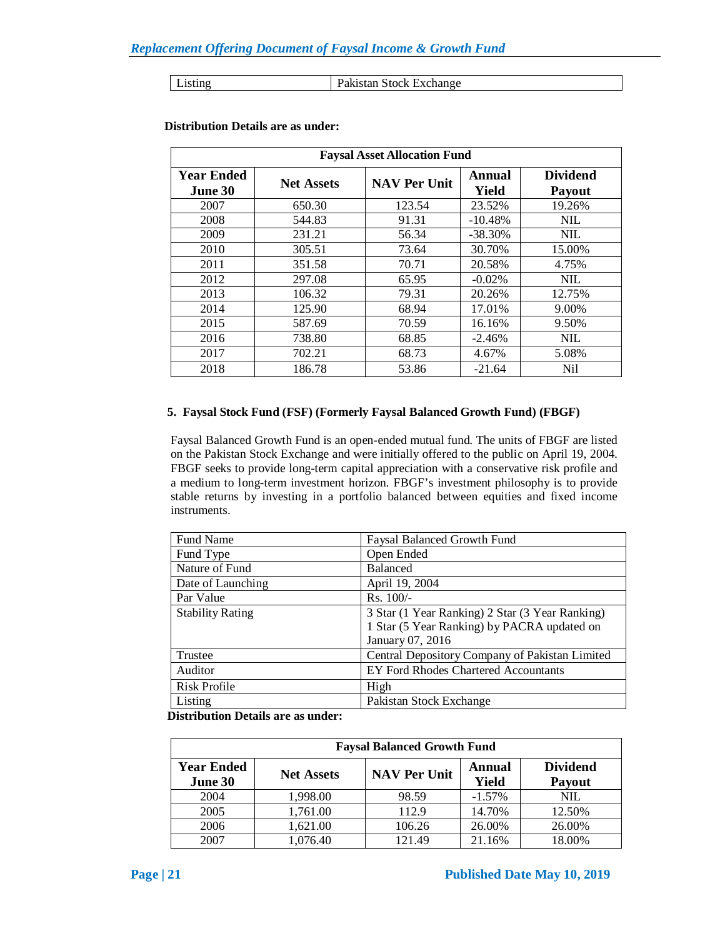Listing Pakistan Stock Exchange

| <b>Faysal Asset Allocation Fund</b> |                   |                     |                 |                                  |  |
|-------------------------------------|-------------------|---------------------|-----------------|----------------------------------|--|
| <b>Year Ended</b><br><b>June 30</b> | <b>Net Assets</b> | <b>NAV Per Unit</b> | Annual<br>Yield | <b>Dividend</b><br><b>Payout</b> |  |
| 2007                                | 650.30            | 123.54              | 23.52%          | 19.26%                           |  |
| 2008                                | 544.83            | 91.31               | $-10.48%$       | <b>NIL</b>                       |  |
| 2009                                | 231.21            | 56.34               | $-38.30\%$      | <b>NIL</b>                       |  |
| 2010                                | 305.51            | 73.64               | 30.70%          | 15.00%                           |  |
| 2011                                | 351.58            | 70.71               | 20.58%          | 4.75%                            |  |
| 2012                                | 297.08            | 65.95               | $-0.02\%$       | <b>NIL</b>                       |  |
| 2013                                | 106.32            | 79.31               | 20.26%          | 12.75%                           |  |
| 2014                                | 125.90            | 68.94               | 17.01%          | 9.00%                            |  |
| 2015                                | 587.69            | 70.59               | 16.16%          | 9.50%                            |  |
| 2016                                | 738.80            | 68.85               | $-2.46%$        | <b>NIL</b>                       |  |
| 2017                                | 702.21            | 68.73               | 4.67%           | 5.08%                            |  |
| 2018                                | 186.78            | 53.86               | $-21.64$        | Nil                              |  |

#### **Distribution Details are as under:**

#### **5. Faysal Stock Fund (FSF) (Formerly Faysal Balanced Growth Fund) (FBGF)**

Faysal Balanced Growth Fund is an open-ended mutual fund. The units of FBGF are listed on the Pakistan Stock Exchange and were initially offered to the public on April 19, 2004. FBGF seeks to provide long-term capital appreciation with a conservative risk profile and a medium to long-term investment horizon. FBGF's investment philosophy is to provide stable returns by investing in a portfolio balanced between equities and fixed income instruments.

| Fund Name               | <b>Faysal Balanced Growth Fund</b>              |
|-------------------------|-------------------------------------------------|
| Fund Type               | Open Ended                                      |
| Nature of Fund          | <b>Balanced</b>                                 |
| Date of Launching       | April 19, 2004                                  |
| Par Value               | $Rs. 100/-$                                     |
| <b>Stability Rating</b> | 3 Star (1 Year Ranking) 2 Star (3 Year Ranking) |
|                         | 1 Star (5 Year Ranking) by PACRA updated on     |
|                         | January 07, 2016                                |
| Trustee                 | Central Depository Company of Pakistan Limited  |
| Auditor                 | <b>EY Ford Rhodes Chartered Accountants</b>     |
| Risk Profile            | High                                            |
| Listing                 | Pakistan Stock Exchange                         |

 **Distribution Details are as under:**

| <b>Faysal Balanced Growth Fund</b> |                   |                     |                 |                           |
|------------------------------------|-------------------|---------------------|-----------------|---------------------------|
| <b>Year Ended</b><br>June 30       | <b>Net Assets</b> | <b>NAV Per Unit</b> | Annual<br>Yield | <b>Dividend</b><br>Payout |
| 2004                               | 1,998.00          | 98.59               | $-1.57\%$       | <b>NIL</b>                |
| 2005                               | 1,761.00          | 112.9               | 14.70%          | 12.50%                    |
| 2006                               | 1,621.00          | 106.26              | 26.00%          | 26.00%                    |
| 2007                               | 1,076.40          | 121.49              | 21.16%          | 18.00%                    |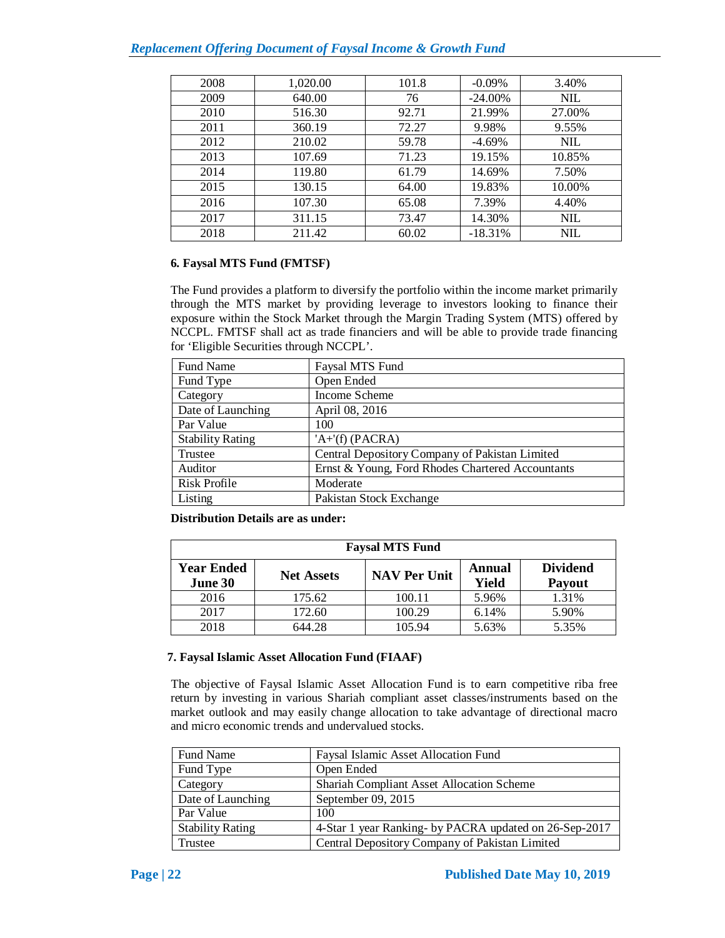| 2008 | 1,020.00 | 101.8 | $-0.09\%$  | 3.40%      |
|------|----------|-------|------------|------------|
| 2009 | 640.00   | 76    | $-24.00\%$ | <b>NIL</b> |
| 2010 | 516.30   | 92.71 | 21.99%     | 27.00%     |
| 2011 | 360.19   | 72.27 | 9.98%      | 9.55%      |
| 2012 | 210.02   | 59.78 | $-4.69\%$  | <b>NIL</b> |
| 2013 | 107.69   | 71.23 | 19.15%     | 10.85%     |
| 2014 | 119.80   | 61.79 | 14.69%     | 7.50%      |
| 2015 | 130.15   | 64.00 | 19.83%     | 10.00%     |
| 2016 | 107.30   | 65.08 | 7.39%      | 4.40%      |
| 2017 | 311.15   | 73.47 | 14.30%     | <b>NIL</b> |
| 2018 | 211.42   | 60.02 | $-18.31%$  | <b>NIL</b> |

## **6. Faysal MTS Fund (FMTSF)**

The Fund provides a platform to diversify the portfolio within the income market primarily through the MTS market by providing leverage to investors looking to finance their exposure within the Stock Market through the Margin Trading System (MTS) offered by NCCPL. FMTSF shall act as trade financiers and will be able to provide trade financing for 'Eligible Securities through NCCPL'.

| <b>Fund Name</b>        | Faysal MTS Fund                                  |
|-------------------------|--------------------------------------------------|
| Fund Type               | Open Ended                                       |
| Category                | Income Scheme                                    |
| Date of Launching       | April 08, 2016                                   |
| Par Value               | 100                                              |
| <b>Stability Rating</b> | $'A+ (f) (PACRA)$                                |
| Trustee                 | Central Depository Company of Pakistan Limited   |
| Auditor                 | Ernst & Young, Ford Rhodes Chartered Accountants |
| Risk Profile            | Moderate                                         |
| Listing                 | Pakistan Stock Exchange                          |

**Distribution Details are as under:**

| <b>Faysal MTS Fund</b> |                   |                     |                 |                                  |
|------------------------|-------------------|---------------------|-----------------|----------------------------------|
| Year Ended<br>June 30  | <b>Net Assets</b> | <b>NAV Per Unit</b> | Annual<br>Yield | <b>Dividend</b><br><b>Payout</b> |
| 2016                   | 175.62            | 100.11              | 5.96%           | 1.31%                            |
| 2017                   | 172.60            | 100.29              | 6.14%           | 5.90%                            |
| 2018                   | 644.28            | 105.94              | 5.63%           | 5.35%                            |

## **7. Faysal Islamic Asset Allocation Fund (FIAAF)**

The objective of Faysal Islamic Asset Allocation Fund is to earn competitive riba free return by investing in various Shariah compliant asset classes/instruments based on the market outlook and may easily change allocation to take advantage of directional macro and micro economic trends and undervalued stocks.

| Fund Name               | Faysal Islamic Asset Allocation Fund                   |
|-------------------------|--------------------------------------------------------|
| Fund Type               | Open Ended                                             |
| Category                | <b>Shariah Compliant Asset Allocation Scheme</b>       |
| Date of Launching       | September $09, 2015$                                   |
| Par Value               | 100                                                    |
| <b>Stability Rating</b> | 4-Star 1 year Ranking- by PACRA updated on 26-Sep-2017 |
| Trustee                 | Central Depository Company of Pakistan Limited         |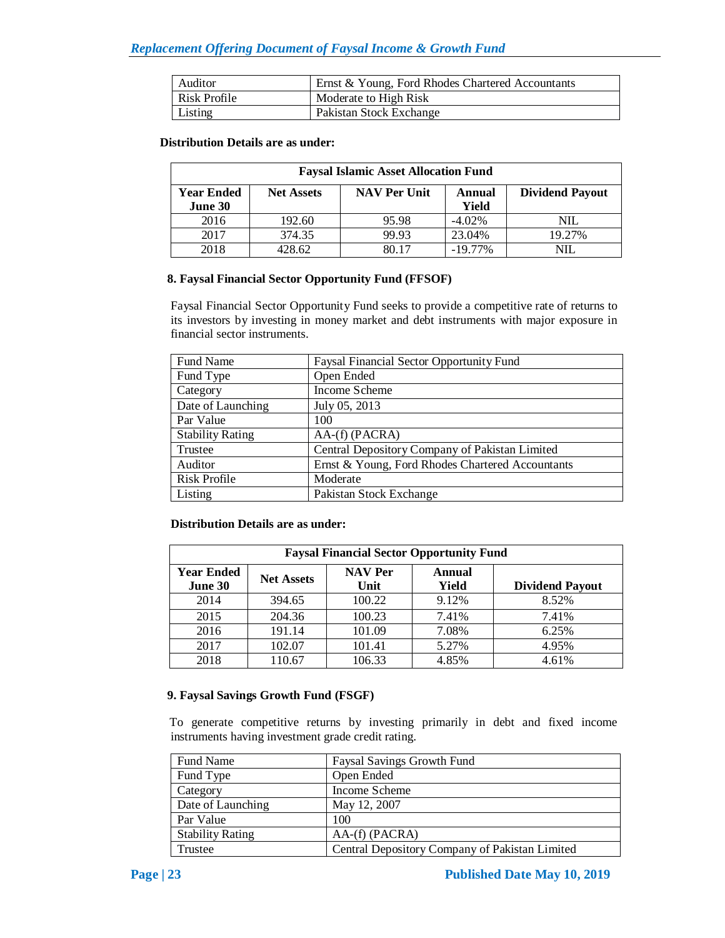| Auditor      | Ernst & Young, Ford Rhodes Chartered Accountants |
|--------------|--------------------------------------------------|
| Risk Profile | Moderate to High Risk                            |
| Listing      | Pakistan Stock Exchange                          |

#### **Distribution Details are as under:**

| <b>Faysal Islamic Asset Allocation Fund</b> |                                                                              |       |            |            |  |  |
|---------------------------------------------|------------------------------------------------------------------------------|-------|------------|------------|--|--|
| Year Ended                                  | <b>NAV Per Unit</b><br><b>Dividend Payout</b><br><b>Net Assets</b><br>Annual |       |            |            |  |  |
| June 30                                     |                                                                              |       | Yield      |            |  |  |
| 2016                                        | 192.60                                                                       | 95.98 | $-4.02\%$  | $\rm NIL$  |  |  |
| 2017                                        | 374.35                                                                       | 99.93 | 23.04%     | 19.27%     |  |  |
| 2018                                        | 428.62                                                                       | 80 17 | $-19.77\%$ | <b>NIL</b> |  |  |

#### **8. Faysal Financial Sector Opportunity Fund (FFSOF)**

Faysal Financial Sector Opportunity Fund seeks to provide a competitive rate of returns to its investors by investing in money market and debt instruments with major exposure in financial sector instruments.

| Fund Name               | <b>Faysal Financial Sector Opportunity Fund</b>  |
|-------------------------|--------------------------------------------------|
| Fund Type               | Open Ended                                       |
| Category                | Income Scheme                                    |
| Date of Launching       | July 05, 2013                                    |
| Par Value               | 100                                              |
| <b>Stability Rating</b> | $AA$ - $(f)$ (PACRA)                             |
| Trustee                 | Central Depository Company of Pakistan Limited   |
| Auditor                 | Ernst & Young, Ford Rhodes Chartered Accountants |
| Risk Profile            | Moderate                                         |
| Listing                 | Pakistan Stock Exchange                          |

#### **Distribution Details are as under:**

| <b>Faysal Financial Sector Opportunity Fund</b> |                   |                        |                 |                        |
|-------------------------------------------------|-------------------|------------------------|-----------------|------------------------|
| <b>Year Ended</b><br>June 30                    | <b>Net Assets</b> | <b>NAV Per</b><br>Unit | Annual<br>Yield | <b>Dividend Payout</b> |
| 2014                                            | 394.65            | 100.22                 | 9.12%           | 8.52%                  |
| 2015                                            | 204.36            | 100.23                 | 7.41%           | 7.41%                  |
| 2016                                            | 191.14            | 101.09                 | 7.08%           | 6.25%                  |
| 2017                                            | 102.07            | 101.41                 | 5.27%           | 4.95%                  |
| 2018                                            | 110.67            | 106.33                 | 4.85%           | 4.61%                  |

#### **9. Faysal Savings Growth Fund (FSGF)**

 To generate competitive returns by investing primarily in debt and fixed income instruments having investment grade credit rating.

| Fund Name               | <b>Faysal Savings Growth Fund</b>              |
|-------------------------|------------------------------------------------|
| Fund Type               | Open Ended                                     |
| Category                | Income Scheme                                  |
| Date of Launching       | May 12, 2007                                   |
| Par Value               | 100                                            |
| <b>Stability Rating</b> | $AA$ - $(f)$ (PACRA)                           |
| Trustee                 | Central Depository Company of Pakistan Limited |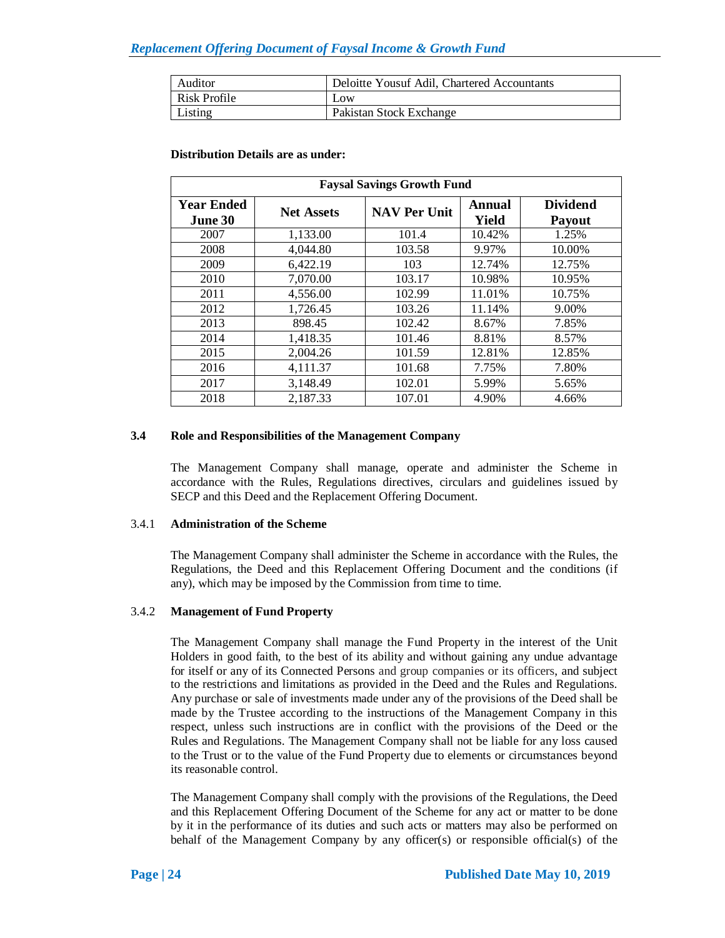| Auditor      | Deloitte Yousuf Adil, Chartered Accountants |
|--------------|---------------------------------------------|
| Risk Profile | Low                                         |
| Listing      | Pakistan Stock Exchange                     |

#### **Distribution Details are as under:**

| <b>Faysal Savings Growth Fund</b>   |                   |                     |                        |                                  |
|-------------------------------------|-------------------|---------------------|------------------------|----------------------------------|
| <b>Year Ended</b><br><b>June 30</b> | <b>Net Assets</b> | <b>NAV Per Unit</b> | Annual<br><b>Yield</b> | <b>Dividend</b><br><b>Payout</b> |
| 2007                                | 1,133.00          | 101.4               | 10.42%                 | 1.25%                            |
| 2008                                | 4,044.80          | 103.58              | 9.97%                  | 10.00%                           |
| 2009                                | 6,422.19          | 103                 | 12.74%                 | 12.75%                           |
| 2010                                | 7,070.00          | 103.17              | 10.98%                 | 10.95%                           |
| 2011                                | 4,556.00          | 102.99              | 11.01%                 | 10.75%                           |
| 2012                                | 1,726.45          | 103.26              | 11.14%                 | 9.00%                            |
| 2013                                | 898.45            | 102.42              | 8.67%                  | 7.85%                            |
| 2014                                | 1,418.35          | 101.46              | 8.81%                  | 8.57%                            |
| 2015                                | 2.004.26          | 101.59              | 12.81%                 | 12.85%                           |
| 2016                                | 4,111.37          | 101.68              | 7.75%                  | 7.80%                            |
| 2017                                | 3,148.49          | 102.01              | 5.99%                  | 5.65%                            |
| 2018                                | 2,187.33          | 107.01              | 4.90%                  | 4.66%                            |

## **3.4 Role and Responsibilities of the Management Company**

The Management Company shall manage, operate and administer the Scheme in accordance with the Rules, Regulations directives, circulars and guidelines issued by SECP and this Deed and the Replacement Offering Document.

## 3.4.1 **Administration of the Scheme**

The Management Company shall administer the Scheme in accordance with the Rules, the Regulations, the Deed and this Replacement Offering Document and the conditions (if any), which may be imposed by the Commission from time to time.

#### 3.4.2 **Management of Fund Property**

The Management Company shall manage the Fund Property in the interest of the Unit Holders in good faith, to the best of its ability and without gaining any undue advantage for itself or any of its Connected Persons and group companies or its officers, and subject to the restrictions and limitations as provided in the Deed and the Rules and Regulations. Any purchase or sale of investments made under any of the provisions of the Deed shall be made by the Trustee according to the instructions of the Management Company in this respect, unless such instructions are in conflict with the provisions of the Deed or the Rules and Regulations. The Management Company shall not be liable for any loss caused to the Trust or to the value of the Fund Property due to elements or circumstances beyond its reasonable control.

The Management Company shall comply with the provisions of the Regulations, the Deed and this Replacement Offering Document of the Scheme for any act or matter to be done by it in the performance of its duties and such acts or matters may also be performed on behalf of the Management Company by any officer(s) or responsible official(s) of the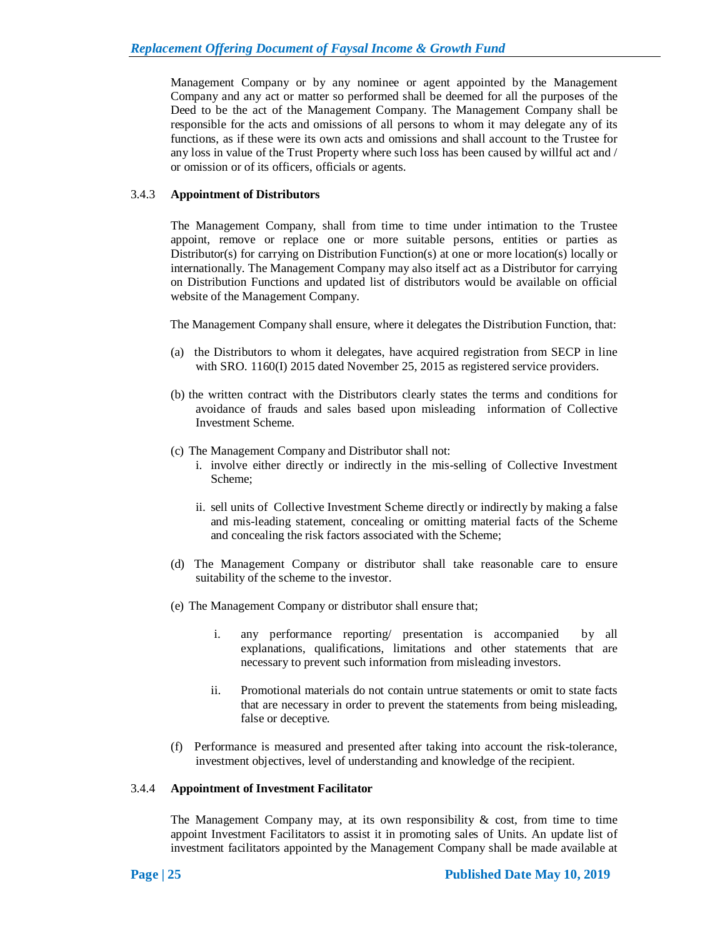Management Company or by any nominee or agent appointed by the Management Company and any act or matter so performed shall be deemed for all the purposes of the Deed to be the act of the Management Company. The Management Company shall be responsible for the acts and omissions of all persons to whom it may delegate any of its functions, as if these were its own acts and omissions and shall account to the Trustee for any loss in value of the Trust Property where such loss has been caused by willful act and / or omission or of its officers, officials or agents.

## 3.4.3 **Appointment of Distributors**

The Management Company, shall from time to time under intimation to the Trustee appoint, remove or replace one or more suitable persons, entities or parties as Distributor(s) for carrying on Distribution Function(s) at one or more location(s) locally or internationally. The Management Company may also itself act as a Distributor for carrying on Distribution Functions and updated list of distributors would be available on official website of the Management Company.

The Management Company shall ensure, where it delegates the Distribution Function, that:

- (a) the Distributors to whom it delegates, have acquired registration from SECP in line with SRO. 1160(I) 2015 dated November 25, 2015 as registered service providers.
- (b) the written contract with the Distributors clearly states the terms and conditions for avoidance of frauds and sales based upon misleading information of Collective Investment Scheme.
- (c) The Management Company and Distributor shall not:
	- i. involve either directly or indirectly in the mis-selling of Collective Investment Scheme;
	- ii. sell units of Collective Investment Scheme directly or indirectly by making a false and mis-leading statement, concealing or omitting material facts of the Scheme and concealing the risk factors associated with the Scheme;
- (d) The Management Company or distributor shall take reasonable care to ensure suitability of the scheme to the investor.
- (e) The Management Company or distributor shall ensure that;
	- i. any performance reporting/ presentation is accompanied by all explanations, qualifications, limitations and other statements that are necessary to prevent such information from misleading investors.
	- ii. Promotional materials do not contain untrue statements or omit to state facts that are necessary in order to prevent the statements from being misleading, false or deceptive.
- (f) Performance is measured and presented after taking into account the risk-tolerance, investment objectives, level of understanding and knowledge of the recipient.

#### 3.4.4 **Appointment of Investment Facilitator**

The Management Company may, at its own responsibility  $\&$  cost, from time to time appoint Investment Facilitators to assist it in promoting sales of Units. An update list of investment facilitators appointed by the Management Company shall be made available at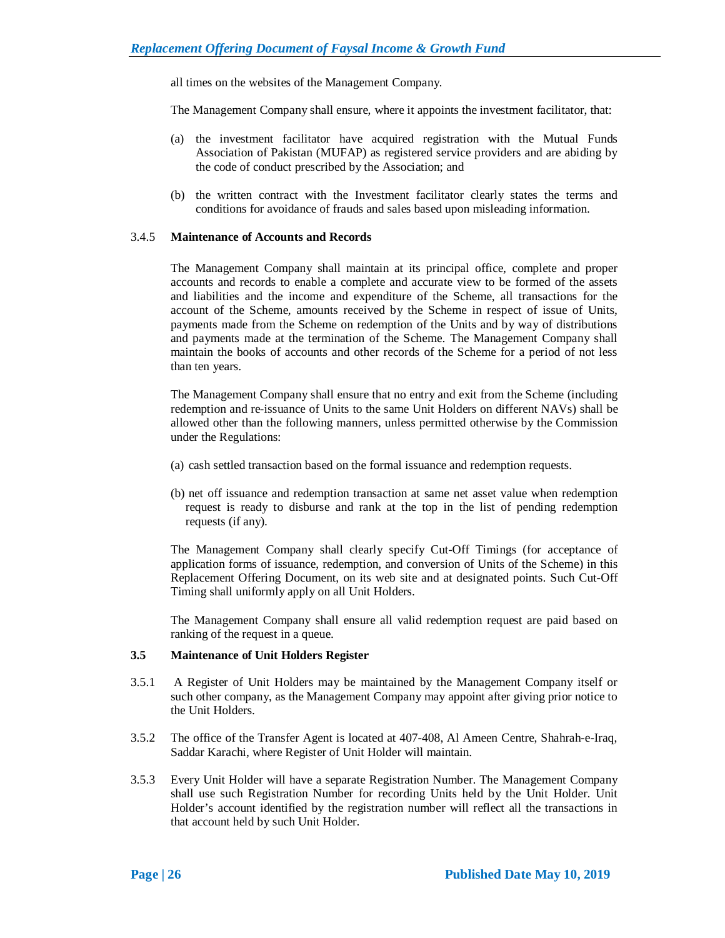all times on the websites of the Management Company.

The Management Company shall ensure, where it appoints the investment facilitator, that:

- (a) the investment facilitator have acquired registration with the Mutual Funds Association of Pakistan (MUFAP) as registered service providers and are abiding by the code of conduct prescribed by the Association; and
- (b) the written contract with the Investment facilitator clearly states the terms and conditions for avoidance of frauds and sales based upon misleading information.

#### 3.4.5 **Maintenance of Accounts and Records**

The Management Company shall maintain at its principal office, complete and proper accounts and records to enable a complete and accurate view to be formed of the assets and liabilities and the income and expenditure of the Scheme, all transactions for the account of the Scheme, amounts received by the Scheme in respect of issue of Units, payments made from the Scheme on redemption of the Units and by way of distributions and payments made at the termination of the Scheme. The Management Company shall maintain the books of accounts and other records of the Scheme for a period of not less than ten years.

The Management Company shall ensure that no entry and exit from the Scheme (including redemption and re-issuance of Units to the same Unit Holders on different NAVs) shall be allowed other than the following manners, unless permitted otherwise by the Commission under the Regulations:

- (a) cash settled transaction based on the formal issuance and redemption requests.
- (b) net off issuance and redemption transaction at same net asset value when redemption request is ready to disburse and rank at the top in the list of pending redemption requests (if any).

The Management Company shall clearly specify Cut-Off Timings (for acceptance of application forms of issuance, redemption, and conversion of Units of the Scheme) in this Replacement Offering Document, on its web site and at designated points. Such Cut-Off Timing shall uniformly apply on all Unit Holders.

The Management Company shall ensure all valid redemption request are paid based on ranking of the request in a queue.

#### **3.5 Maintenance of Unit Holders Register**

- 3.5.1 A Register of Unit Holders may be maintained by the Management Company itself or such other company, as the Management Company may appoint after giving prior notice to the Unit Holders.
- 3.5.2 The office of the Transfer Agent is located at 407-408, Al Ameen Centre, Shahrah-e-Iraq, Saddar Karachi, where Register of Unit Holder will maintain.
- 3.5.3 Every Unit Holder will have a separate Registration Number. The Management Company shall use such Registration Number for recording Units held by the Unit Holder. Unit Holder's account identified by the registration number will reflect all the transactions in that account held by such Unit Holder.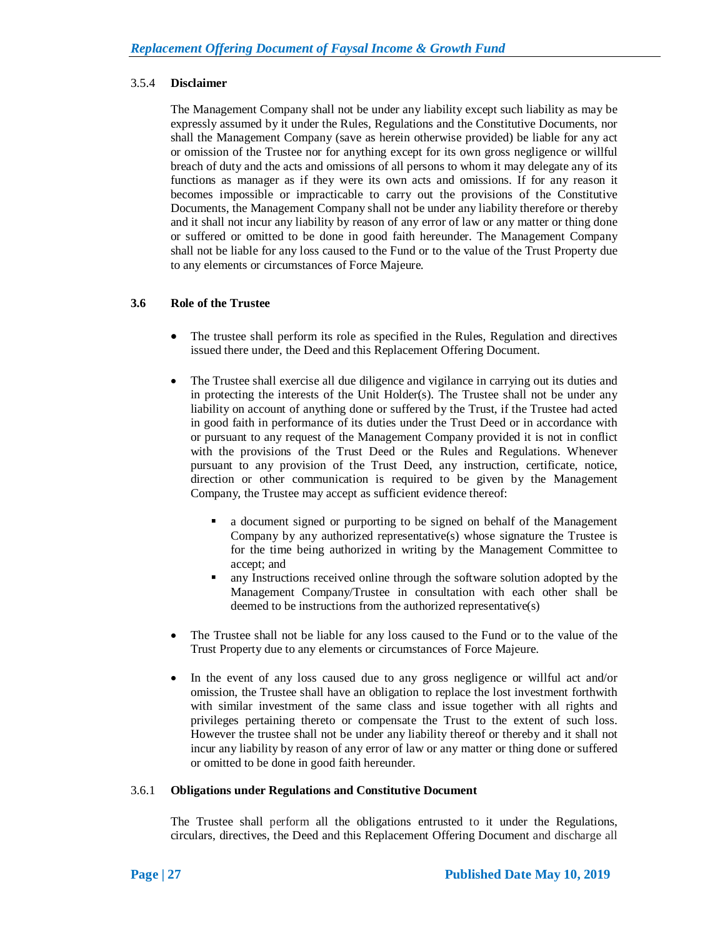## 3.5.4 **Disclaimer**

The Management Company shall not be under any liability except such liability as may be expressly assumed by it under the Rules, Regulations and the Constitutive Documents, nor shall the Management Company (save as herein otherwise provided) be liable for any act or omission of the Trustee nor for anything except for its own gross negligence or willful breach of duty and the acts and omissions of all persons to whom it may delegate any of its functions as manager as if they were its own acts and omissions. If for any reason it becomes impossible or impracticable to carry out the provisions of the Constitutive Documents, the Management Company shall not be under any liability therefore or thereby and it shall not incur any liability by reason of any error of law or any matter or thing done or suffered or omitted to be done in good faith hereunder. The Management Company shall not be liable for any loss caused to the Fund or to the value of the Trust Property due to any elements or circumstances of Force Majeure.

## **3.6 Role of the Trustee**

- The trustee shall perform its role as specified in the Rules, Regulation and directives issued there under, the Deed and this Replacement Offering Document.
- The Trustee shall exercise all due diligence and vigilance in carrying out its duties and in protecting the interests of the Unit Holder(s). The Trustee shall not be under any liability on account of anything done or suffered by the Trust, if the Trustee had acted in good faith in performance of its duties under the Trust Deed or in accordance with or pursuant to any request of the Management Company provided it is not in conflict with the provisions of the Trust Deed or the Rules and Regulations. Whenever pursuant to any provision of the Trust Deed, any instruction, certificate, notice, direction or other communication is required to be given by the Management Company, the Trustee may accept as sufficient evidence thereof:
	- a document signed or purporting to be signed on behalf of the Management Company by any authorized representative(s) whose signature the Trustee is for the time being authorized in writing by the Management Committee to accept; and
	- any Instructions received online through the software solution adopted by the Management Company/Trustee in consultation with each other shall be deemed to be instructions from the authorized representative(s)
- The Trustee shall not be liable for any loss caused to the Fund or to the value of the Trust Property due to any elements or circumstances of Force Majeure.
- In the event of any loss caused due to any gross negligence or willful act and/or omission, the Trustee shall have an obligation to replace the lost investment forthwith with similar investment of the same class and issue together with all rights and privileges pertaining thereto or compensate the Trust to the extent of such loss. However the trustee shall not be under any liability thereof or thereby and it shall not incur any liability by reason of any error of law or any matter or thing done or suffered or omitted to be done in good faith hereunder.

#### 3.6.1 **Obligations under Regulations and Constitutive Document**

The Trustee shall perform all the obligations entrusted to it under the Regulations, circulars, directives, the Deed and this Replacement Offering Document and discharge all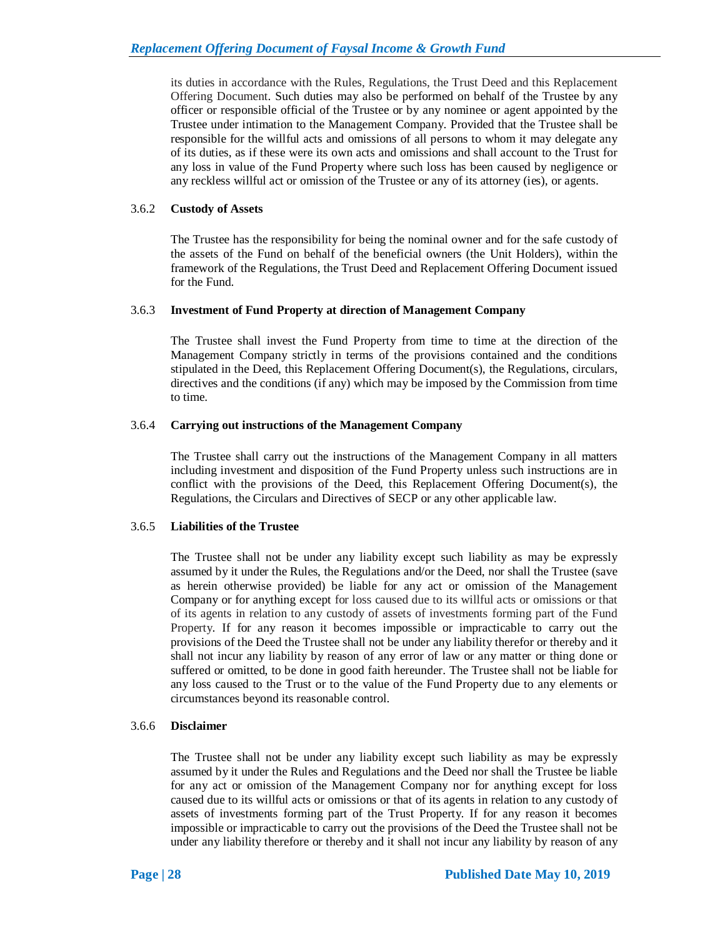its duties in accordance with the Rules, Regulations, the Trust Deed and this Replacement Offering Document. Such duties may also be performed on behalf of the Trustee by any officer or responsible official of the Trustee or by any nominee or agent appointed by the Trustee under intimation to the Management Company. Provided that the Trustee shall be responsible for the willful acts and omissions of all persons to whom it may delegate any of its duties, as if these were its own acts and omissions and shall account to the Trust for any loss in value of the Fund Property where such loss has been caused by negligence or any reckless willful act or omission of the Trustee or any of its attorney (ies), or agents.

## 3.6.2 **Custody of Assets**

The Trustee has the responsibility for being the nominal owner and for the safe custody of the assets of the Fund on behalf of the beneficial owners (the Unit Holders), within the framework of the Regulations, the Trust Deed and Replacement Offering Document issued for the Fund.

## 3.6.3 **Investment of Fund Property at direction of Management Company**

The Trustee shall invest the Fund Property from time to time at the direction of the Management Company strictly in terms of the provisions contained and the conditions stipulated in the Deed, this Replacement Offering Document(s), the Regulations, circulars, directives and the conditions (if any) which may be imposed by the Commission from time to time.

## 3.6.4 **Carrying out instructions of the Management Company**

The Trustee shall carry out the instructions of the Management Company in all matters including investment and disposition of the Fund Property unless such instructions are in conflict with the provisions of the Deed, this Replacement Offering Document(s), the Regulations, the Circulars and Directives of SECP or any other applicable law.

#### 3.6.5 **Liabilities of the Trustee**

The Trustee shall not be under any liability except such liability as may be expressly assumed by it under the Rules, the Regulations and/or the Deed, nor shall the Trustee (save as herein otherwise provided) be liable for any act or omission of the Management Company or for anything except for loss caused due to its willful acts or omissions or that of its agents in relation to any custody of assets of investments forming part of the Fund Property. If for any reason it becomes impossible or impracticable to carry out the provisions of the Deed the Trustee shall not be under any liability therefor or thereby and it shall not incur any liability by reason of any error of law or any matter or thing done or suffered or omitted, to be done in good faith hereunder. The Trustee shall not be liable for any loss caused to the Trust or to the value of the Fund Property due to any elements or circumstances beyond its reasonable control.

#### 3.6.6 **Disclaimer**

The Trustee shall not be under any liability except such liability as may be expressly assumed by it under the Rules and Regulations and the Deed nor shall the Trustee be liable for any act or omission of the Management Company nor for anything except for loss caused due to its willful acts or omissions or that of its agents in relation to any custody of assets of investments forming part of the Trust Property. If for any reason it becomes impossible or impracticable to carry out the provisions of the Deed the Trustee shall not be under any liability therefore or thereby and it shall not incur any liability by reason of any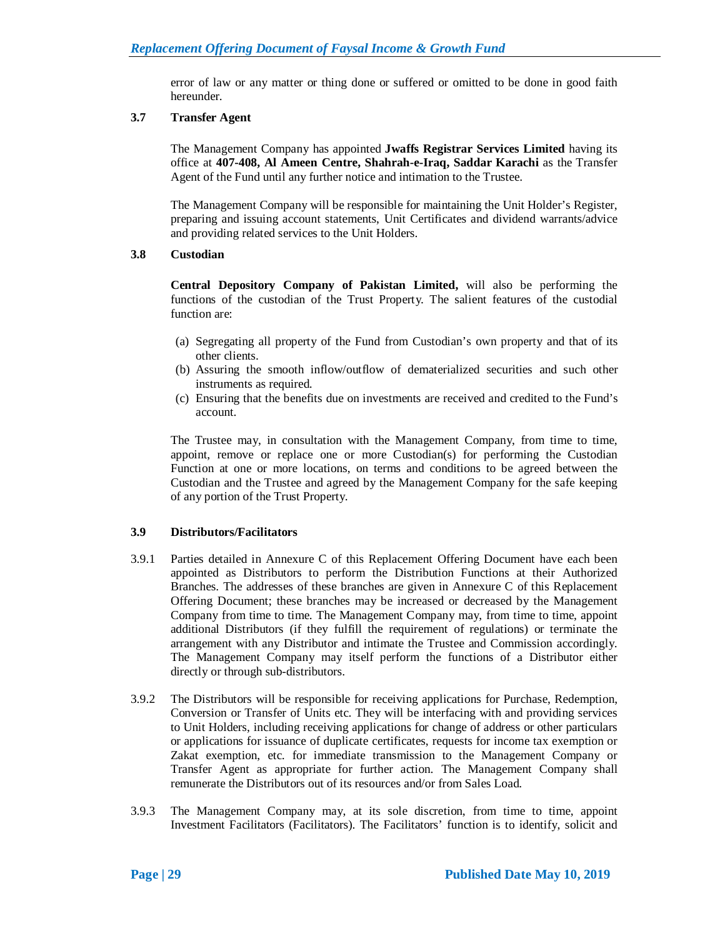error of law or any matter or thing done or suffered or omitted to be done in good faith hereunder.

## **3.7 Transfer Agent**

The Management Company has appointed **Jwaffs Registrar Services Limited** having its office at **407-408, Al Ameen Centre, Shahrah-e-Iraq, Saddar Karachi** as the Transfer Agent of the Fund until any further notice and intimation to the Trustee.

The Management Company will be responsible for maintaining the Unit Holder's Register, preparing and issuing account statements, Unit Certificates and dividend warrants/advice and providing related services to the Unit Holders.

## **3.8 Custodian**

**Central Depository Company of Pakistan Limited,** will also be performing the functions of the custodian of the Trust Property. The salient features of the custodial function are:

- (a) Segregating all property of the Fund from Custodian's own property and that of its other clients.
- (b) Assuring the smooth inflow/outflow of dematerialized securities and such other instruments as required.
- (c) Ensuring that the benefits due on investments are received and credited to the Fund's account.

The Trustee may, in consultation with the Management Company, from time to time, appoint, remove or replace one or more Custodian(s) for performing the Custodian Function at one or more locations, on terms and conditions to be agreed between the Custodian and the Trustee and agreed by the Management Company for the safe keeping of any portion of the Trust Property.

#### **3.9 Distributors/Facilitators**

- 3.9.1 Parties detailed in Annexure C of this Replacement Offering Document have each been appointed as Distributors to perform the Distribution Functions at their Authorized Branches. The addresses of these branches are given in Annexure C of this Replacement Offering Document; these branches may be increased or decreased by the Management Company from time to time. The Management Company may, from time to time, appoint additional Distributors (if they fulfill the requirement of regulations) or terminate the arrangement with any Distributor and intimate the Trustee and Commission accordingly. The Management Company may itself perform the functions of a Distributor either directly or through sub-distributors.
- 3.9.2 The Distributors will be responsible for receiving applications for Purchase, Redemption, Conversion or Transfer of Units etc. They will be interfacing with and providing services to Unit Holders, including receiving applications for change of address or other particulars or applications for issuance of duplicate certificates, requests for income tax exemption or Zakat exemption, etc. for immediate transmission to the Management Company or Transfer Agent as appropriate for further action. The Management Company shall remunerate the Distributors out of its resources and/or from Sales Load.
- 3.9.3 The Management Company may, at its sole discretion, from time to time, appoint Investment Facilitators (Facilitators). The Facilitators' function is to identify, solicit and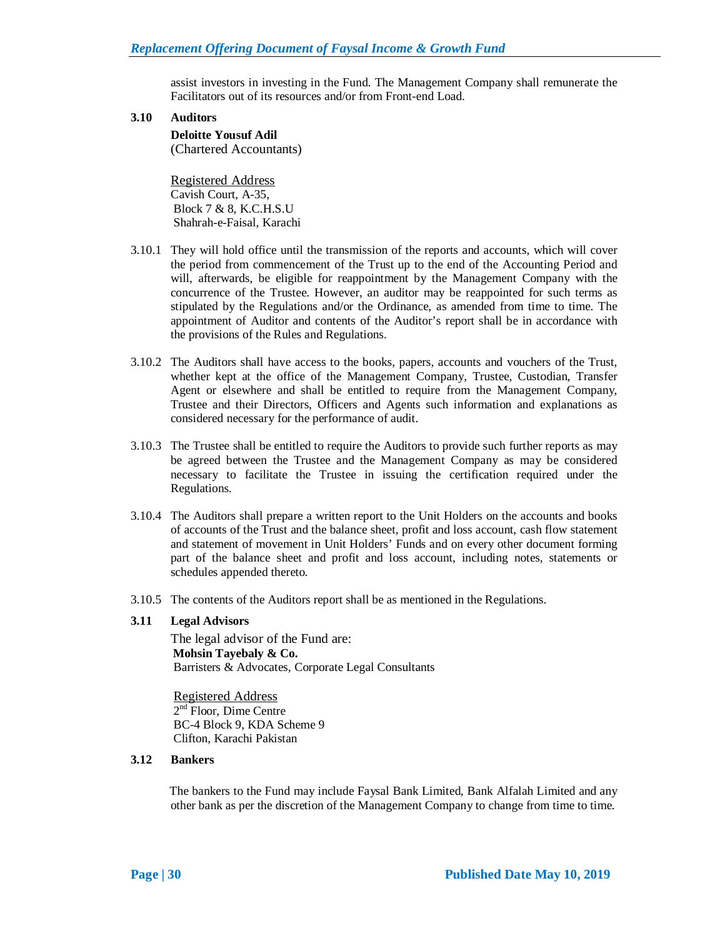assist investors in investing in the Fund. The Management Company shall remunerate the Facilitators out of its resources and/or from Front-end Load.

## **3.10 Auditors**

 **Deloitte Yousuf Adil** (Chartered Accountants)

 Registered Address Cavish Court, A-35, Block 7 & 8, K.C.H.S.U Shahrah-e-Faisal, Karachi

- 3.10.1 They will hold office until the transmission of the reports and accounts, which will cover the period from commencement of the Trust up to the end of the Accounting Period and will, afterwards, be eligible for reappointment by the Management Company with the concurrence of the Trustee. However, an auditor may be reappointed for such terms as stipulated by the Regulations and/or the Ordinance, as amended from time to time. The appointment of Auditor and contents of the Auditor's report shall be in accordance with the provisions of the Rules and Regulations.
- 3.10.2 The Auditors shall have access to the books, papers, accounts and vouchers of the Trust, whether kept at the office of the Management Company, Trustee, Custodian, Transfer Agent or elsewhere and shall be entitled to require from the Management Company, Trustee and their Directors, Officers and Agents such information and explanations as considered necessary for the performance of audit.
- 3.10.3 The Trustee shall be entitled to require the Auditors to provide such further reports as may be agreed between the Trustee and the Management Company as may be considered necessary to facilitate the Trustee in issuing the certification required under the Regulations.
- 3.10.4 The Auditors shall prepare a written report to the Unit Holders on the accounts and books of accounts of the Trust and the balance sheet, profit and loss account, cash flow statement and statement of movement in Unit Holders' Funds and on every other document forming part of the balance sheet and profit and loss account, including notes, statements or schedules appended thereto.
- 3.10.5 The contents of the Auditors report shall be as mentioned in the Regulations.

#### **3.11 Legal Advisors**

 The legal advisor of the Fund are: **Mohsin Tayebaly & Co.**  Barristers & Advocates, Corporate Legal Consultants

 Registered Address 2<sup>nd</sup> Floor, Dime Centre BC-4 Block 9, KDA Scheme 9 Clifton, Karachi Pakistan

#### **3.12 Bankers**

 The bankers to the Fund may include Faysal Bank Limited, Bank Alfalah Limited and any other bank as per the discretion of the Management Company to change from time to time.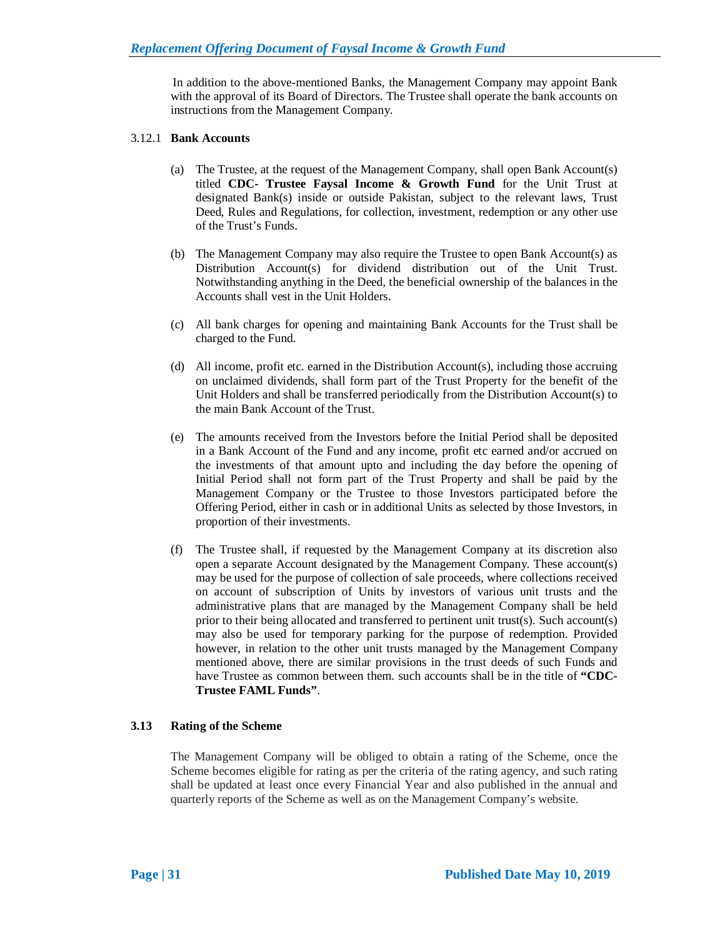In addition to the above-mentioned Banks, the Management Company may appoint Bank with the approval of its Board of Directors. The Trustee shall operate the bank accounts on instructions from the Management Company.

#### 3.12.1 **Bank Accounts**

- (a) The Trustee, at the request of the Management Company, shall open Bank Account(s) titled **CDC- Trustee Faysal Income & Growth Fund** for the Unit Trust at designated Bank(s) inside or outside Pakistan, subject to the relevant laws, Trust Deed, Rules and Regulations, for collection, investment, redemption or any other use of the Trust's Funds.
- (b) The Management Company may also require the Trustee to open Bank Account(s) as Distribution Account(s) for dividend distribution out of the Unit Trust. Notwithstanding anything in the Deed, the beneficial ownership of the balances in the Accounts shall vest in the Unit Holders.
- (c) All bank charges for opening and maintaining Bank Accounts for the Trust shall be charged to the Fund.
- (d) All income, profit etc. earned in the Distribution Account(s), including those accruing on unclaimed dividends, shall form part of the Trust Property for the benefit of the Unit Holders and shall be transferred periodically from the Distribution Account(s) to the main Bank Account of the Trust.
- (e) The amounts received from the Investors before the Initial Period shall be deposited in a Bank Account of the Fund and any income, profit etc earned and/or accrued on the investments of that amount upto and including the day before the opening of Initial Period shall not form part of the Trust Property and shall be paid by the Management Company or the Trustee to those Investors participated before the Offering Period, either in cash or in additional Units as selected by those Investors, in proportion of their investments.
- (f) The Trustee shall, if requested by the Management Company at its discretion also open a separate Account designated by the Management Company. These account(s) may be used for the purpose of collection of sale proceeds, where collections received on account of subscription of Units by investors of various unit trusts and the administrative plans that are managed by the Management Company shall be held prior to their being allocated and transferred to pertinent unit trust(s). Such account(s) may also be used for temporary parking for the purpose of redemption. Provided however, in relation to the other unit trusts managed by the Management Company mentioned above, there are similar provisions in the trust deeds of such Funds and have Trustee as common between them. such accounts shall be in the title of **"CDC-Trustee FAML Funds"**.

## **3.13 Rating of the Scheme**

The Management Company will be obliged to obtain a rating of the Scheme, once the Scheme becomes eligible for rating as per the criteria of the rating agency, and such rating shall be updated at least once every Financial Year and also published in the annual and quarterly reports of the Scheme as well as on the Management Company's website.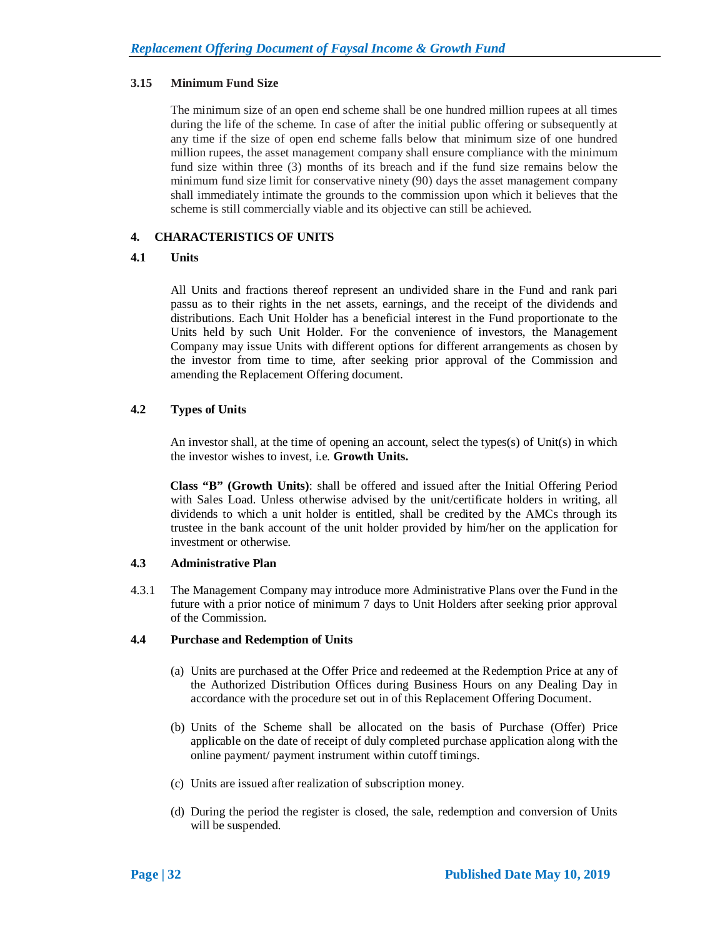## **3.15 Minimum Fund Size**

The minimum size of an open end scheme shall be one hundred million rupees at all times during the life of the scheme. In case of after the initial public offering or subsequently at any time if the size of open end scheme falls below that minimum size of one hundred million rupees, the asset management company shall ensure compliance with the minimum fund size within three (3) months of its breach and if the fund size remains below the minimum fund size limit for conservative ninety (90) days the asset management company shall immediately intimate the grounds to the commission upon which it believes that the scheme is still commercially viable and its objective can still be achieved.

## **4. CHARACTERISTICS OF UNITS**

## **4.1 Units**

All Units and fractions thereof represent an undivided share in the Fund and rank pari passu as to their rights in the net assets, earnings, and the receipt of the dividends and distributions. Each Unit Holder has a beneficial interest in the Fund proportionate to the Units held by such Unit Holder. For the convenience of investors, the Management Company may issue Units with different options for different arrangements as chosen by the investor from time to time, after seeking prior approval of the Commission and amending the Replacement Offering document.

## **4.2 Types of Units**

 An investor shall, at the time of opening an account, select the types(s) of Unit(s) in which the investor wishes to invest, i.e. **Growth Units.**

 **Class "B" (Growth Units)**: shall be offered and issued after the Initial Offering Period with Sales Load. Unless otherwise advised by the unit/certificate holders in writing, all dividends to which a unit holder is entitled, shall be credited by the AMCs through its trustee in the bank account of the unit holder provided by him/her on the application for investment or otherwise.

## **4.3 Administrative Plan**

4.3.1 The Management Company may introduce more Administrative Plans over the Fund in the future with a prior notice of minimum 7 days to Unit Holders after seeking prior approval of the Commission.

#### **4.4 Purchase and Redemption of Units**

- (a) Units are purchased at the Offer Price and redeemed at the Redemption Price at any of the Authorized Distribution Offices during Business Hours on any Dealing Day in accordance with the procedure set out in of this Replacement Offering Document.
- (b) Units of the Scheme shall be allocated on the basis of Purchase (Offer) Price applicable on the date of receipt of duly completed purchase application along with the online payment/ payment instrument within cutoff timings.
- (c) Units are issued after realization of subscription money.
- (d) During the period the register is closed, the sale, redemption and conversion of Units will be suspended.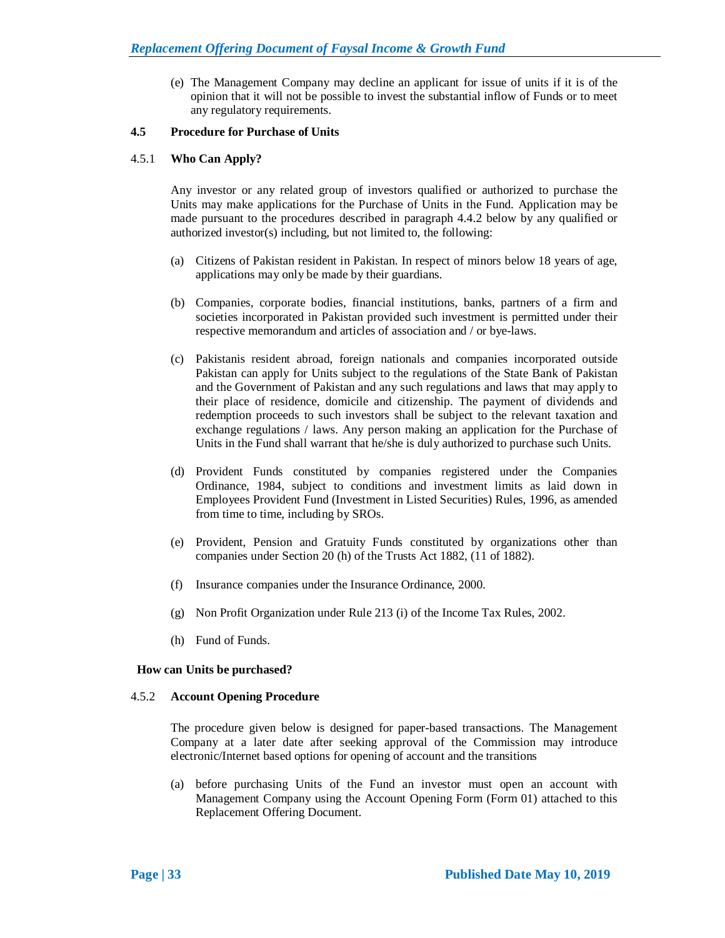(e) The Management Company may decline an applicant for issue of units if it is of the opinion that it will not be possible to invest the substantial inflow of Funds or to meet any regulatory requirements.

#### **4.5 Procedure for Purchase of Units**

#### 4.5.1 **Who Can Apply?**

Any investor or any related group of investors qualified or authorized to purchase the Units may make applications for the Purchase of Units in the Fund. Application may be made pursuant to the procedures described in paragraph 4.4.2 below by any qualified or authorized investor(s) including, but not limited to, the following:

- (a) Citizens of Pakistan resident in Pakistan. In respect of minors below 18 years of age, applications may only be made by their guardians.
- (b) Companies, corporate bodies, financial institutions, banks, partners of a firm and societies incorporated in Pakistan provided such investment is permitted under their respective memorandum and articles of association and / or bye-laws.
- (c) Pakistanis resident abroad, foreign nationals and companies incorporated outside Pakistan can apply for Units subject to the regulations of the State Bank of Pakistan and the Government of Pakistan and any such regulations and laws that may apply to their place of residence, domicile and citizenship. The payment of dividends and redemption proceeds to such investors shall be subject to the relevant taxation and exchange regulations / laws. Any person making an application for the Purchase of Units in the Fund shall warrant that he/she is duly authorized to purchase such Units.
- (d) Provident Funds constituted by companies registered under the Companies Ordinance, 1984, subject to conditions and investment limits as laid down in Employees Provident Fund (Investment in Listed Securities) Rules, 1996, as amended from time to time, including by SROs.
- (e) Provident, Pension and Gratuity Funds constituted by organizations other than companies under Section 20 (h) of the Trusts Act 1882, (11 of 1882).
- (f) Insurance companies under the Insurance Ordinance, 2000.
- (g) Non Profit Organization under Rule 213 (i) of the Income Tax Rules, 2002.
- (h) Fund of Funds.

#### **How can Units be purchased?**

#### 4.5.2 **Account Opening Procedure**

The procedure given below is designed for paper-based transactions. The Management Company at a later date after seeking approval of the Commission may introduce electronic/Internet based options for opening of account and the transitions

(a) before purchasing Units of the Fund an investor must open an account with Management Company using the Account Opening Form (Form 01) attached to this Replacement Offering Document.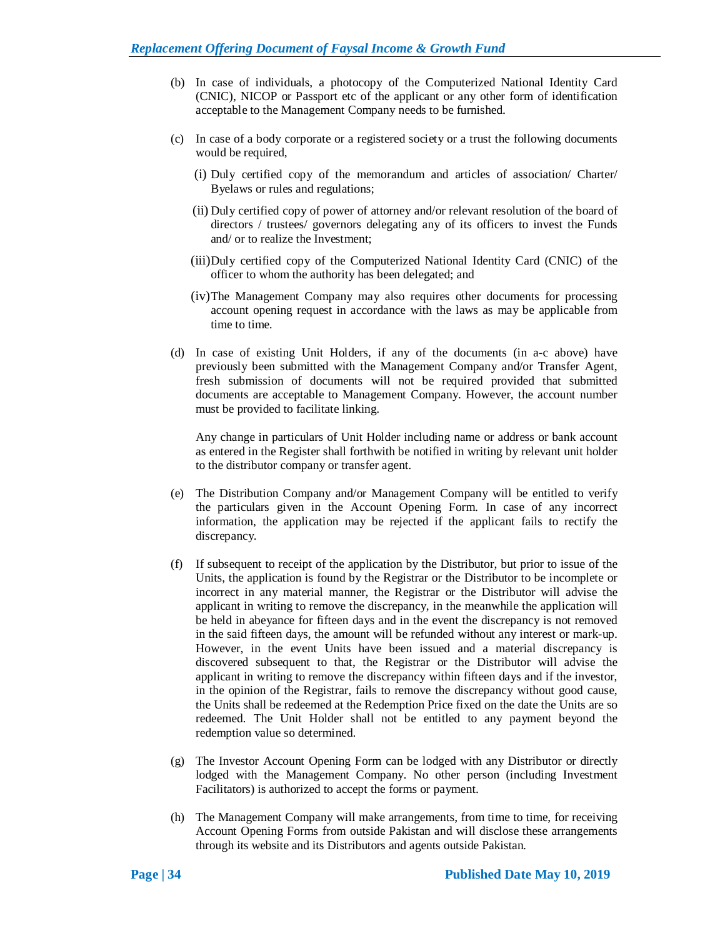- (b) In case of individuals, a photocopy of the Computerized National Identity Card (CNIC), NICOP or Passport etc of the applicant or any other form of identification acceptable to the Management Company needs to be furnished.
- (c) In case of a body corporate or a registered society or a trust the following documents would be required,
	- (i) Duly certified copy of the memorandum and articles of association/ Charter/ Byelaws or rules and regulations;
	- (ii) Duly certified copy of power of attorney and/or relevant resolution of the board of directors / trustees/ governors delegating any of its officers to invest the Funds and/ or to realize the Investment;
	- (iii)Duly certified copy of the Computerized National Identity Card (CNIC) of the officer to whom the authority has been delegated; and
	- (iv)The Management Company may also requires other documents for processing account opening request in accordance with the laws as may be applicable from time to time.
- (d) In case of existing Unit Holders, if any of the documents (in a-c above) have previously been submitted with the Management Company and/or Transfer Agent, fresh submission of documents will not be required provided that submitted documents are acceptable to Management Company. However, the account number must be provided to facilitate linking.

Any change in particulars of Unit Holder including name or address or bank account as entered in the Register shall forthwith be notified in writing by relevant unit holder to the distributor company or transfer agent.

- (e) The Distribution Company and/or Management Company will be entitled to verify the particulars given in the Account Opening Form. In case of any incorrect information, the application may be rejected if the applicant fails to rectify the discrepancy.
- (f) If subsequent to receipt of the application by the Distributor, but prior to issue of the Units, the application is found by the Registrar or the Distributor to be incomplete or incorrect in any material manner, the Registrar or the Distributor will advise the applicant in writing to remove the discrepancy, in the meanwhile the application will be held in abeyance for fifteen days and in the event the discrepancy is not removed in the said fifteen days, the amount will be refunded without any interest or mark-up. However, in the event Units have been issued and a material discrepancy is discovered subsequent to that, the Registrar or the Distributor will advise the applicant in writing to remove the discrepancy within fifteen days and if the investor, in the opinion of the Registrar, fails to remove the discrepancy without good cause, the Units shall be redeemed at the Redemption Price fixed on the date the Units are so redeemed. The Unit Holder shall not be entitled to any payment beyond the redemption value so determined.
- (g) The Investor Account Opening Form can be lodged with any Distributor or directly lodged with the Management Company. No other person (including Investment Facilitators) is authorized to accept the forms or payment.
- (h) The Management Company will make arrangements, from time to time, for receiving Account Opening Forms from outside Pakistan and will disclose these arrangements through its website and its Distributors and agents outside Pakistan.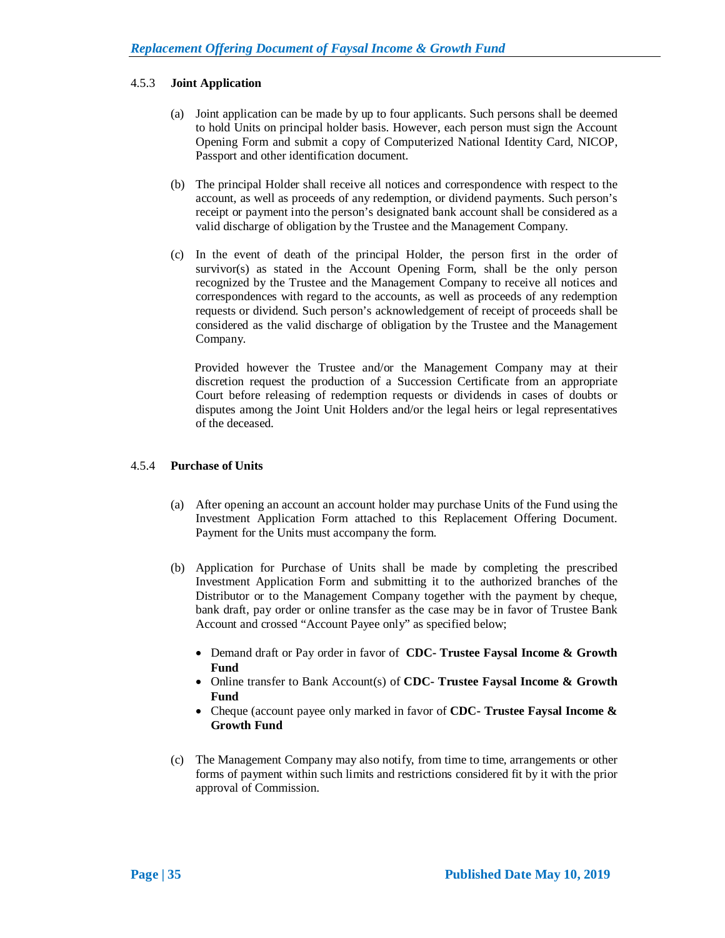## 4.5.3 **Joint Application**

- (a) Joint application can be made by up to four applicants. Such persons shall be deemed to hold Units on principal holder basis. However, each person must sign the Account Opening Form and submit a copy of Computerized National Identity Card, NICOP, Passport and other identification document.
- (b) The principal Holder shall receive all notices and correspondence with respect to the account, as well as proceeds of any redemption, or dividend payments. Such person's receipt or payment into the person's designated bank account shall be considered as a valid discharge of obligation by the Trustee and the Management Company.
- (c) In the event of death of the principal Holder, the person first in the order of survivor(s) as stated in the Account Opening Form, shall be the only person recognized by the Trustee and the Management Company to receive all notices and correspondences with regard to the accounts, as well as proceeds of any redemption requests or dividend. Such person's acknowledgement of receipt of proceeds shall be considered as the valid discharge of obligation by the Trustee and the Management Company.

Provided however the Trustee and/or the Management Company may at their discretion request the production of a Succession Certificate from an appropriate Court before releasing of redemption requests or dividends in cases of doubts or disputes among the Joint Unit Holders and/or the legal heirs or legal representatives of the deceased.

## 4.5.4 **Purchase of Units**

- (a) After opening an account an account holder may purchase Units of the Fund using the Investment Application Form attached to this Replacement Offering Document. Payment for the Units must accompany the form.
- (b) Application for Purchase of Units shall be made by completing the prescribed Investment Application Form and submitting it to the authorized branches of the Distributor or to the Management Company together with the payment by cheque, bank draft, pay order or online transfer as the case may be in favor of Trustee Bank Account and crossed "Account Payee only" as specified below;
	- Demand draft or Pay order in favor of **CDC- Trustee Faysal Income & Growth Fund**
	- Online transfer to Bank Account(s) of **CDC- Trustee Faysal Income & Growth Fund**
	- Cheque (account payee only marked in favor of **CDC- Trustee Faysal Income & Growth Fund**
- (c) The Management Company may also notify, from time to time, arrangements or other forms of payment within such limits and restrictions considered fit by it with the prior approval of Commission.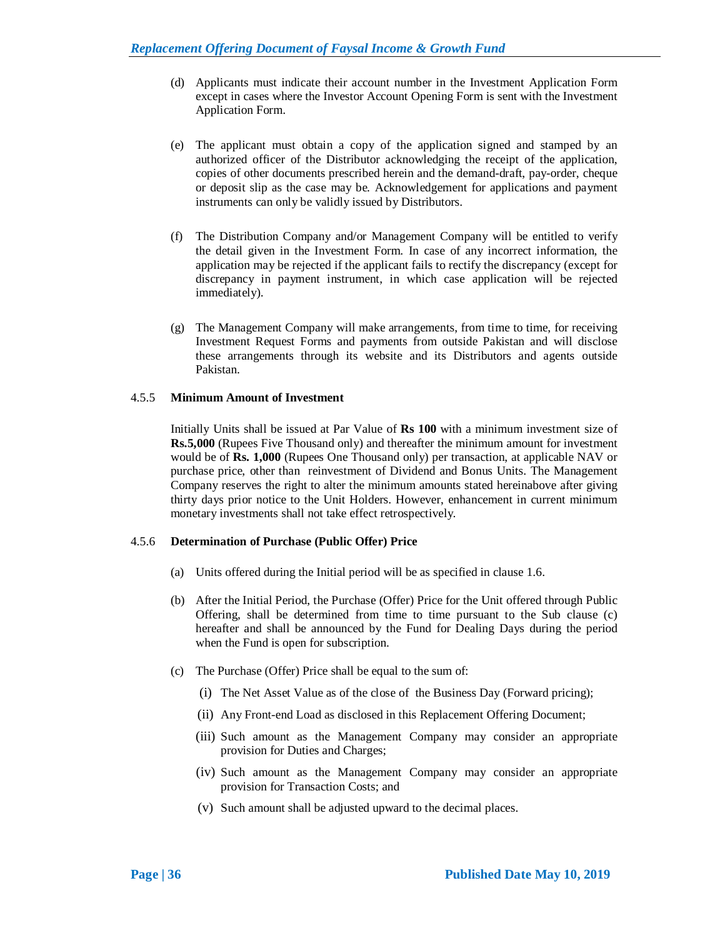- (d) Applicants must indicate their account number in the Investment Application Form except in cases where the Investor Account Opening Form is sent with the Investment Application Form.
- (e) The applicant must obtain a copy of the application signed and stamped by an authorized officer of the Distributor acknowledging the receipt of the application, copies of other documents prescribed herein and the demand-draft, pay-order, cheque or deposit slip as the case may be. Acknowledgement for applications and payment instruments can only be validly issued by Distributors.
- (f) The Distribution Company and/or Management Company will be entitled to verify the detail given in the Investment Form. In case of any incorrect information, the application may be rejected if the applicant fails to rectify the discrepancy (except for discrepancy in payment instrument, in which case application will be rejected immediately).
- (g) The Management Company will make arrangements, from time to time, for receiving Investment Request Forms and payments from outside Pakistan and will disclose these arrangements through its website and its Distributors and agents outside Pakistan.

#### 4.5.5 **Minimum Amount of Investment**

Initially Units shall be issued at Par Value of **Rs 100** with a minimum investment size of **Rs.5,000** (Rupees Five Thousand only) and thereafter the minimum amount for investment would be of **Rs. 1,000** (Rupees One Thousand only) per transaction, at applicable NAV or purchase price, other than reinvestment of Dividend and Bonus Units. The Management Company reserves the right to alter the minimum amounts stated hereinabove after giving thirty days prior notice to the Unit Holders. However, enhancement in current minimum monetary investments shall not take effect retrospectively.

#### 4.5.6 **Determination of Purchase (Public Offer) Price**

- (a) Units offered during the Initial period will be as specified in clause 1.6.
- (b) After the Initial Period, the Purchase (Offer) Price for the Unit offered through Public Offering, shall be determined from time to time pursuant to the Sub clause (c) hereafter and shall be announced by the Fund for Dealing Days during the period when the Fund is open for subscription.
- (c) The Purchase (Offer) Price shall be equal to the sum of:
	- (i) The Net Asset Value as of the close of the Business Day (Forward pricing);
	- (ii) Any Front-end Load as disclosed in this Replacement Offering Document;
	- (iii) Such amount as the Management Company may consider an appropriate provision for Duties and Charges;
	- (iv) Such amount as the Management Company may consider an appropriate provision for Transaction Costs; and
	- (v) Such amount shall be adjusted upward to the decimal places.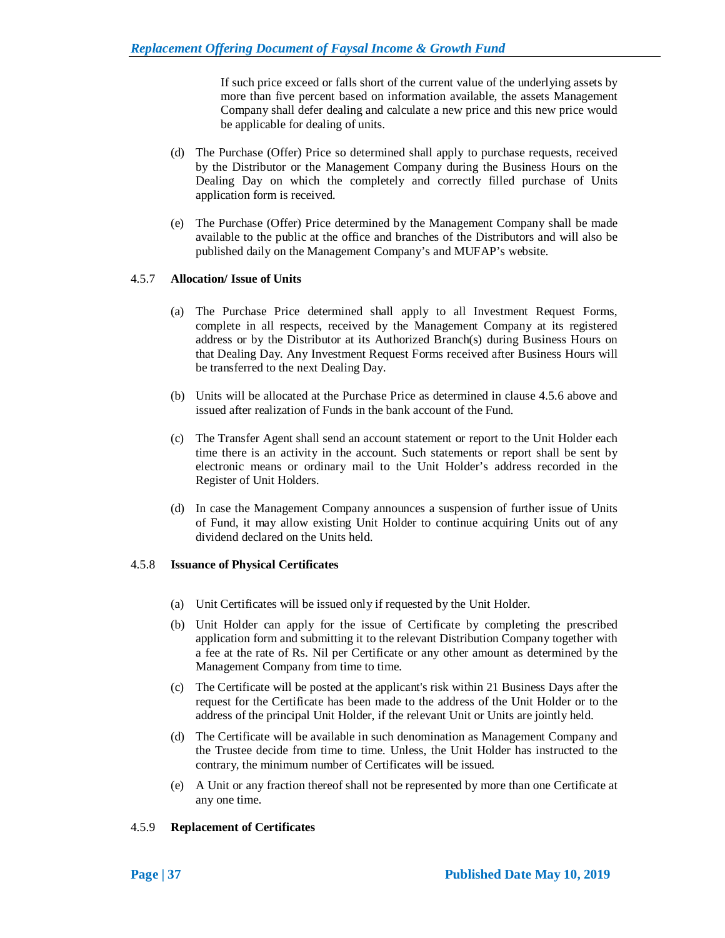If such price exceed or falls short of the current value of the underlying assets by more than five percent based on information available, the assets Management Company shall defer dealing and calculate a new price and this new price would be applicable for dealing of units.

- (d) The Purchase (Offer) Price so determined shall apply to purchase requests, received by the Distributor or the Management Company during the Business Hours on the Dealing Day on which the completely and correctly filled purchase of Units application form is received.
- (e) The Purchase (Offer) Price determined by the Management Company shall be made available to the public at the office and branches of the Distributors and will also be published daily on the Management Company's and MUFAP's website.

## 4.5.7 **Allocation/ Issue of Units**

- (a) The Purchase Price determined shall apply to all Investment Request Forms, complete in all respects, received by the Management Company at its registered address or by the Distributor at its Authorized Branch(s) during Business Hours on that Dealing Day. Any Investment Request Forms received after Business Hours will be transferred to the next Dealing Day.
- (b) Units will be allocated at the Purchase Price as determined in clause 4.5.6 above and issued after realization of Funds in the bank account of the Fund.
- (c) The Transfer Agent shall send an account statement or report to the Unit Holder each time there is an activity in the account. Such statements or report shall be sent by electronic means or ordinary mail to the Unit Holder's address recorded in the Register of Unit Holders.
- (d) In case the Management Company announces a suspension of further issue of Units of Fund, it may allow existing Unit Holder to continue acquiring Units out of any dividend declared on the Units held.

#### 4.5.8 **Issuance of Physical Certificates**

- (a) Unit Certificates will be issued only if requested by the Unit Holder.
- (b) Unit Holder can apply for the issue of Certificate by completing the prescribed application form and submitting it to the relevant Distribution Company together with a fee at the rate of Rs. Nil per Certificate or any other amount as determined by the Management Company from time to time.
- (c) The Certificate will be posted at the applicant's risk within 21 Business Days after the request for the Certificate has been made to the address of the Unit Holder or to the address of the principal Unit Holder, if the relevant Unit or Units are jointly held.
- (d) The Certificate will be available in such denomination as Management Company and the Trustee decide from time to time. Unless, the Unit Holder has instructed to the contrary, the minimum number of Certificates will be issued.
- (e) A Unit or any fraction thereof shall not be represented by more than one Certificate at any one time.

## 4.5.9 **Replacement of Certificates**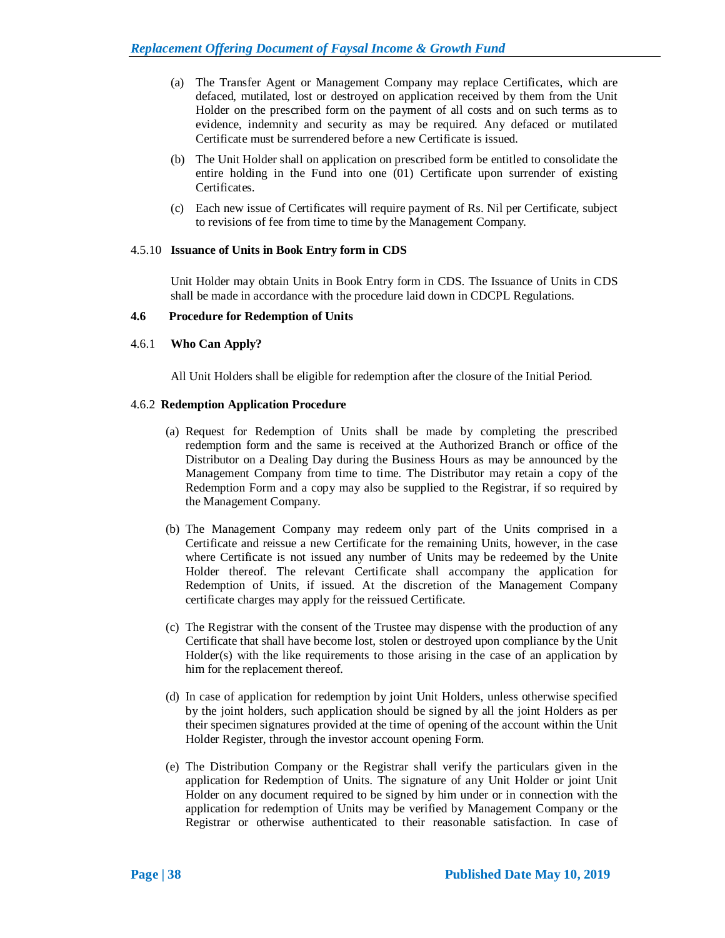- (a) The Transfer Agent or Management Company may replace Certificates, which are defaced, mutilated, lost or destroyed on application received by them from the Unit Holder on the prescribed form on the payment of all costs and on such terms as to evidence, indemnity and security as may be required. Any defaced or mutilated Certificate must be surrendered before a new Certificate is issued.
- (b) The Unit Holder shall on application on prescribed form be entitled to consolidate the entire holding in the Fund into one (01) Certificate upon surrender of existing Certificates.
- (c) Each new issue of Certificates will require payment of Rs. Nil per Certificate, subject to revisions of fee from time to time by the Management Company.

#### 4.5.10 **Issuance of Units in Book Entry form in CDS**

Unit Holder may obtain Units in Book Entry form in CDS. The Issuance of Units in CDS shall be made in accordance with the procedure laid down in CDCPL Regulations.

#### **4.6 Procedure for Redemption of Units**

## 4.6.1 **Who Can Apply?**

All Unit Holders shall be eligible for redemption after the closure of the Initial Period.

## 4.6.2 **Redemption Application Procedure**

- (a) Request for Redemption of Units shall be made by completing the prescribed redemption form and the same is received at the Authorized Branch or office of the Distributor on a Dealing Day during the Business Hours as may be announced by the Management Company from time to time. The Distributor may retain a copy of the Redemption Form and a copy may also be supplied to the Registrar, if so required by the Management Company.
- (b) The Management Company may redeem only part of the Units comprised in a Certificate and reissue a new Certificate for the remaining Units, however, in the case where Certificate is not issued any number of Units may be redeemed by the Unite Holder thereof. The relevant Certificate shall accompany the application for Redemption of Units, if issued. At the discretion of the Management Company certificate charges may apply for the reissued Certificate.
- (c) The Registrar with the consent of the Trustee may dispense with the production of any Certificate that shall have become lost, stolen or destroyed upon compliance by the Unit  $Holder(s)$  with the like requirements to those arising in the case of an application by him for the replacement thereof.
- (d) In case of application for redemption by joint Unit Holders, unless otherwise specified by the joint holders, such application should be signed by all the joint Holders as per their specimen signatures provided at the time of opening of the account within the Unit Holder Register, through the investor account opening Form.
- (e) The Distribution Company or the Registrar shall verify the particulars given in the application for Redemption of Units. The signature of any Unit Holder or joint Unit Holder on any document required to be signed by him under or in connection with the application for redemption of Units may be verified by Management Company or the Registrar or otherwise authenticated to their reasonable satisfaction. In case of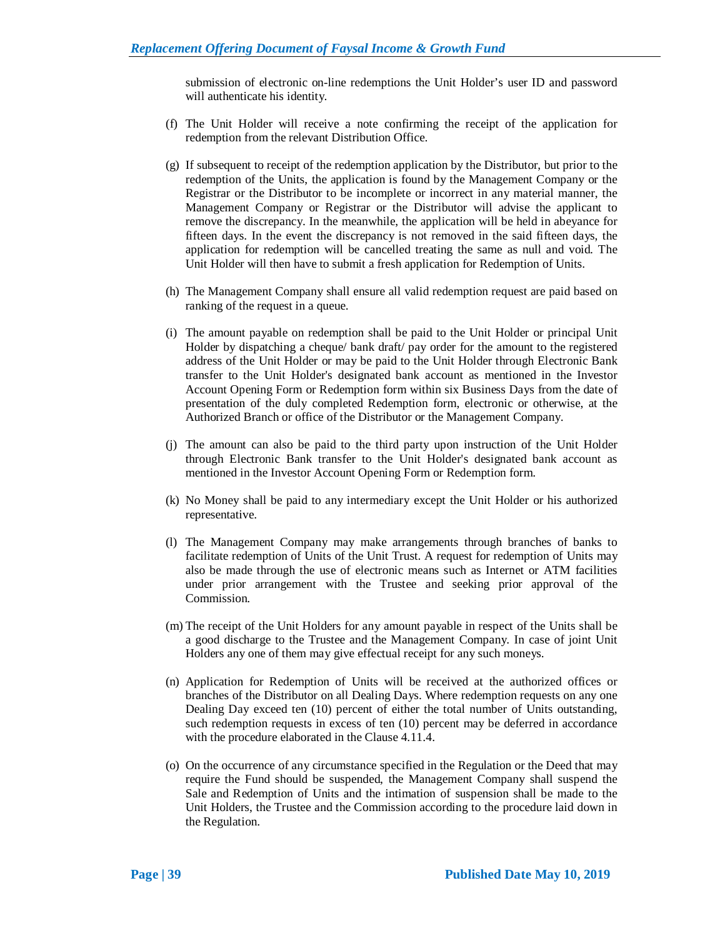submission of electronic on-line redemptions the Unit Holder's user ID and password will authenticate his identity.

- (f) The Unit Holder will receive a note confirming the receipt of the application for redemption from the relevant Distribution Office.
- (g) If subsequent to receipt of the redemption application by the Distributor, but prior to the redemption of the Units, the application is found by the Management Company or the Registrar or the Distributor to be incomplete or incorrect in any material manner, the Management Company or Registrar or the Distributor will advise the applicant to remove the discrepancy. In the meanwhile, the application will be held in abeyance for fifteen days. In the event the discrepancy is not removed in the said fifteen days, the application for redemption will be cancelled treating the same as null and void. The Unit Holder will then have to submit a fresh application for Redemption of Units.
- (h) The Management Company shall ensure all valid redemption request are paid based on ranking of the request in a queue.
- (i) The amount payable on redemption shall be paid to the Unit Holder or principal Unit Holder by dispatching a cheque/ bank draft/ pay order for the amount to the registered address of the Unit Holder or may be paid to the Unit Holder through Electronic Bank transfer to the Unit Holder's designated bank account as mentioned in the Investor Account Opening Form or Redemption form within six Business Days from the date of presentation of the duly completed Redemption form, electronic or otherwise, at the Authorized Branch or office of the Distributor or the Management Company.
- (j) The amount can also be paid to the third party upon instruction of the Unit Holder through Electronic Bank transfer to the Unit Holder's designated bank account as mentioned in the Investor Account Opening Form or Redemption form.
- (k) No Money shall be paid to any intermediary except the Unit Holder or his authorized representative.
- (l) The Management Company may make arrangements through branches of banks to facilitate redemption of Units of the Unit Trust. A request for redemption of Units may also be made through the use of electronic means such as Internet or ATM facilities under prior arrangement with the Trustee and seeking prior approval of the Commission.
- (m) The receipt of the Unit Holders for any amount payable in respect of the Units shall be a good discharge to the Trustee and the Management Company. In case of joint Unit Holders any one of them may give effectual receipt for any such moneys.
- (n) Application for Redemption of Units will be received at the authorized offices or branches of the Distributor on all Dealing Days. Where redemption requests on any one Dealing Day exceed ten (10) percent of either the total number of Units outstanding, such redemption requests in excess of ten (10) percent may be deferred in accordance with the procedure elaborated in the Clause 4.11.4.
- (o) On the occurrence of any circumstance specified in the Regulation or the Deed that may require the Fund should be suspended, the Management Company shall suspend the Sale and Redemption of Units and the intimation of suspension shall be made to the Unit Holders, the Trustee and the Commission according to the procedure laid down in the Regulation.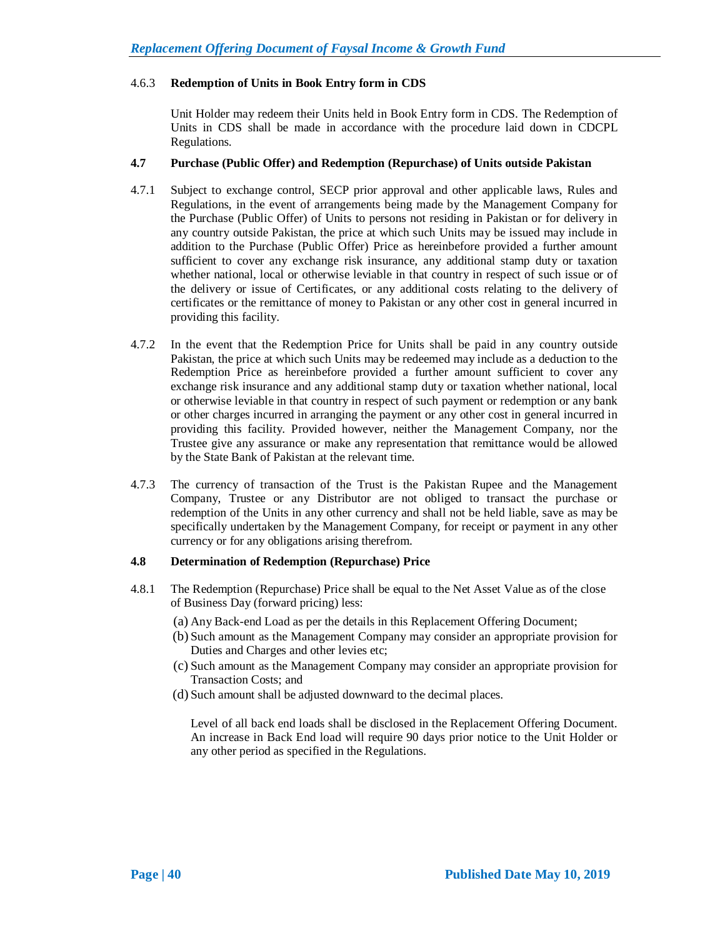## 4.6.3 **Redemption of Units in Book Entry form in CDS**

Unit Holder may redeem their Units held in Book Entry form in CDS. The Redemption of Units in CDS shall be made in accordance with the procedure laid down in CDCPL Regulations.

## **4.7 Purchase (Public Offer) and Redemption (Repurchase) of Units outside Pakistan**

- 4.7.1 Subject to exchange control, SECP prior approval and other applicable laws, Rules and Regulations, in the event of arrangements being made by the Management Company for the Purchase (Public Offer) of Units to persons not residing in Pakistan or for delivery in any country outside Pakistan, the price at which such Units may be issued may include in addition to the Purchase (Public Offer) Price as hereinbefore provided a further amount sufficient to cover any exchange risk insurance, any additional stamp duty or taxation whether national, local or otherwise leviable in that country in respect of such issue or of the delivery or issue of Certificates, or any additional costs relating to the delivery of certificates or the remittance of money to Pakistan or any other cost in general incurred in providing this facility.
- 4.7.2 In the event that the Redemption Price for Units shall be paid in any country outside Pakistan, the price at which such Units may be redeemed may include as a deduction to the Redemption Price as hereinbefore provided a further amount sufficient to cover any exchange risk insurance and any additional stamp duty or taxation whether national, local or otherwise leviable in that country in respect of such payment or redemption or any bank or other charges incurred in arranging the payment or any other cost in general incurred in providing this facility. Provided however, neither the Management Company, nor the Trustee give any assurance or make any representation that remittance would be allowed by the State Bank of Pakistan at the relevant time.
- 4.7.3 The currency of transaction of the Trust is the Pakistan Rupee and the Management Company, Trustee or any Distributor are not obliged to transact the purchase or redemption of the Units in any other currency and shall not be held liable, save as may be specifically undertaken by the Management Company, for receipt or payment in any other currency or for any obligations arising therefrom.

## **4.8 Determination of Redemption (Repurchase) Price**

- 4.8.1 The Redemption (Repurchase) Price shall be equal to the Net Asset Value as of the close of Business Day (forward pricing) less:
	- (a) Any Back-end Load as per the details in this Replacement Offering Document;
	- (b) Such amount as the Management Company may consider an appropriate provision for Duties and Charges and other levies etc;
	- (c) Such amount as the Management Company may consider an appropriate provision for Transaction Costs; and
	- (d) Such amount shall be adjusted downward to the decimal places.

Level of all back end loads shall be disclosed in the Replacement Offering Document. An increase in Back End load will require 90 days prior notice to the Unit Holder or any other period as specified in the Regulations.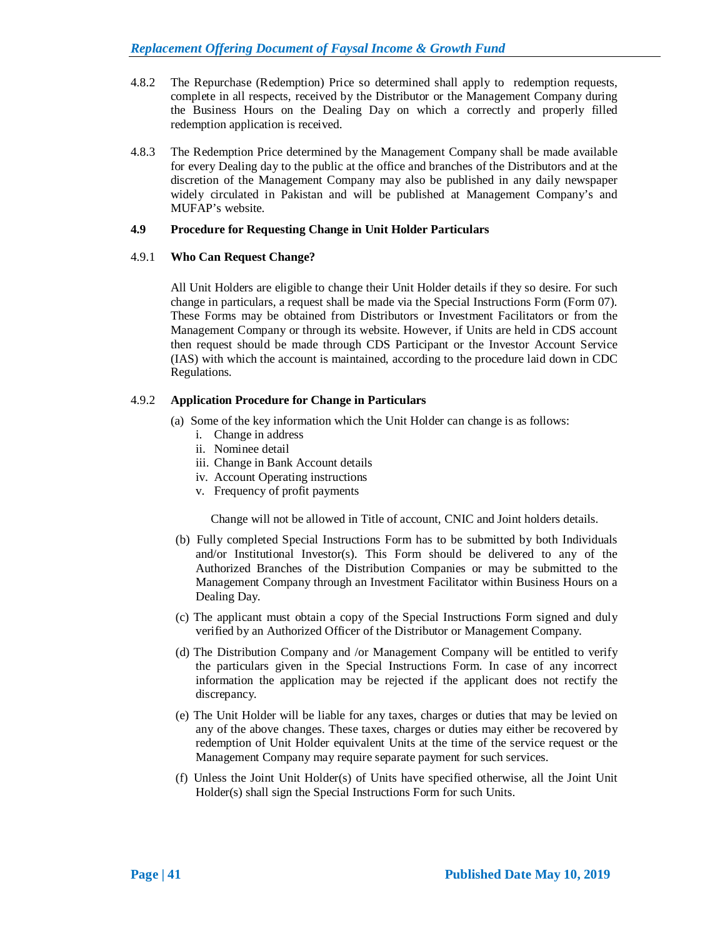- 4.8.2 The Repurchase (Redemption) Price so determined shall apply to redemption requests, complete in all respects, received by the Distributor or the Management Company during the Business Hours on the Dealing Day on which a correctly and properly filled redemption application is received.
- 4.8.3 The Redemption Price determined by the Management Company shall be made available for every Dealing day to the public at the office and branches of the Distributors and at the discretion of the Management Company may also be published in any daily newspaper widely circulated in Pakistan and will be published at Management Company's and MUFAP's website.

## **4.9 Procedure for Requesting Change in Unit Holder Particulars**

## 4.9.1 **Who Can Request Change?**

All Unit Holders are eligible to change their Unit Holder details if they so desire. For such change in particulars, a request shall be made via the Special Instructions Form (Form 07). These Forms may be obtained from Distributors or Investment Facilitators or from the Management Company or through its website. However, if Units are held in CDS account then request should be made through CDS Participant or the Investor Account Service (IAS) with which the account is maintained, according to the procedure laid down in CDC Regulations.

## 4.9.2 **Application Procedure for Change in Particulars**

- (a) Some of the key information which the Unit Holder can change is as follows:
	- i. Change in address
	- ii. Nominee detail
	- iii. Change in Bank Account details
	- iv. Account Operating instructions
	- v. Frequency of profit payments

Change will not be allowed in Title of account, CNIC and Joint holders details.

- (b) Fully completed Special Instructions Form has to be submitted by both Individuals and/or Institutional Investor(s). This Form should be delivered to any of the Authorized Branches of the Distribution Companies or may be submitted to the Management Company through an Investment Facilitator within Business Hours on a Dealing Day.
- (c) The applicant must obtain a copy of the Special Instructions Form signed and duly verified by an Authorized Officer of the Distributor or Management Company.
- (d) The Distribution Company and /or Management Company will be entitled to verify the particulars given in the Special Instructions Form. In case of any incorrect information the application may be rejected if the applicant does not rectify the discrepancy.
- (e) The Unit Holder will be liable for any taxes, charges or duties that may be levied on any of the above changes. These taxes, charges or duties may either be recovered by redemption of Unit Holder equivalent Units at the time of the service request or the Management Company may require separate payment for such services.
- (f) Unless the Joint Unit Holder(s) of Units have specified otherwise, all the Joint Unit Holder(s) shall sign the Special Instructions Form for such Units.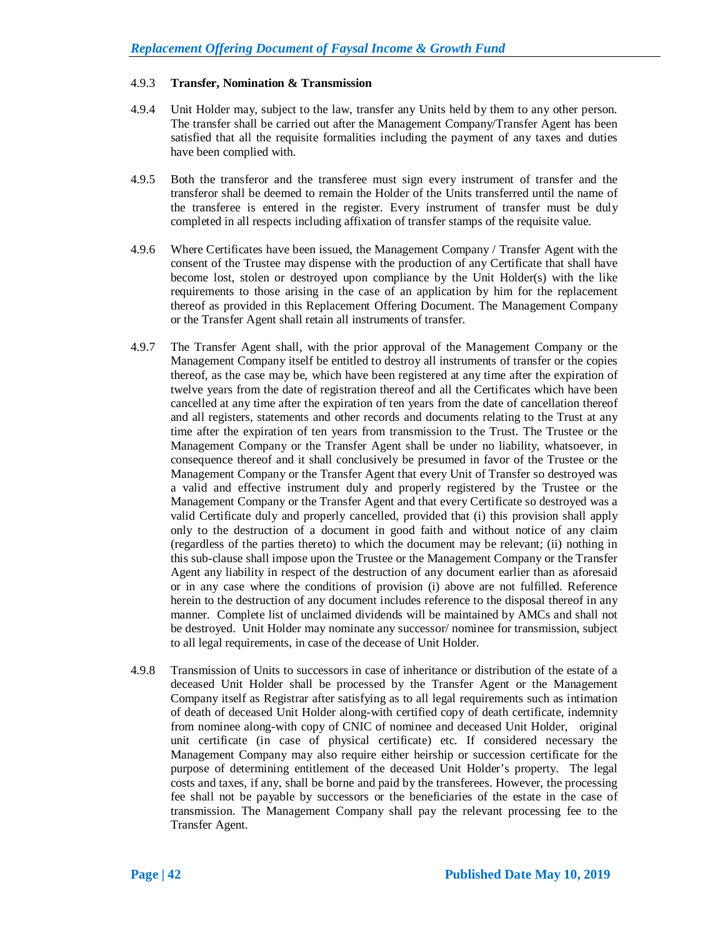#### 4.9.3 **Transfer, Nomination & Transmission**

- 4.9.4 Unit Holder may, subject to the law, transfer any Units held by them to any other person. The transfer shall be carried out after the Management Company/Transfer Agent has been satisfied that all the requisite formalities including the payment of any taxes and duties have been complied with.
- 4.9.5 Both the transferor and the transferee must sign every instrument of transfer and the transferor shall be deemed to remain the Holder of the Units transferred until the name of the transferee is entered in the register. Every instrument of transfer must be duly completed in all respects including affixation of transfer stamps of the requisite value.
- 4.9.6 Where Certificates have been issued, the Management Company / Transfer Agent with the consent of the Trustee may dispense with the production of any Certificate that shall have become lost, stolen or destroyed upon compliance by the Unit Holder(s) with the like requirements to those arising in the case of an application by him for the replacement thereof as provided in this Replacement Offering Document. The Management Company or the Transfer Agent shall retain all instruments of transfer.
- 4.9.7 The Transfer Agent shall, with the prior approval of the Management Company or the Management Company itself be entitled to destroy all instruments of transfer or the copies thereof, as the case may be, which have been registered at any time after the expiration of twelve years from the date of registration thereof and all the Certificates which have been cancelled at any time after the expiration of ten years from the date of cancellation thereof and all registers, statements and other records and documents relating to the Trust at any time after the expiration of ten years from transmission to the Trust. The Trustee or the Management Company or the Transfer Agent shall be under no liability, whatsoever, in consequence thereof and it shall conclusively be presumed in favor of the Trustee or the Management Company or the Transfer Agent that every Unit of Transfer so destroyed was a valid and effective instrument duly and properly registered by the Trustee or the Management Company or the Transfer Agent and that every Certificate so destroyed was a valid Certificate duly and properly cancelled, provided that (i) this provision shall apply only to the destruction of a document in good faith and without notice of any claim (regardless of the parties thereto) to which the document may be relevant; (ii) nothing in this sub-clause shall impose upon the Trustee or the Management Company or the Transfer Agent any liability in respect of the destruction of any document earlier than as aforesaid or in any case where the conditions of provision (i) above are not fulfilled. Reference herein to the destruction of any document includes reference to the disposal thereof in any manner. Complete list of unclaimed dividends will be maintained by AMCs and shall not be destroyed. Unit Holder may nominate any successor/ nominee for transmission, subject to all legal requirements, in case of the decease of Unit Holder.
- 4.9.8 Transmission of Units to successors in case of inheritance or distribution of the estate of a deceased Unit Holder shall be processed by the Transfer Agent or the Management Company itself as Registrar after satisfying as to all legal requirements such as intimation of death of deceased Unit Holder along-with certified copy of death certificate, indemnity from nominee along-with copy of CNIC of nominee and deceased Unit Holder, original unit certificate (in case of physical certificate) etc. If considered necessary the Management Company may also require either heirship or succession certificate for the purpose of determining entitlement of the deceased Unit Holder's property. The legal costs and taxes, if any, shall be borne and paid by the transferees. However, the processing fee shall not be payable by successors or the beneficiaries of the estate in the case of transmission. The Management Company shall pay the relevant processing fee to the Transfer Agent.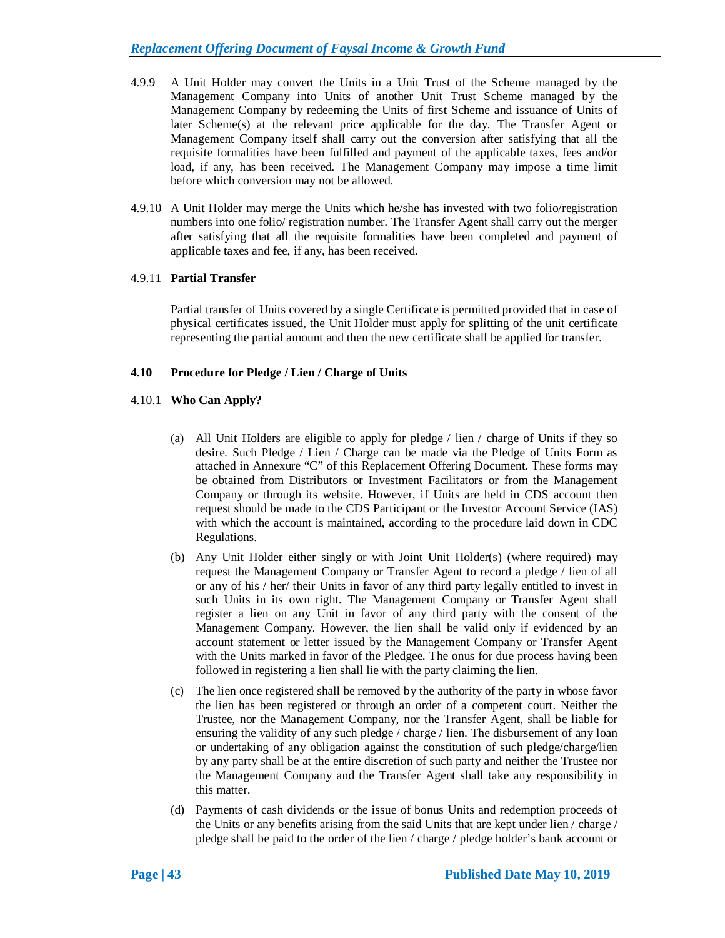- 4.9.9 A Unit Holder may convert the Units in a Unit Trust of the Scheme managed by the Management Company into Units of another Unit Trust Scheme managed by the Management Company by redeeming the Units of first Scheme and issuance of Units of later Scheme(s) at the relevant price applicable for the day. The Transfer Agent or Management Company itself shall carry out the conversion after satisfying that all the requisite formalities have been fulfilled and payment of the applicable taxes, fees and/or load, if any, has been received. The Management Company may impose a time limit before which conversion may not be allowed.
- 4.9.10 A Unit Holder may merge the Units which he/she has invested with two folio/registration numbers into one folio/ registration number. The Transfer Agent shall carry out the merger after satisfying that all the requisite formalities have been completed and payment of applicable taxes and fee, if any, has been received.

## 4.9.11 **Partial Transfer**

Partial transfer of Units covered by a single Certificate is permitted provided that in case of physical certificates issued, the Unit Holder must apply for splitting of the unit certificate representing the partial amount and then the new certificate shall be applied for transfer.

## **4.10 Procedure for Pledge / Lien / Charge of Units**

## 4.10.1 **Who Can Apply?**

- (a) All Unit Holders are eligible to apply for pledge / lien / charge of Units if they so desire. Such Pledge / Lien / Charge can be made via the Pledge of Units Form as attached in Annexure "C" of this Replacement Offering Document. These forms may be obtained from Distributors or Investment Facilitators or from the Management Company or through its website. However, if Units are held in CDS account then request should be made to the CDS Participant or the Investor Account Service (IAS) with which the account is maintained, according to the procedure laid down in CDC Regulations.
- (b) Any Unit Holder either singly or with Joint Unit Holder(s) (where required) may request the Management Company or Transfer Agent to record a pledge / lien of all or any of his / her/ their Units in favor of any third party legally entitled to invest in such Units in its own right. The Management Company or Transfer Agent shall register a lien on any Unit in favor of any third party with the consent of the Management Company. However, the lien shall be valid only if evidenced by an account statement or letter issued by the Management Company or Transfer Agent with the Units marked in favor of the Pledgee. The onus for due process having been followed in registering a lien shall lie with the party claiming the lien.
- (c) The lien once registered shall be removed by the authority of the party in whose favor the lien has been registered or through an order of a competent court. Neither the Trustee, nor the Management Company, nor the Transfer Agent, shall be liable for ensuring the validity of any such pledge / charge / lien. The disbursement of any loan or undertaking of any obligation against the constitution of such pledge/charge/lien by any party shall be at the entire discretion of such party and neither the Trustee nor the Management Company and the Transfer Agent shall take any responsibility in this matter.
- (d) Payments of cash dividends or the issue of bonus Units and redemption proceeds of the Units or any benefits arising from the said Units that are kept under lien / charge / pledge shall be paid to the order of the lien / charge / pledge holder's bank account or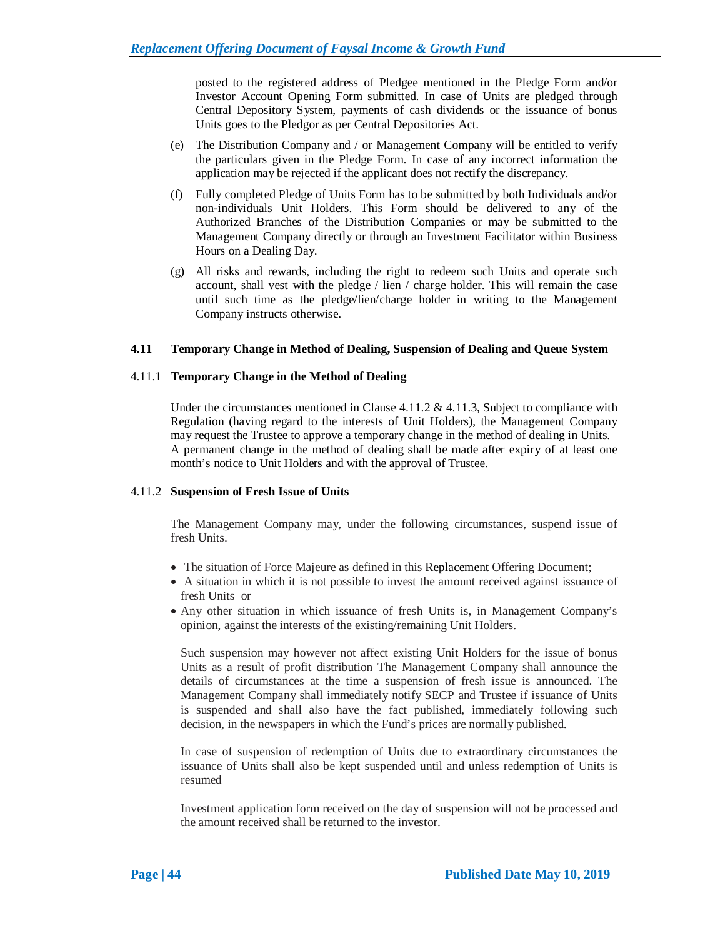posted to the registered address of Pledgee mentioned in the Pledge Form and/or Investor Account Opening Form submitted. In case of Units are pledged through Central Depository System, payments of cash dividends or the issuance of bonus Units goes to the Pledgor as per Central Depositories Act.

- (e) The Distribution Company and / or Management Company will be entitled to verify the particulars given in the Pledge Form. In case of any incorrect information the application may be rejected if the applicant does not rectify the discrepancy.
- (f) Fully completed Pledge of Units Form has to be submitted by both Individuals and/or non-individuals Unit Holders. This Form should be delivered to any of the Authorized Branches of the Distribution Companies or may be submitted to the Management Company directly or through an Investment Facilitator within Business Hours on a Dealing Day.
- (g) All risks and rewards, including the right to redeem such Units and operate such account, shall vest with the pledge / lien / charge holder. This will remain the case until such time as the pledge/lien/charge holder in writing to the Management Company instructs otherwise.

## **4.11 Temporary Change in Method of Dealing, Suspension of Dealing and Queue System**

## 4.11.1 **Temporary Change in the Method of Dealing**

Under the circumstances mentioned in Clause  $4.11.2 \& 4.11.3$ , Subject to compliance with Regulation (having regard to the interests of Unit Holders), the Management Company may request the Trustee to approve a temporary change in the method of dealing in Units. A permanent change in the method of dealing shall be made after expiry of at least one month's notice to Unit Holders and with the approval of Trustee.

#### 4.11.2 **Suspension of Fresh Issue of Units**

The Management Company may, under the following circumstances, suspend issue of fresh Units.

- The situation of Force Majeure as defined in this Replacement Offering Document;
- A situation in which it is not possible to invest the amount received against issuance of fresh Units or
- Any other situation in which issuance of fresh Units is, in Management Company's opinion, against the interests of the existing/remaining Unit Holders.

Such suspension may however not affect existing Unit Holders for the issue of bonus Units as a result of profit distribution The Management Company shall announce the details of circumstances at the time a suspension of fresh issue is announced. The Management Company shall immediately notify SECP and Trustee if issuance of Units is suspended and shall also have the fact published, immediately following such decision, in the newspapers in which the Fund's prices are normally published.

In case of suspension of redemption of Units due to extraordinary circumstances the issuance of Units shall also be kept suspended until and unless redemption of Units is resumed

Investment application form received on the day of suspension will not be processed and the amount received shall be returned to the investor.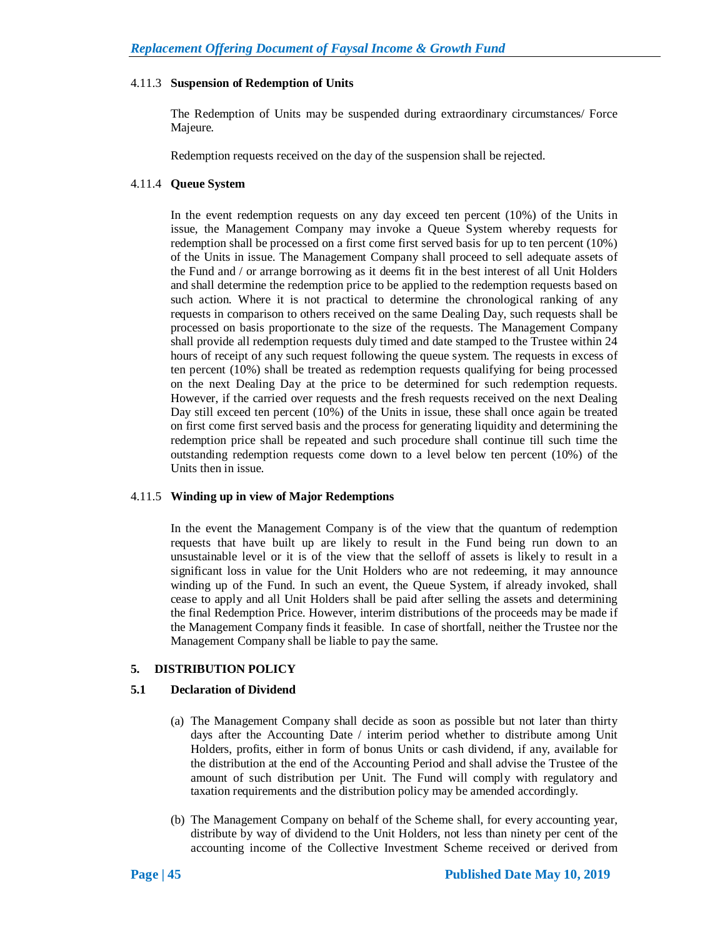## 4.11.3 **Suspension of Redemption of Units**

The Redemption of Units may be suspended during extraordinary circumstances/ Force Majeure.

Redemption requests received on the day of the suspension shall be rejected.

#### 4.11.4 **Queue System**

In the event redemption requests on any day exceed ten percent (10%) of the Units in issue, the Management Company may invoke a Queue System whereby requests for redemption shall be processed on a first come first served basis for up to ten percent (10%) of the Units in issue. The Management Company shall proceed to sell adequate assets of the Fund and / or arrange borrowing as it deems fit in the best interest of all Unit Holders and shall determine the redemption price to be applied to the redemption requests based on such action. Where it is not practical to determine the chronological ranking of any requests in comparison to others received on the same Dealing Day, such requests shall be processed on basis proportionate to the size of the requests. The Management Company shall provide all redemption requests duly timed and date stamped to the Trustee within 24 hours of receipt of any such request following the queue system. The requests in excess of ten percent (10%) shall be treated as redemption requests qualifying for being processed on the next Dealing Day at the price to be determined for such redemption requests. However, if the carried over requests and the fresh requests received on the next Dealing Day still exceed ten percent (10%) of the Units in issue, these shall once again be treated on first come first served basis and the process for generating liquidity and determining the redemption price shall be repeated and such procedure shall continue till such time the outstanding redemption requests come down to a level below ten percent (10%) of the Units then in issue.

#### 4.11.5 **Winding up in view of Major Redemptions**

In the event the Management Company is of the view that the quantum of redemption requests that have built up are likely to result in the Fund being run down to an unsustainable level or it is of the view that the selloff of assets is likely to result in a significant loss in value for the Unit Holders who are not redeeming, it may announce winding up of the Fund. In such an event, the Queue System, if already invoked, shall cease to apply and all Unit Holders shall be paid after selling the assets and determining the final Redemption Price. However, interim distributions of the proceeds may be made if the Management Company finds it feasible. In case of shortfall, neither the Trustee nor the Management Company shall be liable to pay the same.

#### **5. DISTRIBUTION POLICY**

#### **5.1 Declaration of Dividend**

- (a) The Management Company shall decide as soon as possible but not later than thirty days after the Accounting Date / interim period whether to distribute among Unit Holders, profits, either in form of bonus Units or cash dividend, if any, available for the distribution at the end of the Accounting Period and shall advise the Trustee of the amount of such distribution per Unit. The Fund will comply with regulatory and taxation requirements and the distribution policy may be amended accordingly.
- (b) The Management Company on behalf of the Scheme shall, for every accounting year, distribute by way of dividend to the Unit Holders, not less than ninety per cent of the accounting income of the Collective Investment Scheme received or derived from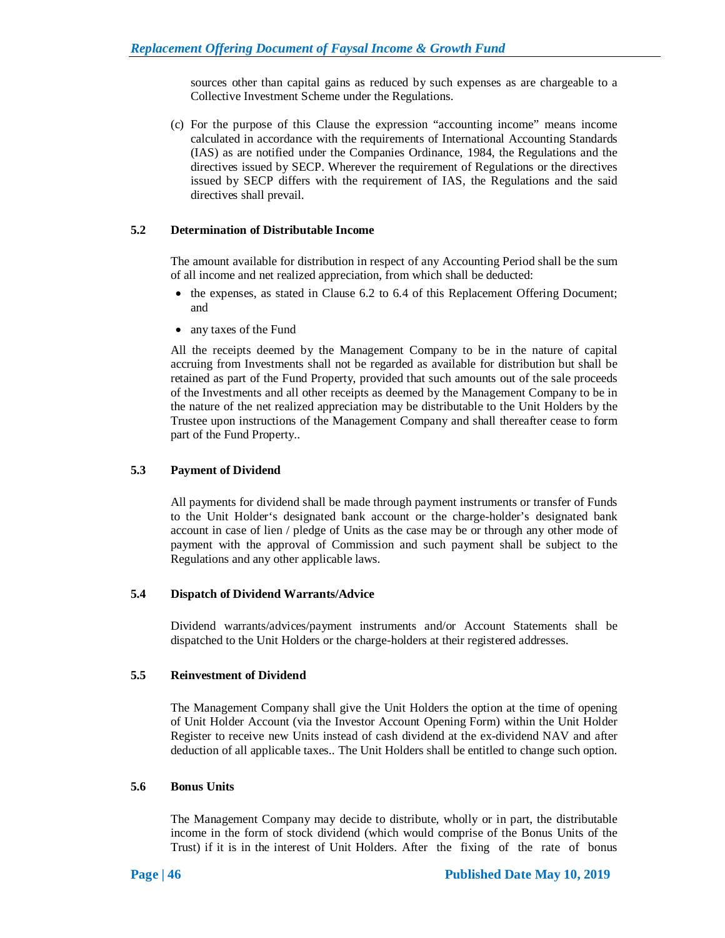sources other than capital gains as reduced by such expenses as are chargeable to a Collective Investment Scheme under the Regulations.

(c) For the purpose of this Clause the expression "accounting income" means income calculated in accordance with the requirements of International Accounting Standards (IAS) as are notified under the Companies Ordinance, 1984, the Regulations and the directives issued by SECP. Wherever the requirement of Regulations or the directives issued by SECP differs with the requirement of IAS, the Regulations and the said directives shall prevail.

## **5.2 Determination of Distributable Income**

The amount available for distribution in respect of any Accounting Period shall be the sum of all income and net realized appreciation, from which shall be deducted:

- the expenses, as stated in Clause 6.2 to 6.4 of this Replacement Offering Document; and
- any taxes of the Fund

All the receipts deemed by the Management Company to be in the nature of capital accruing from Investments shall not be regarded as available for distribution but shall be retained as part of the Fund Property, provided that such amounts out of the sale proceeds of the Investments and all other receipts as deemed by the Management Company to be in the nature of the net realized appreciation may be distributable to the Unit Holders by the Trustee upon instructions of the Management Company and shall thereafter cease to form part of the Fund Property..

## **5.3 Payment of Dividend**

All payments for dividend shall be made through payment instruments or transfer of Funds to the Unit Holder's designated bank account or the charge-holder's designated bank account in case of lien / pledge of Units as the case may be or through any other mode of payment with the approval of Commission and such payment shall be subject to the Regulations and any other applicable laws.

## **5.4 Dispatch of Dividend Warrants/Advice**

Dividend warrants/advices/payment instruments and/or Account Statements shall be dispatched to the Unit Holders or the charge-holders at their registered addresses.

#### **5.5 Reinvestment of Dividend**

The Management Company shall give the Unit Holders the option at the time of opening of Unit Holder Account (via the Investor Account Opening Form) within the Unit Holder Register to receive new Units instead of cash dividend at the ex-dividend NAV and after deduction of all applicable taxes.. The Unit Holders shall be entitled to change such option.

#### **5.6 Bonus Units**

The Management Company may decide to distribute, wholly or in part, the distributable income in the form of stock dividend (which would comprise of the Bonus Units of the Trust) if it is in the interest of Unit Holders. After the fixing of the rate of bonus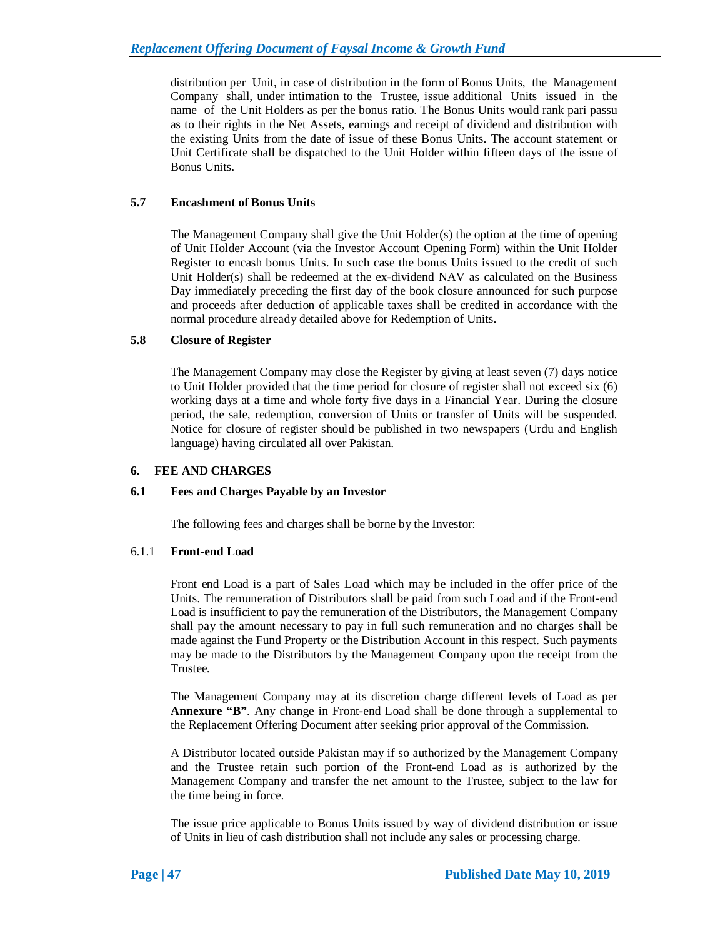distribution per Unit, in case of distribution in the form of Bonus Units, the Management Company shall, under intimation to the Trustee, issue additional Units issued in the name of the Unit Holders as per the bonus ratio. The Bonus Units would rank pari passu as to their rights in the Net Assets, earnings and receipt of dividend and distribution with the existing Units from the date of issue of these Bonus Units. The account statement or Unit Certificate shall be dispatched to the Unit Holder within fifteen days of the issue of Bonus Units.

## **5.7 Encashment of Bonus Units**

The Management Company shall give the Unit Holder(s) the option at the time of opening of Unit Holder Account (via the Investor Account Opening Form) within the Unit Holder Register to encash bonus Units. In such case the bonus Units issued to the credit of such Unit Holder(s) shall be redeemed at the ex-dividend NAV as calculated on the Business Day immediately preceding the first day of the book closure announced for such purpose and proceeds after deduction of applicable taxes shall be credited in accordance with the normal procedure already detailed above for Redemption of Units.

## **5.8 Closure of Register**

The Management Company may close the Register by giving at least seven (7) days notice to Unit Holder provided that the time period for closure of register shall not exceed six (6) working days at a time and whole forty five days in a Financial Year. During the closure period, the sale, redemption, conversion of Units or transfer of Units will be suspended. Notice for closure of register should be published in two newspapers (Urdu and English language) having circulated all over Pakistan.

## **6. FEE AND CHARGES**

## **6.1 Fees and Charges Payable by an Investor**

The following fees and charges shall be borne by the Investor:

## 6.1.1 **Front-end Load**

Front end Load is a part of Sales Load which may be included in the offer price of the Units. The remuneration of Distributors shall be paid from such Load and if the Front-end Load is insufficient to pay the remuneration of the Distributors, the Management Company shall pay the amount necessary to pay in full such remuneration and no charges shall be made against the Fund Property or the Distribution Account in this respect. Such payments may be made to the Distributors by the Management Company upon the receipt from the Trustee.

The Management Company may at its discretion charge different levels of Load as per **Annexure "B"**. Any change in Front-end Load shall be done through a supplemental to the Replacement Offering Document after seeking prior approval of the Commission.

A Distributor located outside Pakistan may if so authorized by the Management Company and the Trustee retain such portion of the Front-end Load as is authorized by the Management Company and transfer the net amount to the Trustee, subject to the law for the time being in force.

The issue price applicable to Bonus Units issued by way of dividend distribution or issue of Units in lieu of cash distribution shall not include any sales or processing charge.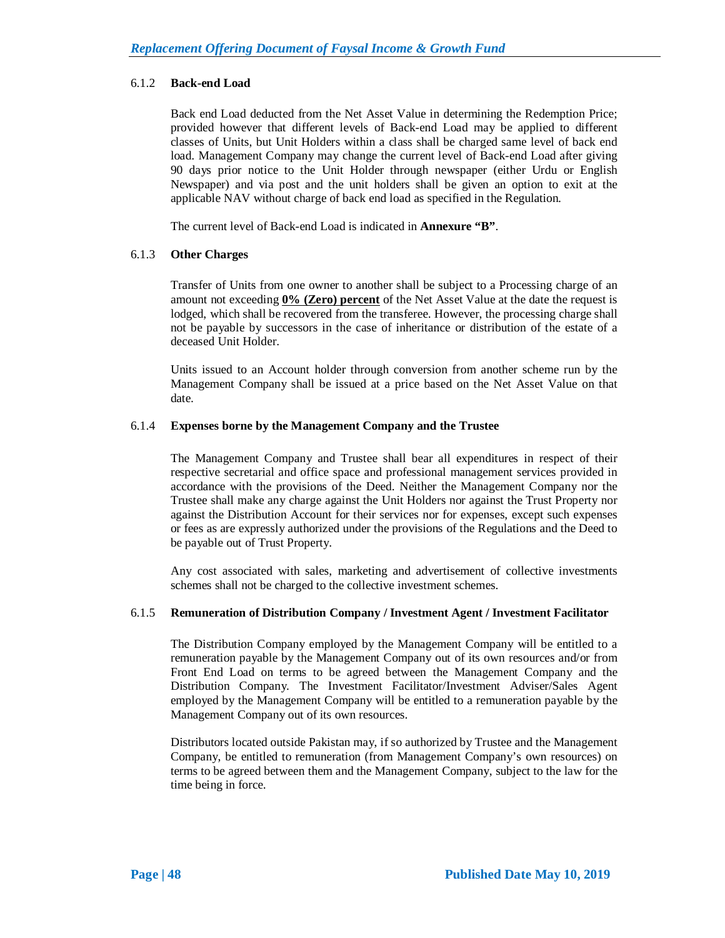## 6.1.2 **Back-end Load**

Back end Load deducted from the Net Asset Value in determining the Redemption Price; provided however that different levels of Back-end Load may be applied to different classes of Units, but Unit Holders within a class shall be charged same level of back end load. Management Company may change the current level of Back-end Load after giving 90 days prior notice to the Unit Holder through newspaper (either Urdu or English Newspaper) and via post and the unit holders shall be given an option to exit at the applicable NAV without charge of back end load as specified in the Regulation.

The current level of Back-end Load is indicated in **Annexure "B"**.

## 6.1.3 **Other Charges**

Transfer of Units from one owner to another shall be subject to a Processing charge of an amount not exceeding **0% (Zero) percent** of the Net Asset Value at the date the request is lodged, which shall be recovered from the transferee. However, the processing charge shall not be payable by successors in the case of inheritance or distribution of the estate of a deceased Unit Holder.

Units issued to an Account holder through conversion from another scheme run by the Management Company shall be issued at a price based on the Net Asset Value on that date.

## 6.1.4 **Expenses borne by the Management Company and the Trustee**

The Management Company and Trustee shall bear all expenditures in respect of their respective secretarial and office space and professional management services provided in accordance with the provisions of the Deed. Neither the Management Company nor the Trustee shall make any charge against the Unit Holders nor against the Trust Property nor against the Distribution Account for their services nor for expenses, except such expenses or fees as are expressly authorized under the provisions of the Regulations and the Deed to be payable out of Trust Property.

Any cost associated with sales, marketing and advertisement of collective investments schemes shall not be charged to the collective investment schemes.

#### 6.1.5 **Remuneration of Distribution Company / Investment Agent / Investment Facilitator**

The Distribution Company employed by the Management Company will be entitled to a remuneration payable by the Management Company out of its own resources and/or from Front End Load on terms to be agreed between the Management Company and the Distribution Company. The Investment Facilitator/Investment Adviser/Sales Agent employed by the Management Company will be entitled to a remuneration payable by the Management Company out of its own resources.

Distributors located outside Pakistan may, if so authorized by Trustee and the Management Company, be entitled to remuneration (from Management Company's own resources) on terms to be agreed between them and the Management Company, subject to the law for the time being in force.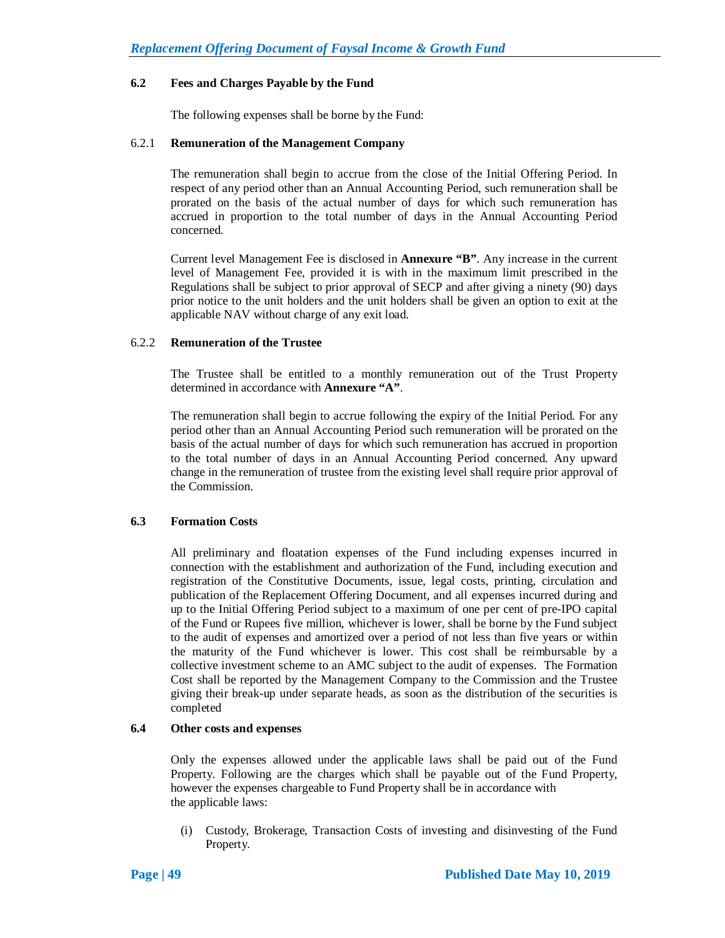## **6.2 Fees and Charges Payable by the Fund**

The following expenses shall be borne by the Fund:

## 6.2.1 **Remuneration of the Management Company**

The remuneration shall begin to accrue from the close of the Initial Offering Period. In respect of any period other than an Annual Accounting Period, such remuneration shall be prorated on the basis of the actual number of days for which such remuneration has accrued in proportion to the total number of days in the Annual Accounting Period concerned.

Current level Management Fee is disclosed in **Annexure "B"**. Any increase in the current level of Management Fee, provided it is with in the maximum limit prescribed in the Regulations shall be subject to prior approval of SECP and after giving a ninety (90) days prior notice to the unit holders and the unit holders shall be given an option to exit at the applicable NAV without charge of any exit load.

## 6.2.2 **Remuneration of the Trustee**

The Trustee shall be entitled to a monthly remuneration out of the Trust Property determined in accordance with **Annexure "A"**.

The remuneration shall begin to accrue following the expiry of the Initial Period. For any period other than an Annual Accounting Period such remuneration will be prorated on the basis of the actual number of days for which such remuneration has accrued in proportion to the total number of days in an Annual Accounting Period concerned. Any upward change in the remuneration of trustee from the existing level shall require prior approval of the Commission.

## **6.3 Formation Costs**

All preliminary and floatation expenses of the Fund including expenses incurred in connection with the establishment and authorization of the Fund, including execution and registration of the Constitutive Documents, issue, legal costs, printing, circulation and publication of the Replacement Offering Document, and all expenses incurred during and up to the Initial Offering Period subject to a maximum of one per cent of pre-IPO capital of the Fund or Rupees five million, whichever is lower, shall be borne by the Fund subject to the audit of expenses and amortized over a period of not less than five years or within the maturity of the Fund whichever is lower. This cost shall be reimbursable by a collective investment scheme to an AMC subject to the audit of expenses. The Formation Cost shall be reported by the Management Company to the Commission and the Trustee giving their break-up under separate heads, as soon as the distribution of the securities is completed

## **6.4 Other costs and expenses**

Only the expenses allowed under the applicable laws shall be paid out of the Fund Property. Following are the charges which shall be payable out of the Fund Property, however the expenses chargeable to Fund Property shall be in accordance with the applicable laws:

(i) Custody, Brokerage, Transaction Costs of investing and disinvesting of the Fund Property.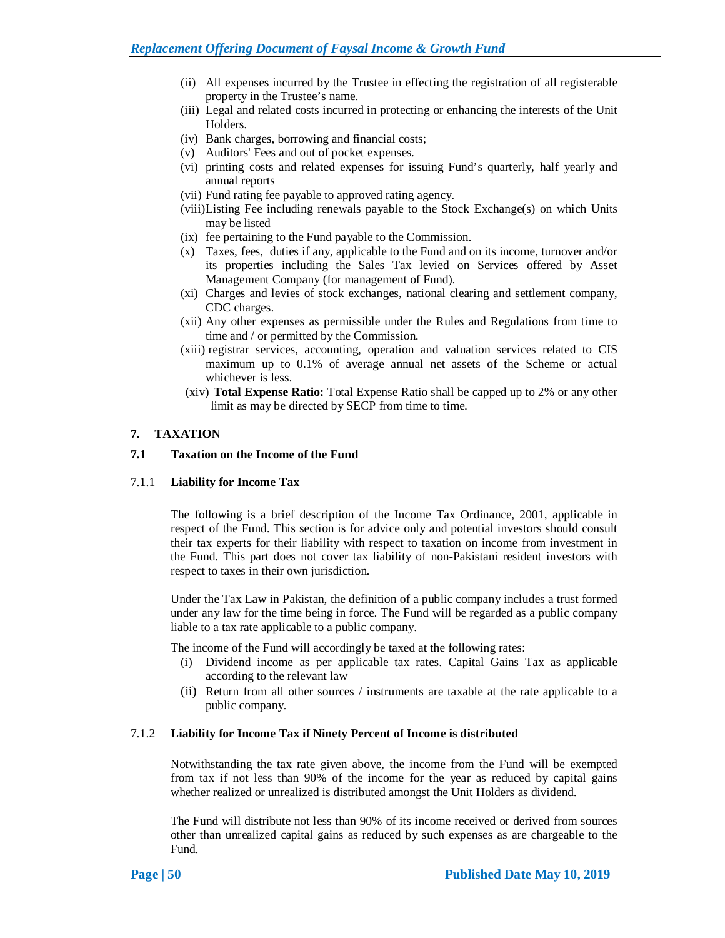- (ii) All expenses incurred by the Trustee in effecting the registration of all registerable property in the Trustee's name.
- (iii) Legal and related costs incurred in protecting or enhancing the interests of the Unit Holders.
- (iv) Bank charges, borrowing and financial costs;
- (v) Auditors' Fees and out of pocket expenses.
- (vi) printing costs and related expenses for issuing Fund's quarterly, half yearly and annual reports
- (vii) Fund rating fee payable to approved rating agency.
- (viii)Listing Fee including renewals payable to the Stock Exchange(s) on which Units may be listed
- (ix) fee pertaining to the Fund payable to the Commission.
- (x) Taxes, fees, duties if any, applicable to the Fund and on its income, turnover and/or its properties including the Sales Tax levied on Services offered by Asset Management Company (for management of Fund).
- (xi) Charges and levies of stock exchanges, national clearing and settlement company, CDC charges.
- (xii) Any other expenses as permissible under the Rules and Regulations from time to time and / or permitted by the Commission.
- (xiii) registrar services, accounting, operation and valuation services related to CIS maximum up to 0.1% of average annual net assets of the Scheme or actual whichever is less.
- (xiv) **Total Expense Ratio:** Total Expense Ratio shall be capped up to 2% or any other limit as may be directed by SECP from time to time.

## **7. TAXATION**

## **7.1 Taxation on the Income of the Fund**

#### 7.1.1 **Liability for Income Tax**

The following is a brief description of the Income Tax Ordinance, 2001, applicable in respect of the Fund. This section is for advice only and potential investors should consult their tax experts for their liability with respect to taxation on income from investment in the Fund. This part does not cover tax liability of non-Pakistani resident investors with respect to taxes in their own jurisdiction.

Under the Tax Law in Pakistan, the definition of a public company includes a trust formed under any law for the time being in force. The Fund will be regarded as a public company liable to a tax rate applicable to a public company.

The income of the Fund will accordingly be taxed at the following rates:

- (i) Dividend income as per applicable tax rates. Capital Gains Tax as applicable according to the relevant law
- (ii) Return from all other sources / instruments are taxable at the rate applicable to a public company.

## 7.1.2 **Liability for Income Tax if Ninety Percent of Income is distributed**

Notwithstanding the tax rate given above, the income from the Fund will be exempted from tax if not less than 90% of the income for the year as reduced by capital gains whether realized or unrealized is distributed amongst the Unit Holders as dividend.

The Fund will distribute not less than 90% of its income received or derived from sources other than unrealized capital gains as reduced by such expenses as are chargeable to the Fund.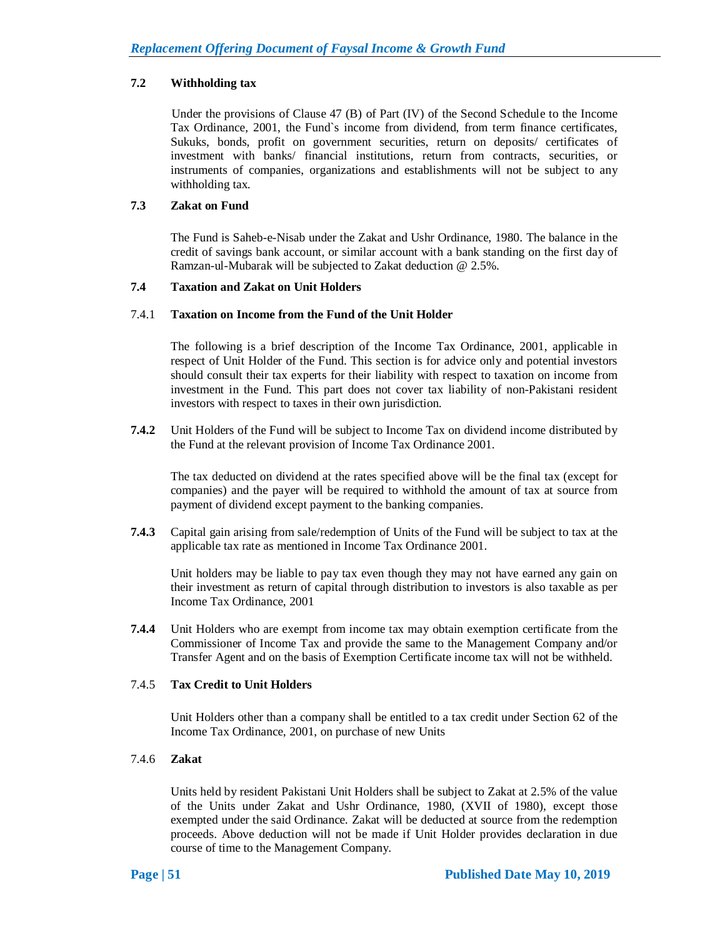## **7.2 Withholding tax**

 Under the provisions of Clause 47 (B) of Part (IV) of the Second Schedule to the Income Tax Ordinance, 2001, the Fund`s income from dividend, from term finance certificates, Sukuks, bonds, profit on government securities, return on deposits/ certificates of investment with banks/ financial institutions, return from contracts, securities, or instruments of companies, organizations and establishments will not be subject to any withholding tax.

## **7.3 Zakat on Fund**

The Fund is Saheb-e-Nisab under the Zakat and Ushr Ordinance, 1980. The balance in the credit of savings bank account, or similar account with a bank standing on the first day of Ramzan-ul-Mubarak will be subjected to Zakat deduction @ 2.5%.

# **7.4 Taxation and Zakat on Unit Holders**

## 7.4.1 **Taxation on Income from the Fund of the Unit Holder**

The following is a brief description of the Income Tax Ordinance, 2001, applicable in respect of Unit Holder of the Fund. This section is for advice only and potential investors should consult their tax experts for their liability with respect to taxation on income from investment in the Fund. This part does not cover tax liability of non-Pakistani resident investors with respect to taxes in their own jurisdiction.

**7.4.2** Unit Holders of the Fund will be subject to Income Tax on dividend income distributed by the Fund at the relevant provision of Income Tax Ordinance 2001.

The tax deducted on dividend at the rates specified above will be the final tax (except for companies) and the payer will be required to withhold the amount of tax at source from payment of dividend except payment to the banking companies.

**7.4.3** Capital gain arising from sale/redemption of Units of the Fund will be subject to tax at the applicable tax rate as mentioned in Income Tax Ordinance 2001.

Unit holders may be liable to pay tax even though they may not have earned any gain on their investment as return of capital through distribution to investors is also taxable as per Income Tax Ordinance, 2001

**7.4.4** Unit Holders who are exempt from income tax may obtain exemption certificate from the Commissioner of Income Tax and provide the same to the Management Company and/or Transfer Agent and on the basis of Exemption Certificate income tax will not be withheld.

#### 7.4.5 **Tax Credit to Unit Holders**

Unit Holders other than a company shall be entitled to a tax credit under Section 62 of the Income Tax Ordinance, 2001, on purchase of new Units

#### 7.4.6 **Zakat**

Units held by resident Pakistani Unit Holders shall be subject to Zakat at 2.5% of the value of the Units under Zakat and Ushr Ordinance, 1980, (XVII of 1980), except those exempted under the said Ordinance. Zakat will be deducted at source from the redemption proceeds. Above deduction will not be made if Unit Holder provides declaration in due course of time to the Management Company.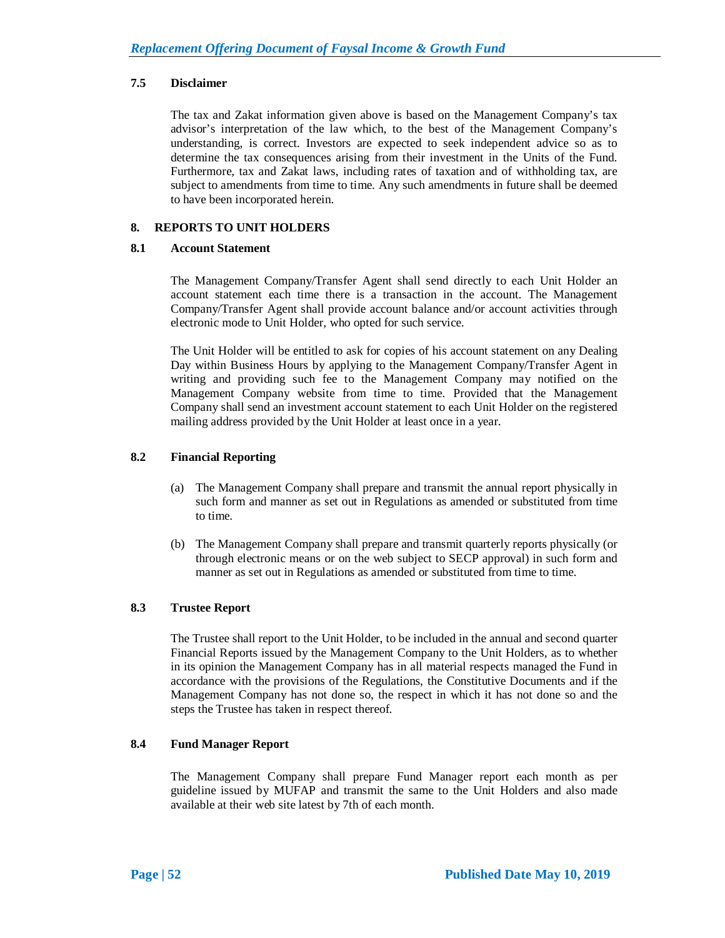## **7.5 Disclaimer**

The tax and Zakat information given above is based on the Management Company's tax advisor's interpretation of the law which, to the best of the Management Company's understanding, is correct. Investors are expected to seek independent advice so as to determine the tax consequences arising from their investment in the Units of the Fund. Furthermore, tax and Zakat laws, including rates of taxation and of withholding tax, are subject to amendments from time to time. Any such amendments in future shall be deemed to have been incorporated herein.

## **8. REPORTS TO UNIT HOLDERS**

## **8.1 Account Statement**

The Management Company/Transfer Agent shall send directly to each Unit Holder an account statement each time there is a transaction in the account. The Management Company/Transfer Agent shall provide account balance and/or account activities through electronic mode to Unit Holder, who opted for such service.

The Unit Holder will be entitled to ask for copies of his account statement on any Dealing Day within Business Hours by applying to the Management Company/Transfer Agent in writing and providing such fee to the Management Company may notified on the Management Company website from time to time. Provided that the Management Company shall send an investment account statement to each Unit Holder on the registered mailing address provided by the Unit Holder at least once in a year.

## **8.2 Financial Reporting**

- (a) The Management Company shall prepare and transmit the annual report physically in such form and manner as set out in Regulations as amended or substituted from time to time.
- (b) The Management Company shall prepare and transmit quarterly reports physically (or through electronic means or on the web subject to SECP approval) in such form and manner as set out in Regulations as amended or substituted from time to time.

#### **8.3 Trustee Report**

The Trustee shall report to the Unit Holder, to be included in the annual and second quarter Financial Reports issued by the Management Company to the Unit Holders, as to whether in its opinion the Management Company has in all material respects managed the Fund in accordance with the provisions of the Regulations, the Constitutive Documents and if the Management Company has not done so, the respect in which it has not done so and the steps the Trustee has taken in respect thereof.

#### **8.4 Fund Manager Report**

The Management Company shall prepare Fund Manager report each month as per guideline issued by MUFAP and transmit the same to the Unit Holders and also made available at their web site latest by 7th of each month.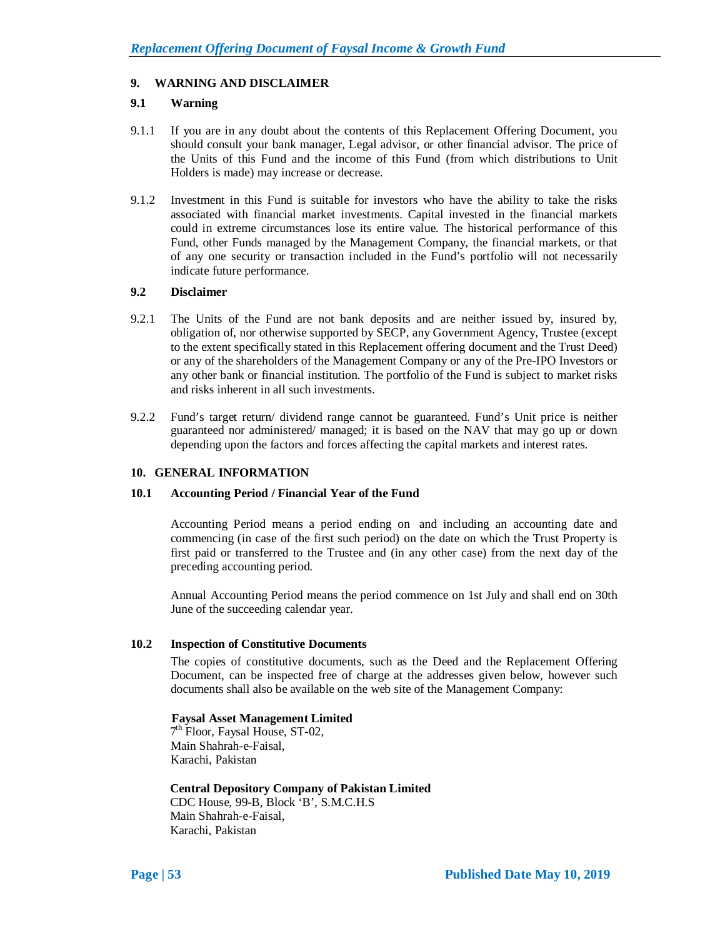## **9. WARNING AND DISCLAIMER**

## **9.1 Warning**

- 9.1.1 If you are in any doubt about the contents of this Replacement Offering Document, you should consult your bank manager, Legal advisor, or other financial advisor. The price of the Units of this Fund and the income of this Fund (from which distributions to Unit Holders is made) may increase or decrease.
- 9.1.2 Investment in this Fund is suitable for investors who have the ability to take the risks associated with financial market investments. Capital invested in the financial markets could in extreme circumstances lose its entire value. The historical performance of this Fund, other Funds managed by the Management Company, the financial markets, or that of any one security or transaction included in the Fund's portfolio will not necessarily indicate future performance.

## **9.2 Disclaimer**

- 9.2.1 The Units of the Fund are not bank deposits and are neither issued by, insured by, obligation of, nor otherwise supported by SECP, any Government Agency, Trustee (except to the extent specifically stated in this Replacement offering document and the Trust Deed) or any of the shareholders of the Management Company or any of the Pre-IPO Investors or any other bank or financial institution. The portfolio of the Fund is subject to market risks and risks inherent in all such investments.
- 9.2.2 Fund's target return/ dividend range cannot be guaranteed. Fund's Unit price is neither guaranteed nor administered/ managed; it is based on the NAV that may go up or down depending upon the factors and forces affecting the capital markets and interest rates.

#### **10. GENERAL INFORMATION**

#### **10.1 Accounting Period / Financial Year of the Fund**

Accounting Period means a period ending on and including an accounting date and commencing (in case of the first such period) on the date on which the Trust Property is first paid or transferred to the Trustee and (in any other case) from the next day of the preceding accounting period.

Annual Accounting Period means the period commence on 1st July and shall end on 30th June of the succeeding calendar year.

#### **10.2 Inspection of Constitutive Documents**

The copies of constitutive documents, such as the Deed and the Replacement Offering Document, can be inspected free of charge at the addresses given below, however such documents shall also be available on the web site of the Management Company:

#### **Faysal Asset Management Limited**

7<sup>th</sup> Floor, Faysal House, ST-02, Main Shahrah-e-Faisal, Karachi, Pakistan

 **Central Depository Company of Pakistan Limited** CDC House, 99-B, Block 'B', S.M.C.H.S Main Shahrah-e-Faisal, Karachi, Pakistan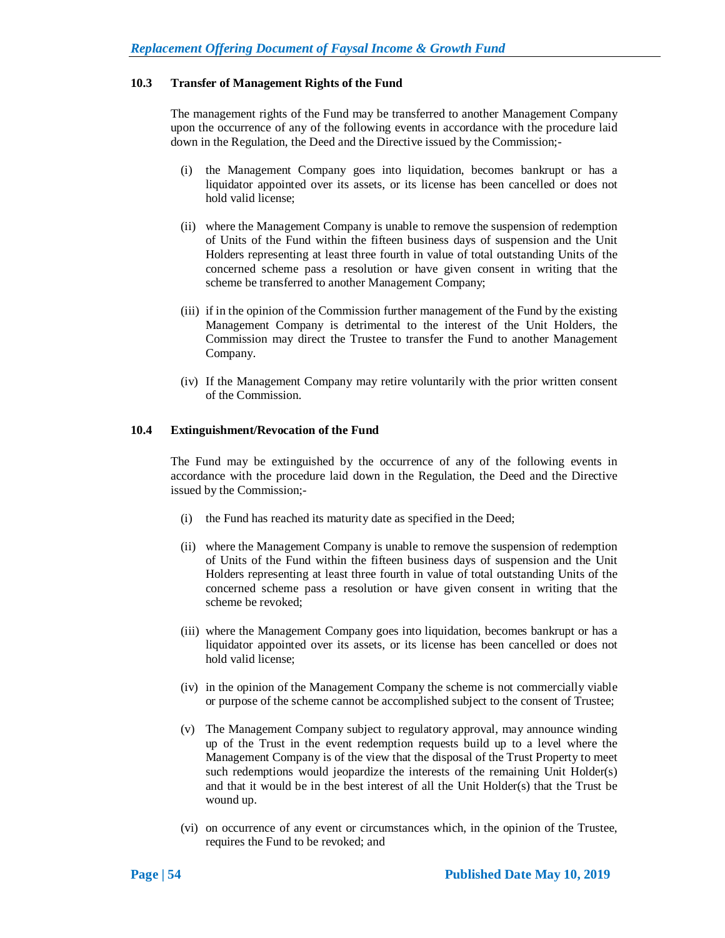#### **10.3 Transfer of Management Rights of the Fund**

The management rights of the Fund may be transferred to another Management Company upon the occurrence of any of the following events in accordance with the procedure laid down in the Regulation, the Deed and the Directive issued by the Commission;-

- (i) the Management Company goes into liquidation, becomes bankrupt or has a liquidator appointed over its assets, or its license has been cancelled or does not hold valid license;
- (ii) where the Management Company is unable to remove the suspension of redemption of Units of the Fund within the fifteen business days of suspension and the Unit Holders representing at least three fourth in value of total outstanding Units of the concerned scheme pass a resolution or have given consent in writing that the scheme be transferred to another Management Company;
- (iii) if in the opinion of the Commission further management of the Fund by the existing Management Company is detrimental to the interest of the Unit Holders, the Commission may direct the Trustee to transfer the Fund to another Management Company.
- (iv) If the Management Company may retire voluntarily with the prior written consent of the Commission.

## **10.4 Extinguishment/Revocation of the Fund**

The Fund may be extinguished by the occurrence of any of the following events in accordance with the procedure laid down in the Regulation, the Deed and the Directive issued by the Commission;-

- (i) the Fund has reached its maturity date as specified in the Deed;
- (ii) where the Management Company is unable to remove the suspension of redemption of Units of the Fund within the fifteen business days of suspension and the Unit Holders representing at least three fourth in value of total outstanding Units of the concerned scheme pass a resolution or have given consent in writing that the scheme be revoked;
- (iii) where the Management Company goes into liquidation, becomes bankrupt or has a liquidator appointed over its assets, or its license has been cancelled or does not hold valid license;
- (iv) in the opinion of the Management Company the scheme is not commercially viable or purpose of the scheme cannot be accomplished subject to the consent of Trustee;
- (v) The Management Company subject to regulatory approval, may announce winding up of the Trust in the event redemption requests build up to a level where the Management Company is of the view that the disposal of the Trust Property to meet such redemptions would jeopardize the interests of the remaining Unit Holder(s) and that it would be in the best interest of all the Unit Holder(s) that the Trust be wound up.
- (vi) on occurrence of any event or circumstances which, in the opinion of the Trustee, requires the Fund to be revoked; and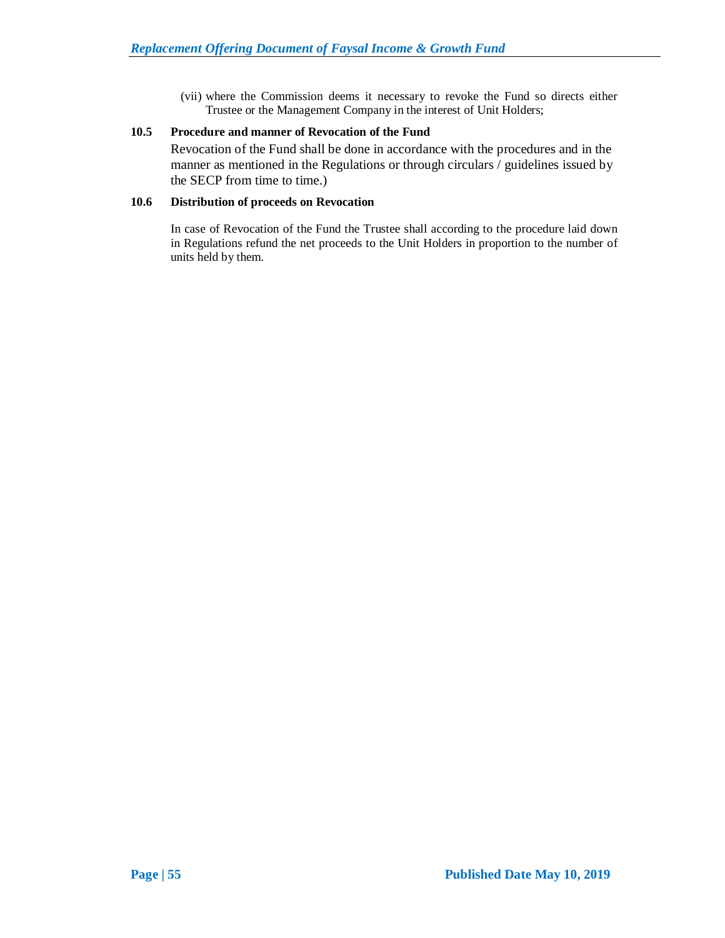(vii) where the Commission deems it necessary to revoke the Fund so directs either Trustee or the Management Company in the interest of Unit Holders;

#### **10.5 Procedure and manner of Revocation of the Fund**

Revocation of the Fund shall be done in accordance with the procedures and in the manner as mentioned in the Regulations or through circulars / guidelines issued by the SECP from time to time.)

## **10.6 Distribution of proceeds on Revocation**

In case of Revocation of the Fund the Trustee shall according to the procedure laid down in Regulations refund the net proceeds to the Unit Holders in proportion to the number of units held by them.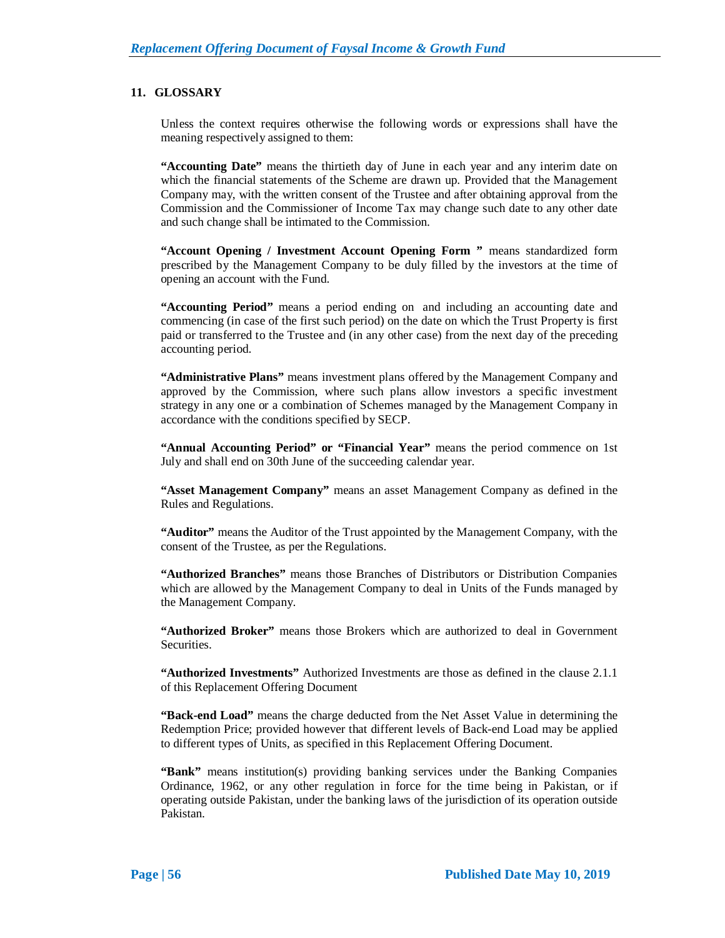## **11. GLOSSARY**

Unless the context requires otherwise the following words or expressions shall have the meaning respectively assigned to them:

**"Accounting Date"** means the thirtieth day of June in each year and any interim date on which the financial statements of the Scheme are drawn up. Provided that the Management Company may, with the written consent of the Trustee and after obtaining approval from the Commission and the Commissioner of Income Tax may change such date to any other date and such change shall be intimated to the Commission.

**"Account Opening / Investment Account Opening Form "** means standardized form prescribed by the Management Company to be duly filled by the investors at the time of opening an account with the Fund.

**"Accounting Period"** means a period ending on and including an accounting date and commencing (in case of the first such period) on the date on which the Trust Property is first paid or transferred to the Trustee and (in any other case) from the next day of the preceding accounting period.

**"Administrative Plans"** means investment plans offered by the Management Company and approved by the Commission, where such plans allow investors a specific investment strategy in any one or a combination of Schemes managed by the Management Company in accordance with the conditions specified by SECP.

**"Annual Accounting Period" or "Financial Year"** means the period commence on 1st July and shall end on 30th June of the succeeding calendar year.

**"Asset Management Company"** means an asset Management Company as defined in the Rules and Regulations.

**"Auditor"** means the Auditor of the Trust appointed by the Management Company, with the consent of the Trustee, as per the Regulations.

**"Authorized Branches"** means those Branches of Distributors or Distribution Companies which are allowed by the Management Company to deal in Units of the Funds managed by the Management Company.

**"Authorized Broker"** means those Brokers which are authorized to deal in Government Securities.

**"Authorized Investments"** Authorized Investments are those as defined in the clause 2.1.1 of this Replacement Offering Document

**"Back-end Load"** means the charge deducted from the Net Asset Value in determining the Redemption Price; provided however that different levels of Back-end Load may be applied to different types of Units, as specified in this Replacement Offering Document.

**"Bank"** means institution(s) providing banking services under the Banking Companies Ordinance, 1962, or any other regulation in force for the time being in Pakistan, or if operating outside Pakistan, under the banking laws of the jurisdiction of its operation outside Pakistan.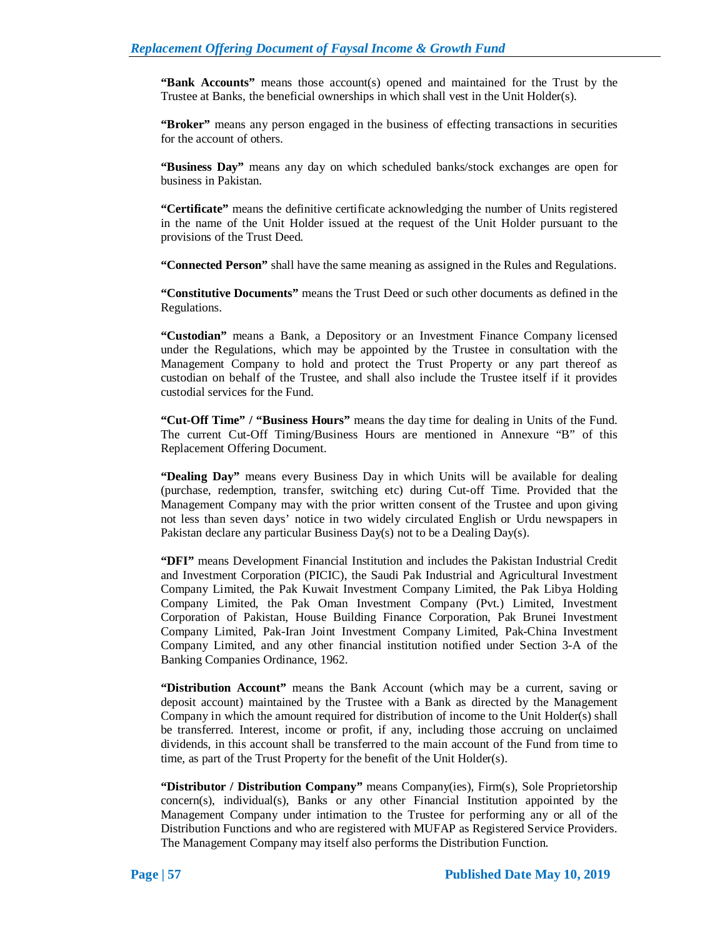**"Bank Accounts"** means those account(s) opened and maintained for the Trust by the Trustee at Banks, the beneficial ownerships in which shall vest in the Unit Holder(s).

**"Broker"** means any person engaged in the business of effecting transactions in securities for the account of others.

**"Business Day"** means any day on which scheduled banks/stock exchanges are open for business in Pakistan.

**"Certificate"** means the definitive certificate acknowledging the number of Units registered in the name of the Unit Holder issued at the request of the Unit Holder pursuant to the provisions of the Trust Deed.

**"Connected Person"** shall have the same meaning as assigned in the Rules and Regulations.

**"Constitutive Documents"** means the Trust Deed or such other documents as defined in the Regulations.

**"Custodian"** means a Bank, a Depository or an Investment Finance Company licensed under the Regulations, which may be appointed by the Trustee in consultation with the Management Company to hold and protect the Trust Property or any part thereof as custodian on behalf of the Trustee, and shall also include the Trustee itself if it provides custodial services for the Fund.

**"Cut-Off Time" / "Business Hours"** means the day time for dealing in Units of the Fund. The current Cut-Off Timing/Business Hours are mentioned in Annexure "B" of this Replacement Offering Document.

**"Dealing Day"** means every Business Day in which Units will be available for dealing (purchase, redemption, transfer, switching etc) during Cut-off Time. Provided that the Management Company may with the prior written consent of the Trustee and upon giving not less than seven days' notice in two widely circulated English or Urdu newspapers in Pakistan declare any particular Business Day(s) not to be a Dealing Day(s).

**"DFI"** means Development Financial Institution and includes the Pakistan Industrial Credit and Investment Corporation (PICIC), the Saudi Pak Industrial and Agricultural Investment Company Limited, the Pak Kuwait Investment Company Limited, the Pak Libya Holding Company Limited, the Pak Oman Investment Company (Pvt.) Limited, Investment Corporation of Pakistan, House Building Finance Corporation, Pak Brunei Investment Company Limited, Pak-Iran Joint Investment Company Limited, Pak-China Investment Company Limited, and any other financial institution notified under Section 3-A of the Banking Companies Ordinance, 1962.

**"Distribution Account"** means the Bank Account (which may be a current, saving or deposit account) maintained by the Trustee with a Bank as directed by the Management Company in which the amount required for distribution of income to the Unit Holder(s) shall be transferred. Interest, income or profit, if any, including those accruing on unclaimed dividends, in this account shall be transferred to the main account of the Fund from time to time, as part of the Trust Property for the benefit of the Unit Holder(s).

**"Distributor / Distribution Company"** means Company(ies), Firm(s), Sole Proprietorship concern(s), individual(s), Banks or any other Financial Institution appointed by the Management Company under intimation to the Trustee for performing any or all of the Distribution Functions and who are registered with MUFAP as Registered Service Providers. The Management Company may itself also performs the Distribution Function.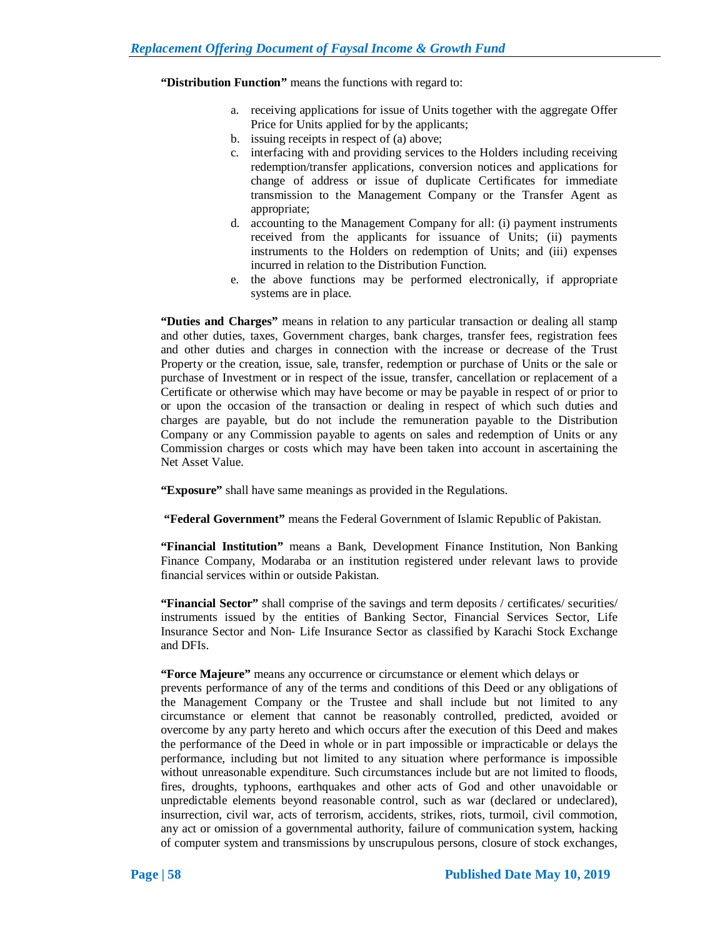**"Distribution Function"** means the functions with regard to:

- a. receiving applications for issue of Units together with the aggregate Offer Price for Units applied for by the applicants;
- b. issuing receipts in respect of (a) above;
- c. interfacing with and providing services to the Holders including receiving redemption/transfer applications, conversion notices and applications for change of address or issue of duplicate Certificates for immediate transmission to the Management Company or the Transfer Agent as appropriate;
- d. accounting to the Management Company for all: (i) payment instruments received from the applicants for issuance of Units; (ii) payments instruments to the Holders on redemption of Units; and (iii) expenses incurred in relation to the Distribution Function.
- e. the above functions may be performed electronically, if appropriate systems are in place.

**"Duties and Charges"** means in relation to any particular transaction or dealing all stamp and other duties, taxes, Government charges, bank charges, transfer fees, registration fees and other duties and charges in connection with the increase or decrease of the Trust Property or the creation, issue, sale, transfer, redemption or purchase of Units or the sale or purchase of Investment or in respect of the issue, transfer, cancellation or replacement of a Certificate or otherwise which may have become or may be payable in respect of or prior to or upon the occasion of the transaction or dealing in respect of which such duties and charges are payable, but do not include the remuneration payable to the Distribution Company or any Commission payable to agents on sales and redemption of Units or any Commission charges or costs which may have been taken into account in ascertaining the Net Asset Value.

**"Exposure"** shall have same meanings as provided in the Regulations.

**"Federal Government"** means the Federal Government of Islamic Republic of Pakistan.

**"Financial Institution"** means a Bank, Development Finance Institution, Non Banking Finance Company, Modaraba or an institution registered under relevant laws to provide financial services within or outside Pakistan.

**"Financial Sector"** shall comprise of the savings and term deposits / certificates/ securities/ instruments issued by the entities of Banking Sector, Financial Services Sector, Life Insurance Sector and Non- Life Insurance Sector as classified by Karachi Stock Exchange and DFIs.

**"Force Majeure"** means any occurrence or circumstance or element which delays or

prevents performance of any of the terms and conditions of this Deed or any obligations of the Management Company or the Trustee and shall include but not limited to any circumstance or element that cannot be reasonably controlled, predicted, avoided or overcome by any party hereto and which occurs after the execution of this Deed and makes the performance of the Deed in whole or in part impossible or impracticable or delays the performance, including but not limited to any situation where performance is impossible without unreasonable expenditure. Such circumstances include but are not limited to floods, fires, droughts, typhoons, earthquakes and other acts of God and other unavoidable or unpredictable elements beyond reasonable control, such as war (declared or undeclared), insurrection, civil war, acts of terrorism, accidents, strikes, riots, turmoil, civil commotion, any act or omission of a governmental authority, failure of communication system, hacking of computer system and transmissions by unscrupulous persons, closure of stock exchanges,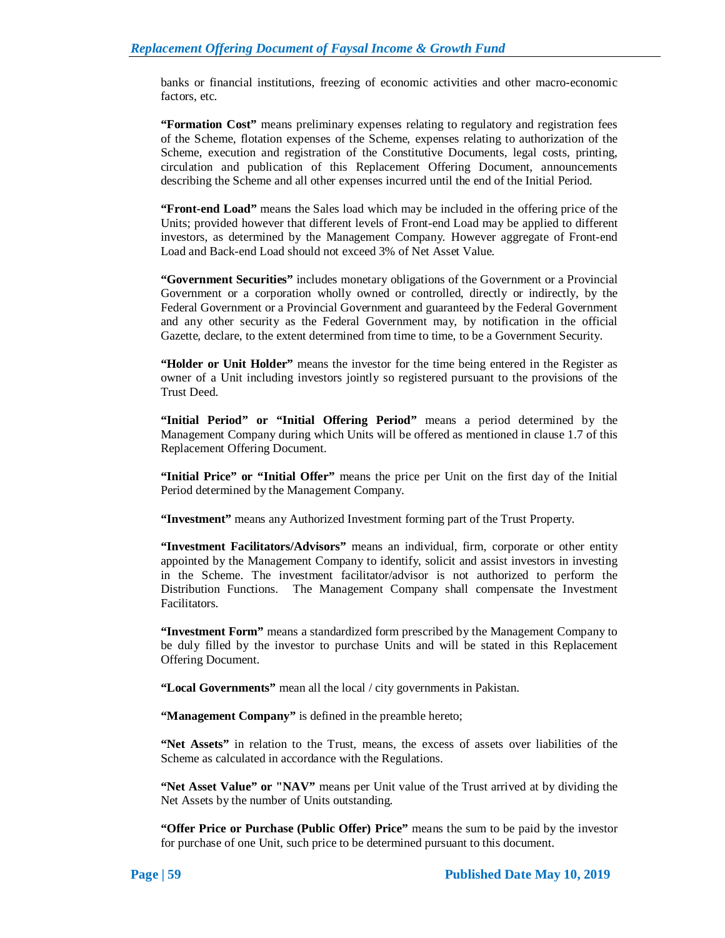banks or financial institutions, freezing of economic activities and other macro-economic factors, etc.

**"Formation Cost"** means preliminary expenses relating to regulatory and registration fees of the Scheme, flotation expenses of the Scheme, expenses relating to authorization of the Scheme, execution and registration of the Constitutive Documents, legal costs, printing, circulation and publication of this Replacement Offering Document, announcements describing the Scheme and all other expenses incurred until the end of the Initial Period.

**"Front-end Load"** means the Sales load which may be included in the offering price of the Units; provided however that different levels of Front-end Load may be applied to different investors, as determined by the Management Company. However aggregate of Front-end Load and Back-end Load should not exceed 3% of Net Asset Value.

**"Government Securities"** includes monetary obligations of the Government or a Provincial Government or a corporation wholly owned or controlled, directly or indirectly, by the Federal Government or a Provincial Government and guaranteed by the Federal Government and any other security as the Federal Government may, by notification in the official Gazette, declare, to the extent determined from time to time, to be a Government Security.

**"Holder or Unit Holder"** means the investor for the time being entered in the Register as owner of a Unit including investors jointly so registered pursuant to the provisions of the Trust Deed.

**"Initial Period" or "Initial Offering Period"** means a period determined by the Management Company during which Units will be offered as mentioned in clause 1.7 of this Replacement Offering Document.

**"Initial Price" or "Initial Offer"** means the price per Unit on the first day of the Initial Period determined by the Management Company.

**"Investment"** means any Authorized Investment forming part of the Trust Property.

**"Investment Facilitators/Advisors"** means an individual, firm, corporate or other entity appointed by the Management Company to identify, solicit and assist investors in investing in the Scheme. The investment facilitator/advisor is not authorized to perform the Distribution Functions. The Management Company shall compensate the Investment Facilitators.

**"Investment Form"** means a standardized form prescribed by the Management Company to be duly filled by the investor to purchase Units and will be stated in this Replacement Offering Document.

**"Local Governments"** mean all the local / city governments in Pakistan.

**"Management Company"** is defined in the preamble hereto;

**"Net Assets"** in relation to the Trust, means, the excess of assets over liabilities of the Scheme as calculated in accordance with the Regulations.

**"Net Asset Value" or "NAV"** means per Unit value of the Trust arrived at by dividing the Net Assets by the number of Units outstanding.

**"Offer Price or Purchase (Public Offer) Price"** means the sum to be paid by the investor for purchase of one Unit, such price to be determined pursuant to this document.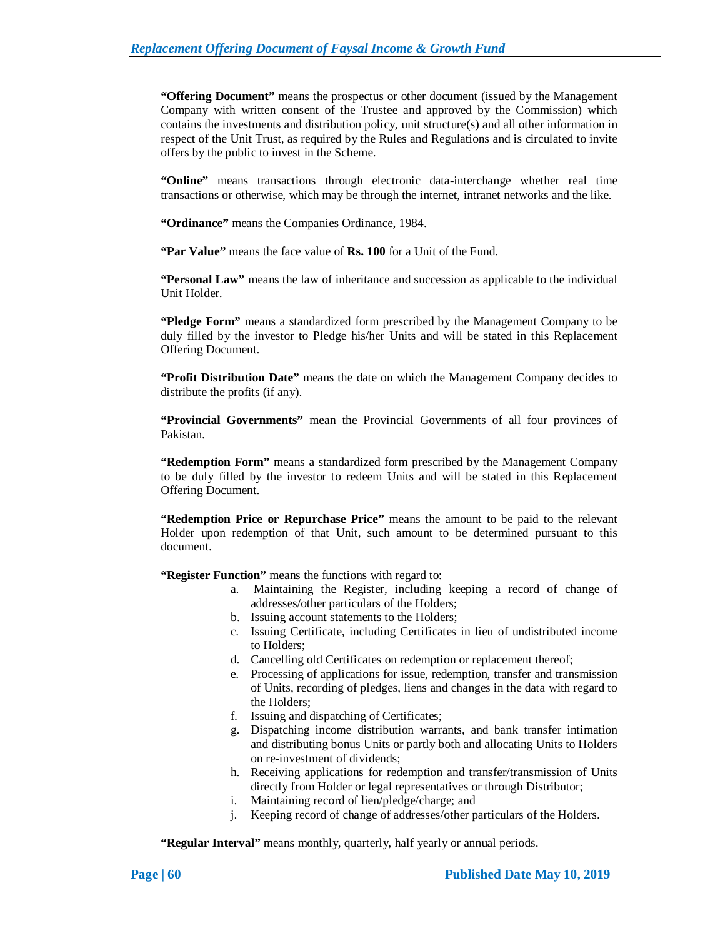**"Offering Document"** means the prospectus or other document (issued by the Management Company with written consent of the Trustee and approved by the Commission) which contains the investments and distribution policy, unit structure(s) and all other information in respect of the Unit Trust, as required by the Rules and Regulations and is circulated to invite offers by the public to invest in the Scheme.

**"Online"** means transactions through electronic data-interchange whether real time transactions or otherwise, which may be through the internet, intranet networks and the like.

**"Ordinance"** means the Companies Ordinance, 1984.

**"Par Value"** means the face value of **Rs. 100** for a Unit of the Fund.

**"Personal Law"** means the law of inheritance and succession as applicable to the individual Unit Holder.

**"Pledge Form"** means a standardized form prescribed by the Management Company to be duly filled by the investor to Pledge his/her Units and will be stated in this Replacement Offering Document.

**"Profit Distribution Date"** means the date on which the Management Company decides to distribute the profits (if any).

**"Provincial Governments"** mean the Provincial Governments of all four provinces of Pakistan.

**"Redemption Form"** means a standardized form prescribed by the Management Company to be duly filled by the investor to redeem Units and will be stated in this Replacement Offering Document.

**"Redemption Price or Repurchase Price"** means the amount to be paid to the relevant Holder upon redemption of that Unit, such amount to be determined pursuant to this document.

**"Register Function"** means the functions with regard to:

- a. Maintaining the Register, including keeping a record of change of addresses/other particulars of the Holders;
- b. Issuing account statements to the Holders;
- c. Issuing Certificate, including Certificates in lieu of undistributed income to Holders;
- d. Cancelling old Certificates on redemption or replacement thereof;
- e. Processing of applications for issue, redemption, transfer and transmission of Units, recording of pledges, liens and changes in the data with regard to the Holders;
- f. Issuing and dispatching of Certificates;
- g. Dispatching income distribution warrants, and bank transfer intimation and distributing bonus Units or partly both and allocating Units to Holders on re-investment of dividends;
- h. Receiving applications for redemption and transfer/transmission of Units directly from Holder or legal representatives or through Distributor;
- i. Maintaining record of lien/pledge/charge; and
- j. Keeping record of change of addresses/other particulars of the Holders.

**"Regular Interval"** means monthly, quarterly, half yearly or annual periods.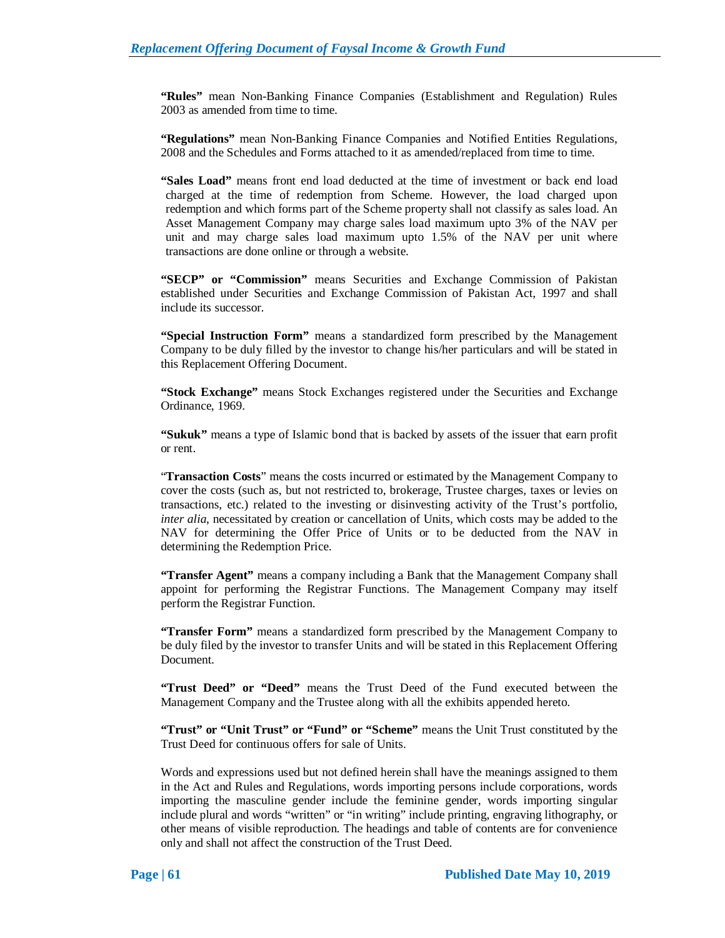**"Rules"** mean Non-Banking Finance Companies (Establishment and Regulation) Rules 2003 as amended from time to time.

**"Regulations"** mean Non-Banking Finance Companies and Notified Entities Regulations, 2008 and the Schedules and Forms attached to it as amended/replaced from time to time.

**"Sales Load"** means front end load deducted at the time of investment or back end load charged at the time of redemption from Scheme. However, the load charged upon redemption and which forms part of the Scheme property shall not classify as sales load. An Asset Management Company may charge sales load maximum upto 3% of the NAV per unit and may charge sales load maximum upto 1.5% of the NAV per unit where transactions are done online or through a website.

**"SECP" or "Commission"** means Securities and Exchange Commission of Pakistan established under Securities and Exchange Commission of Pakistan Act, 1997 and shall include its successor.

**"Special Instruction Form"** means a standardized form prescribed by the Management Company to be duly filled by the investor to change his/her particulars and will be stated in this Replacement Offering Document.

**"Stock Exchange"** means Stock Exchanges registered under the Securities and Exchange Ordinance, 1969.

**"Sukuk"** means a type of Islamic bond that is backed by assets of the issuer that earn profit or rent.

"**Transaction Costs**" means the costs incurred or estimated by the Management Company to cover the costs (such as, but not restricted to, brokerage, Trustee charges, taxes or levies on transactions, etc.) related to the investing or disinvesting activity of the Trust's portfolio, *inter alia*, necessitated by creation or cancellation of Units, which costs may be added to the NAV for determining the Offer Price of Units or to be deducted from the NAV in determining the Redemption Price.

**"Transfer Agent"** means a company including a Bank that the Management Company shall appoint for performing the Registrar Functions. The Management Company may itself perform the Registrar Function.

**"Transfer Form"** means a standardized form prescribed by the Management Company to be duly filed by the investor to transfer Units and will be stated in this Replacement Offering Document.

**"Trust Deed" or "Deed"** means the Trust Deed of the Fund executed between the Management Company and the Trustee along with all the exhibits appended hereto.

**"Trust" or "Unit Trust" or "Fund" or "Scheme"** means the Unit Trust constituted by the Trust Deed for continuous offers for sale of Units.

Words and expressions used but not defined herein shall have the meanings assigned to them in the Act and Rules and Regulations, words importing persons include corporations, words importing the masculine gender include the feminine gender, words importing singular include plural and words "written" or "in writing" include printing, engraving lithography, or other means of visible reproduction. The headings and table of contents are for convenience only and shall not affect the construction of the Trust Deed.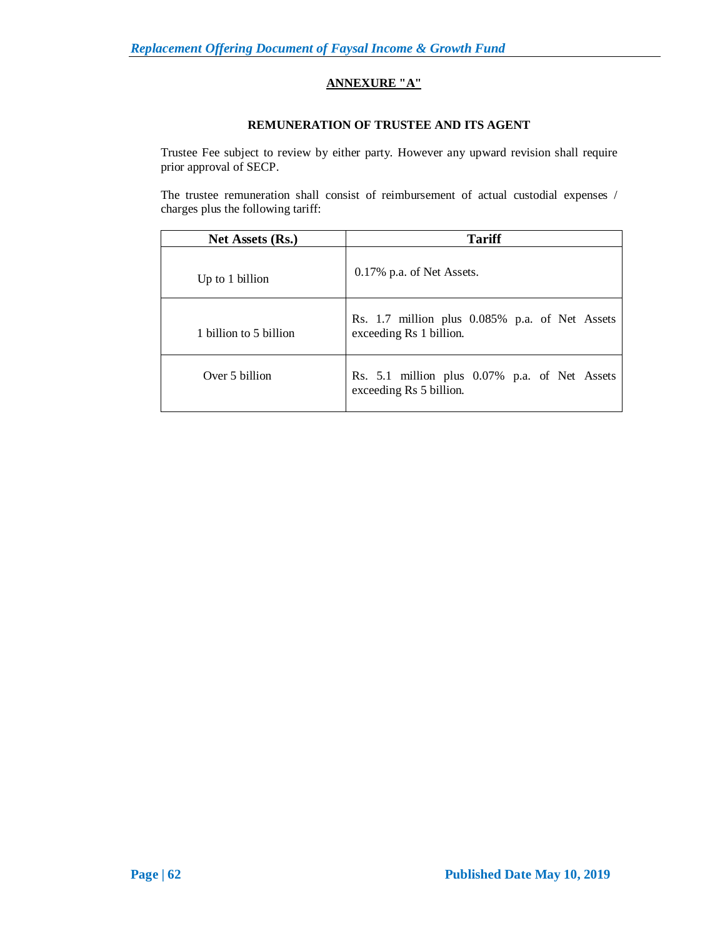# **ANNEXURE "A"**

## **REMUNERATION OF TRUSTEE AND ITS AGENT**

Trustee Fee subject to review by either party. However any upward revision shall require prior approval of SECP.

The trustee remuneration shall consist of reimbursement of actual custodial expenses / charges plus the following tariff:

| Net Assets (Rs.)       | Tariff                                                                    |
|------------------------|---------------------------------------------------------------------------|
| Up to 1 billion        | 0.17% p.a. of Net Assets.                                                 |
| 1 billion to 5 billion | Rs. 1.7 million plus 0.085% p.a. of Net Assets<br>exceeding Rs 1 billion. |
| Over 5 billion         | Rs. 5.1 million plus 0.07% p.a. of Net Assets<br>exceeding Rs 5 billion.  |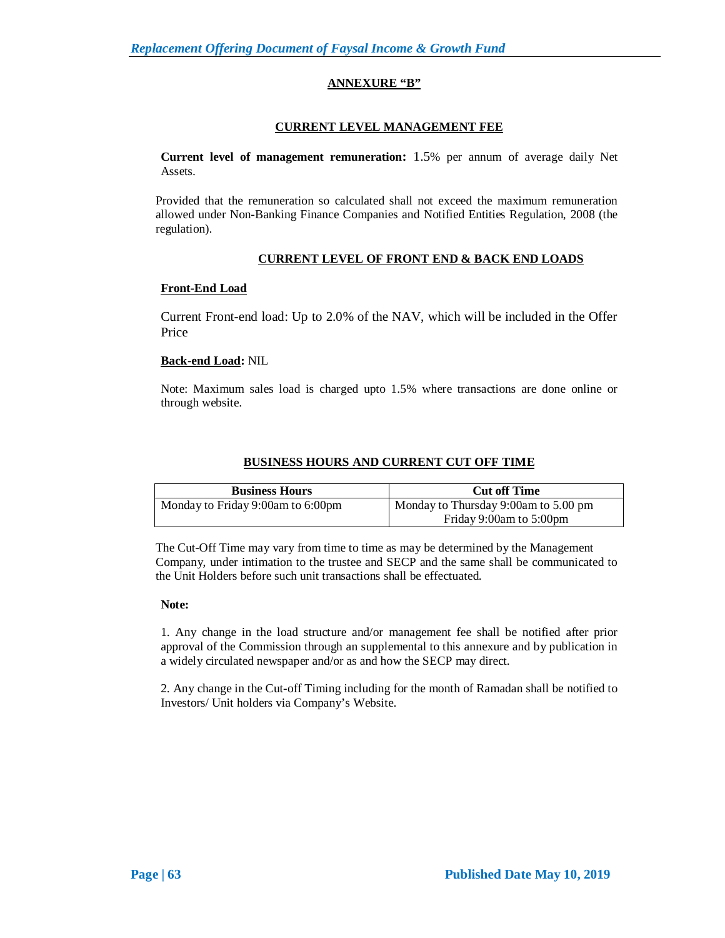# **ANNEXURE "B"**

## **CURRENT LEVEL MANAGEMENT FEE**

**Current level of management remuneration:** 1.5% per annum of average daily Net Assets.

Provided that the remuneration so calculated shall not exceed the maximum remuneration allowed under Non-Banking Finance Companies and Notified Entities Regulation, 2008 (the regulation).

## **CURRENT LEVEL OF FRONT END & BACK END LOADS**

## **Front-End Load**

Current Front-end load: Up to 2.0% of the NAV, which will be included in the Offer Price

## **Back-end Load:** NIL

Note: Maximum sales load is charged upto 1.5% where transactions are done online or through website.

## **BUSINESS HOURS AND CURRENT CUT OFF TIME**

| <b>Business Hours</b>             | <b>Cut off Time</b>                  |
|-----------------------------------|--------------------------------------|
| Monday to Friday 9:00am to 6:00pm | Monday to Thursday 9:00am to 5.00 pm |
|                                   | Friday 9:00am to 5:00pm              |

The Cut-Off Time may vary from time to time as may be determined by the Management Company, under intimation to the trustee and SECP and the same shall be communicated to the Unit Holders before such unit transactions shall be effectuated.

#### **Note:**

1. Any change in the load structure and/or management fee shall be notified after prior approval of the Commission through an supplemental to this annexure and by publication in a widely circulated newspaper and/or as and how the SECP may direct.

2. Any change in the Cut-off Timing including for the month of Ramadan shall be notified to Investors/ Unit holders via Company's Website.